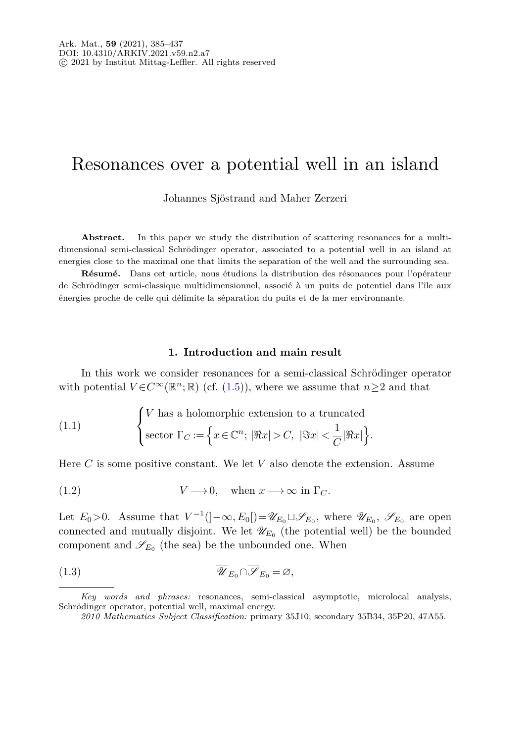# Resonances over a potential well in an island

Johannes Sjöstrand and Maher Zerzeri

Abstract. In this paper we study the distribution of scattering resonances for a multidimensional semi-classical Schrödinger operator, associated to a potential well in an island at energies close to the maximal one that limits the separation of the well and the surrounding sea.

**Résumé.** Dans cet article, nous étudions la distribution des résonances pour l'opérateur de Schrödinger semi-classique multidimensionnel, associé à un puits de potentiel dans l'île aux énergies proche de celle qui délimite la séparation du puits et de la mer environnante.

#### <span id="page-0-2"></span><span id="page-0-1"></span><span id="page-0-0"></span>**1. Introduction and main result**

<span id="page-0-3"></span>In this work we consider resonances for a semi-classical Schrödinger operator with potential  $V \in C^{\infty}(\mathbb{R}^n;\mathbb{R})$  (cf. [\(1.5\)](#page-1-0)), where we assume that  $n \geq 2$  and that

(1.1) 
$$
\begin{cases} V \text{ has a holomorphic extension to a truncated} \\ \text{sector } \Gamma_C := \left\{ x \in \mathbb{C}^n; \ |\Re x| > C, \ |\Im x| < \frac{1}{C} |\Re x| \right\}. \end{cases}
$$

Here *C* is some positive constant. We let *V* also denote the extension. Assume

(1.2) 
$$
V \longrightarrow 0
$$
, when  $x \longrightarrow \infty$  in  $\Gamma_C$ .

Let  $E_0 > 0$ . Assume that  $V^{-1}(-\infty, E_0]) = \mathscr{U}_{E_0} \sqcup \mathscr{S}_{E_0}$ , where  $\mathscr{U}_{E_0}$ ,  $\mathscr{S}_{E_0}$  are open connected and mutually disjoint. We let  $\mathscr{U}_{E_0}$  (the potential well) be the bounded component and  $\mathscr{S}_{E_0}$  (the sea) be the unbounded one. When

(1.3) 
$$
\overline{\mathscr{U}}_{E_0} \cap \overline{\mathscr{S}}_{E_0} = \varnothing,
$$

*Key words and phrases:* resonances, semi-classical asymptotic, microlocal analysis, Schrödinger operator, potential well, maximal energy.

*<sup>2010</sup> Mathematics Subject Classification:* primary 35J10; secondary 35B34, 35P20, 47A55.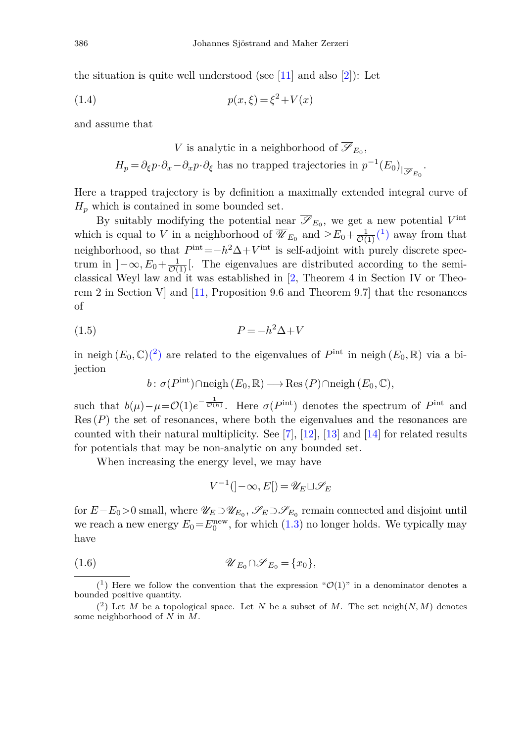the situation is quite well understood (see [\[11\]](#page-51-0) and also [\[2](#page-51-1)]): Let

(1.4) 
$$
p(x,\xi) = \xi^2 + V(x)
$$

and assume that

<span id="page-1-3"></span>V is analytic in a neighborhood of 
$$
\overline{\mathscr{S}}_{E_0}
$$
,  
\n
$$
H_p = \partial_{\xi} p \cdot \partial_x - \partial_x p \cdot \partial_{\xi}
$$
 has no trapped trajectories in  $p^{-1}(E_0)_{|\overline{\mathscr{S}}_{E_0}}$ .

Here a trapped trajectory is by definition a maximally extended integral curve of  $H_p$  which is contained in some bounded set.

By suitably modifying the potential near  $\overline{\mathscr{S}}_{E_0}$ , we get a new potential  $V^{\text{int}}$ which is equal to *V* in a neighborhood of  $\overline{\mathscr{U}}_{E_0}$  and  $\geq E_0 + \frac{1}{\mathcal{O}(1)} \binom{1}{1}$  $\geq E_0 + \frac{1}{\mathcal{O}(1)} \binom{1}{1}$  $\geq E_0 + \frac{1}{\mathcal{O}(1)} \binom{1}{1}$  away from that neighborhood, so that  $P^{\text{int}} = -h^2 \Delta + V^{\text{int}}$  is self-adjoint with purely discrete spectrum in  $]-\infty, E_0+\frac{1}{\mathcal{O}(1)}[$ . The eigenvalues are distributed according to the semiclassical Weyl law and it was established in [\[2,](#page-51-1) Theorem 4 in Section IV or Theorem 2 in Section V] and [\[11,](#page-51-0) Proposition 9.6 and Theorem 9.7] that the resonances of

<span id="page-1-0"></span>
$$
(1.5) \t\t\t P = -h^2 \Delta + V
$$

in neigh  $(E_0, \mathbb{C})$ <sup>(2)</sup> are related to the eigenvalues of  $P^{\text{int}}$  in neigh  $(E_0, \mathbb{R})$  via a bijection

$$
b: \sigma(P^{\text{int}}) \cap \text{neigh}(E_0, \mathbb{R}) \longrightarrow \text{Res}(P) \cap \text{neigh}(E_0, \mathbb{C}),
$$

such that  $b(\mu) - \mu = \mathcal{O}(1)e^{-\frac{1}{\mathcal{O}(h)}}$ . Here  $\sigma(P^{\text{int}})$  denotes the spectrum of  $P^{\text{int}}$  and  $Res(P)$  the set of resonances, where both the eigenvalues and the resonances are counted with their natural multiplicity. See  $[7]$ ,  $[12]$ ,  $[13]$  and  $[14]$  $[14]$  for related results for potentials that may be non-analytic on any bounded set.

When increasing the energy level, we may have

$$
V^{-1}(\cdot - \infty, E[\cdot] = \mathscr{U}_E \sqcup \mathscr{S}_E
$$

for  $E-E_0>0$  small, where  $\mathscr{U}_E \supset \mathscr{U}_{E_0}, \mathscr{S}_E \supset \mathscr{S}_{E_0}$  remain connected and disjoint until we reach a new energy  $E_0 = E_0^{\text{new}}$ , for which  $(1.3)$  no longer holds. We typically may have

(1.6) 
$$
\overline{\mathscr{U}}_{E_0} \cap \overline{\mathscr{S}}_{E_0} = \{x_0\},\
$$

<span id="page-1-1"></span> $(1)$  Here we follow the convention that the expression " $\mathcal{O}(1)$ " in a denominator denotes a bounded positive quantity.

<span id="page-1-2"></span> $(2)$  Let *M* be a topological space. Let *N* be a subset of *M*. The set neigh $(N, M)$  denotes some neighborhood of *N* in *M*.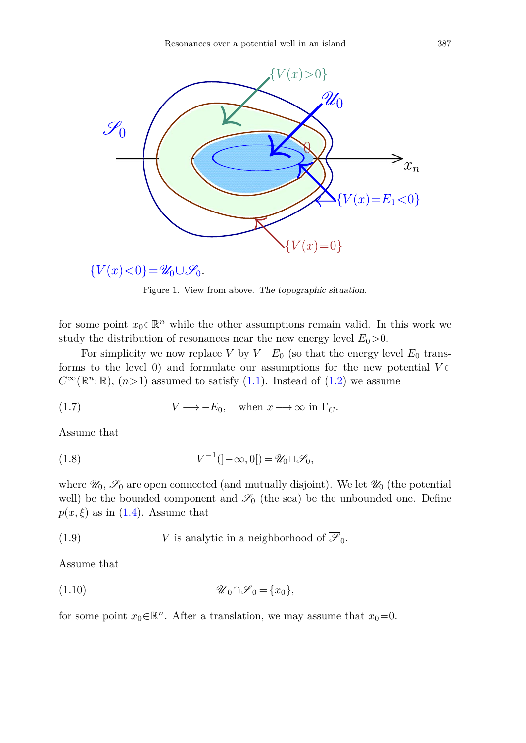

$$
\{V(x) < 0\} = \mathscr{U}_0 \cup \mathscr{S}_0.
$$

<span id="page-2-0"></span>Figure 1. View from above. *The topographic situation*.

for some point  $x_0 \in \mathbb{R}^n$  while the other assumptions remain valid. In this work we study the distribution of resonances near the new energy level  $E_0 > 0$ .

For simplicity we now replace *V* by  $V - E_0$  (so that the energy level  $E_0$  transforms to the level 0) and formulate our assumptions for the new potential  $V \in$  $C^{\infty}(\mathbb{R}^n;\mathbb{R})$ ,  $(n>1)$  assumed to satisfy  $(1.1)$ . Instead of  $(1.2)$  we assume

(1.7) 
$$
V \longrightarrow -E_0
$$
, when  $x \longrightarrow \infty$  in  $\Gamma_C$ .

<span id="page-2-1"></span>Assume that

(1.8) 
$$
V^{-1}(\mathcal{I} - \infty, 0]) = \mathscr{U}_0 \sqcup \mathscr{S}_0,
$$

where  $\mathscr{U}_0$ ,  $\mathscr{S}_0$  are open connected (and mutually disjoint). We let  $\mathscr{U}_0$  (the potential well) be the bounded component and  $\mathscr{S}_0$  (the sea) be the unbounded one. Define  $p(x,\xi)$  as in [\(1.4\)](#page-1-3). Assume that

<span id="page-2-2"></span>(1.9) 
$$
V
$$
 is analytic in a neighborhood of  $\overline{\mathscr{S}}_0$ .

<span id="page-2-3"></span>Assume that

$$
(1.10) \t\t \overline{\mathscr{U}}_0 \cap \overline{\mathscr{S}}_0 = \{x_0\},\
$$

for some point  $x_0 \in \mathbb{R}^n$ . After a translation, we may assume that  $x_0 = 0$ .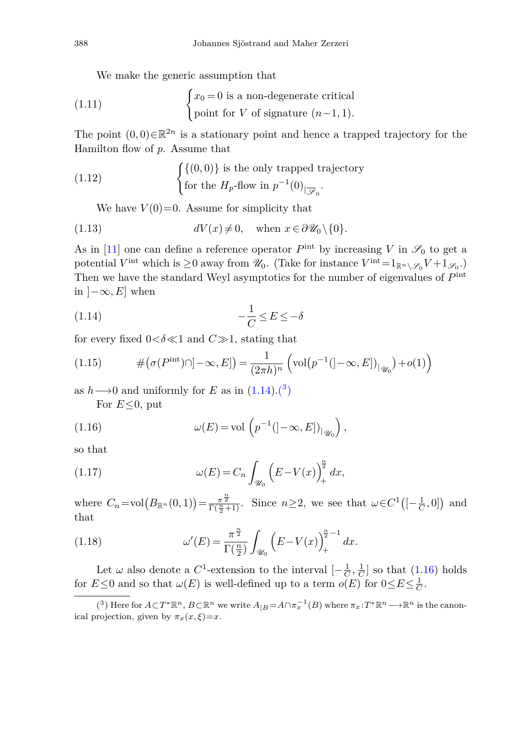<span id="page-3-3"></span>We make the generic assumption that

(1.11) 
$$
\begin{cases} x_0 = 0 \text{ is a non-degenerate critical} \\ \text{point for } V \text{ of signature } (n-1,1). \end{cases}
$$

The point  $(0,0) \in \mathbb{R}^{2n}$  is a stationary point and hence a trapped trajectory for the Hamilton flow of *p*. Assume that

(1.12) 
$$
\begin{cases} \{(0,0)\} \text{ is the only trapped trajectory} \\ \text{for the } H_p\text{-flow in } p^{-1}(0)_{|\overline{\mathscr{S}}_0}. \end{cases}
$$

<span id="page-3-5"></span><span id="page-3-4"></span>We have  $V(0)=0$ . Assume for simplicity that

(1.13) 
$$
dV(x) \neq 0, \text{ when } x \in \partial \mathcal{U}_0 \setminus \{0\}.
$$

As in [\[11\]](#page-51-0) one can define a reference operator  $P^{\text{int}}$  by increasing *V* in  $\mathscr{S}_0$  to get a potential *V*<sup>int</sup> which is  $\geq 0$  away from  $\mathscr{U}_0$ . (Take for instance  $V^{\text{int}} = 1_{\mathbb{R}^n \setminus \mathscr{S}_0} V + 1_{\mathscr{S}_0}$ .) Then we have the standard Weyl asymptotics for the number of eigenvalues of *P*int in  $]-\infty, E]$  when

<span id="page-3-0"></span>
$$
(1.14)\qquad \qquad -\frac{1}{C} \le E \le -\delta
$$

for every fixed  $0 < \delta \ll 1$  and  $C \gg 1$ , stating that

(1.15) 
$$
\#(\sigma(P^{\text{int}})\cap ]-\infty,E]) = \frac{1}{(2\pi h)^n} \left(\text{vol}(p^{-1}(-\infty,E])_{|\mathscr{U}_0}\right) + o(1)\right)
$$

as  $h \rightarrow 0$  and uniformly for *E* as in  $(1.14)$ .<sup>(3</sup>)

<span id="page-3-2"></span>For *E*≤0, put

(1.16) 
$$
\omega(E) = \text{vol}\left(p^{-1}(\left]-\infty, E\right]\right)_{\left|\mathcal{U}_0\right|},
$$

<span id="page-3-6"></span>so that

(1.17) 
$$
\omega(E) = C_n \int_{\mathcal{U}_0} \left( E - V(x) \right)_+^{\frac{n}{2}} dx,
$$

where  $C_n = \text{vol}(B_{\mathbb{R}^n}(0, 1)) = \frac{\pi^{\frac{n}{2}}}{\Gamma(\frac{n}{2}+1)}$ . Since  $n \geq 2$ , we see that  $\omega \in C^1([-\frac{1}{C}, 0])$  and that

<span id="page-3-7"></span>(1.18) 
$$
\omega'(E) = \frac{\pi^{\frac{n}{2}}}{\Gamma(\frac{n}{2})} \int_{\mathscr{U}_0} \left( E - V(x) \right)_+^{\frac{n}{2} - 1} dx.
$$

Let  $\omega$  also denote a  $C^1$ -extension to the interval  $\left[-\frac{1}{C},\frac{1}{C}\right]$  so that  $(1.16)$  holds for  $E \le 0$  and so that  $\omega(E)$  is well-defined up to a term  $o(E)$  for  $0 \le E \le \frac{1}{C}$ .

<span id="page-3-1"></span> $\overline{(3)}$  Here for  $A \subset T^* \mathbb{R}^n$ ,  $B \subset \mathbb{R}^n$  we write  $A_{|B} = A \cap \pi_x^{-1}(B)$  where  $\pi_x : T^* \mathbb{R}^n \longrightarrow \mathbb{R}^n$  is the canonical projection, given by  $\pi_x(x,\xi)=x$ .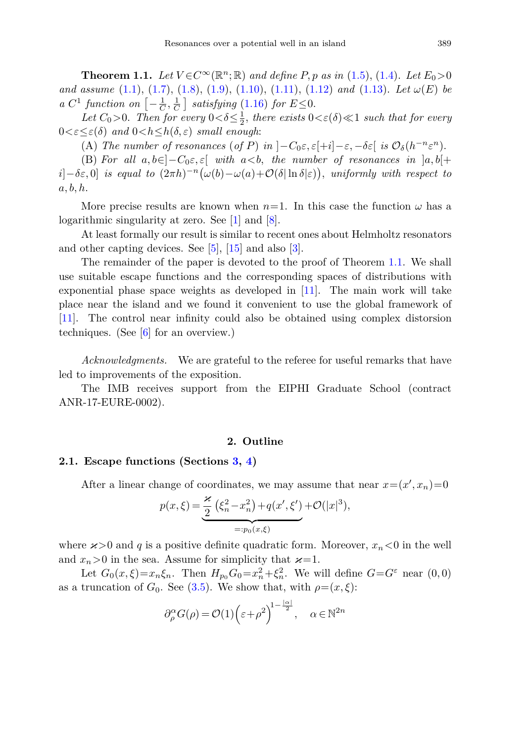<span id="page-4-0"></span>**Theorem 1.1.** Let  $V \in C^\infty(\mathbb{R}^n; \mathbb{R})$  and define *P*, *p* as in [\(1.5\)](#page-1-0), [\(1.4\)](#page-1-3). Let  $E_0 > 0$ and assume [\(1.1\)](#page-0-1), [\(1.7\)](#page-2-0), [\(1.8\)](#page-2-1), [\(1.9\)](#page-2-2), [\(1.10\)](#page-2-3), [\(1.11\)](#page-3-3), [\(1.12\)](#page-3-4) and [\(1.13\)](#page-3-5). Let *ω*(*E*) be a  $C^1$  function on  $\left[-\frac{1}{C}, \frac{1}{C}\right]$  satisfying [\(1.16\)](#page-3-2) for  $E \leq 0$ .

Let  $C_0 > 0$ . Then for every  $0 < \delta \leq \frac{1}{2}$ , there exists  $0 < \varepsilon(\delta) \ll 1$  such that for every  $0 < \varepsilon \leq \varepsilon(\delta)$  and  $0 < h \leq h(\delta, \varepsilon)$  small enough:

(A) The number of resonances (of *P*) in  $\vert -C_0 \varepsilon, \varepsilon \vert +i \vert -\varepsilon, -\delta \varepsilon \vert$  is  $\mathcal{O}_{\delta}(h^{-n} \varepsilon^n)$ .

(B) For all  $a, b \in ]-C_0\varepsilon, \varepsilon[$  with  $a < b$ , the number of resonances in  $]a, b[+$  $i$ ]−*δε*, 0] is equal to  $(2\pi h)^{-n} (\omega(b) - \omega(a) + \mathcal{O}(\delta |\ln \delta|\varepsilon))$ , uniformly with respect to *a, b, h*.

More precise results are known when  $n=1$ . In this case the function  $\omega$  has a logarithmic singularity at zero. See [\[1](#page-51-6)] and [\[8\]](#page-51-7).

At least formally our result is similar to recent ones about Helmholtz resonators and other capting devices. See [\[5](#page-51-8)], [\[15\]](#page-51-9) and also [\[3\]](#page-51-10).

The remainder of the paper is devoted to the proof of Theorem [1.1.](#page-4-0) We shall use suitable escape functions and the corresponding spaces of distributions with exponential phase space weights as developed in [\[11](#page-51-0)]. The main work will take place near the island and we found it convenient to use the global framework of [\[11\]](#page-51-0). The control near infinity could also be obtained using complex distorsion techniques. (See  $[6]$  for an overview.)

*Acknowledgments.* We are grateful to the referee for useful remarks that have led to improvements of the exposition.

The IMB receives support from the EIPHI Graduate School (contract ANR-17-EURE-0002).

#### **2. Outline**

#### **2.1. Escape functions (Sections [3,](#page-8-0) [4\)](#page-11-0)**

After a linear change of coordinates, we may assume that near  $x = (x', x_n) = 0$ 

$$
p(x,\xi) = \underbrace{\frac{\varkappa}{2} (\xi_n^2 - x_n^2) + q(x',\xi')}_{=:p_0(x,\xi)} + \mathcal{O}(|x|^3),
$$

where  $x>0$  and q is a positive definite quadratic form. Moreover,  $x_n<0$  in the well and  $x_n > 0$  in the sea. Assume for simplicity that  $\varkappa = 1$ .

Let  $G_0(x,\xi) = x_n\xi_n$ . Then  $H_{p_0}G_0 = x_n^2 + \xi_n^2$ . We will define  $G = G^{\varepsilon}$  near  $(0,0)$ as a truncation of  $G_0$ . See [\(3.5\)](#page-9-0). We show that, with  $\rho = (x, \xi)$ :

$$
\partial_{\rho}^{\alpha}G(\rho) = \mathcal{O}(1)\left(\varepsilon + \rho^2\right)^{1 - \frac{|\alpha|}{2}}, \quad \alpha \in \mathbb{N}^{2n}
$$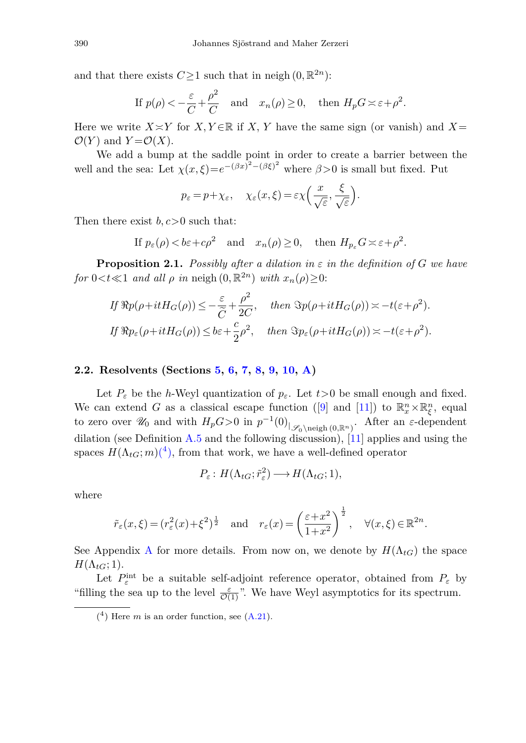and that there exists  $C \geq 1$  such that in neigh  $(0, \mathbb{R}^{2n})$ :

If 
$$
p(\rho) < -\frac{\varepsilon}{C} + \frac{\rho^2}{C}
$$
 and  $x_n(\rho) \ge 0$ , then  $H_p G \asymp \varepsilon + \rho^2$ .

Here we write  $X \times Y$  for *X, Y*  $\in \mathbb{R}$  if *X, Y* have the same sign (or vanish) and *X* =  $\mathcal{O}(Y)$  and  $Y = \mathcal{O}(X)$ .

We add a bump at the saddle point in order to create a barrier between the well and the sea: Let  $\chi(x,\xi) = e^{-(\beta x)^2 - (\beta \xi)^2}$  where  $\beta > 0$  is small but fixed. Put

$$
p_{\varepsilon} = p + \chi_{\varepsilon}, \quad \chi_{\varepsilon}(x,\xi) = \varepsilon \chi \left( \frac{x}{\sqrt{\varepsilon}}, \frac{\xi}{\sqrt{\varepsilon}} \right).
$$

Then there exist *b, c>*0 such that:

If 
$$
p_{\varepsilon}(\rho) < b\varepsilon + c\rho^2
$$
 and  $x_n(\rho) \ge 0$ , then  $H_{p_{\varepsilon}}G \asymp \varepsilon + \rho^2$ .

**Proposition 2.1.** Possibly after a dilation in  $\varepsilon$  in the definition of *G* we have for  $0 < t \ll 1$  and all  $\rho$  in neigh  $(0, \mathbb{R}^{2n})$  with  $x_n(\rho) \geq 0$ :

$$
If \Re p(\rho + itH_G(\rho)) \le -\frac{\varepsilon}{\widetilde{C}} + \frac{\rho^2}{2C}, \quad then \ \Im p(\rho + itH_G(\rho)) \asymp -t(\varepsilon + \rho^2).
$$
  
If  $\Re p_{\varepsilon}(\rho + itH_G(\rho)) \le b\varepsilon + \frac{c}{2}\rho^2$ , then  $\Im p_{\varepsilon}(\rho + itH_G(\rho)) \asymp -t(\varepsilon + \rho^2)$ .

## **2.2. Resolvents (Sections [5,](#page-13-0) [6,](#page-16-0) [7,](#page-22-0) [8,](#page-25-0) [9,](#page-27-0) [10,](#page-31-0) [A\)](#page-41-0)**

Let  $P_{\varepsilon}$  be the *h*-Weyl quantization of  $p_{\varepsilon}$ . Let  $t>0$  be small enough and fixed. We can extend *G* as a classical escape function ([\[9](#page-51-12)] and [\[11\]](#page-51-0)) to  $\mathbb{R}_x^n \times \mathbb{R}_\xi^n$ , equal to zero over  $\mathscr{U}_0$  and with  $H_p G>0$  in  $p^{-1}(0)_{|\mathscr{S}_0\setminus \text{neigh } (0,\mathbb{R}^n)}$ . After an  $\varepsilon$ -dependent dilation (see Definition [A.5](#page-46-0) and the following discussion), [\[11\]](#page-51-0) applies and using the spaces  $H(\Lambda_{tG};m)$ <sup>(4</sup>), from that work, we have a well-defined operator

$$
P_{\varepsilon}: H(\Lambda_{tG}; \tilde{r}_{\varepsilon}^2) \longrightarrow H(\Lambda_{tG}; 1),
$$

where

$$
\tilde{r}_{\varepsilon}(x,\xi) = (r_{\varepsilon}^2(x) + \xi^2)^{\frac{1}{2}}
$$
 and  $r_{\varepsilon}(x) = \left(\frac{\varepsilon + x^2}{1 + x^2}\right)^{\frac{1}{2}}$ ,  $\forall (x,\xi) \in \mathbb{R}^{2n}$ .

See [A](#page-41-0)ppendix A for more details. From now on, we denote by  $H(\Lambda_{tG})$  the space  $H(\Lambda_{tG}; 1).$ 

Let  $P_{\varepsilon}^{\text{int}}$  be a suitable self-adjoint reference operator, obtained from  $P_{\varepsilon}$  by "filling the sea up to the level  $\frac{\varepsilon}{\mathcal{O}(1)}$ ". We have Weyl asymptotics for its spectrum.

<span id="page-5-0"></span> $(4)$  Here *m* is an order function, see  $(A.21)$ .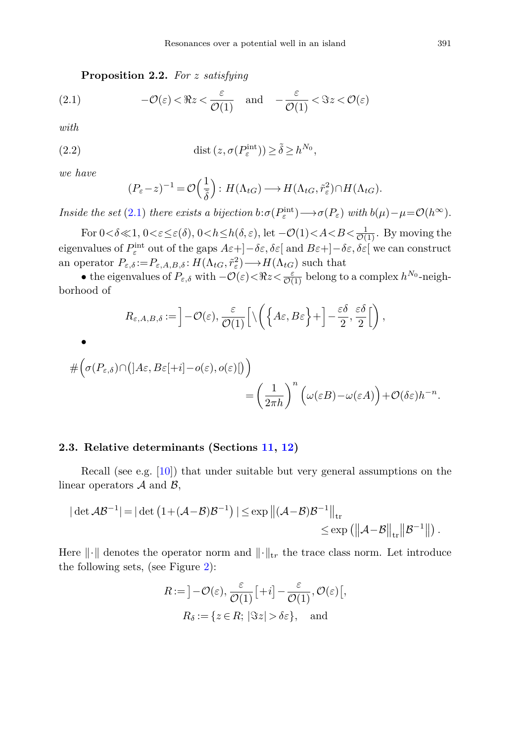**Proposition 2.2.** For *z* satisfying

(2.1) 
$$
-\mathcal{O}(\varepsilon) < \Re z < \frac{\varepsilon}{\mathcal{O}(1)} \quad \text{and} \quad -\frac{\varepsilon}{\mathcal{O}(1)} < \Im z < \mathcal{O}(\varepsilon)
$$

<span id="page-6-1"></span>with

(2.2) 
$$
\operatorname{dist}\left(z, \sigma(P_{\varepsilon}^{\text{int}})\right) \ge \tilde{\delta} \ge h^{N_0},
$$

we have

•

<span id="page-6-0"></span>
$$
(P_{\varepsilon}-z)^{-1} = \mathcal{O}\left(\frac{1}{\tilde{\delta}}\right) : H(\Lambda_{tG}) \longrightarrow H(\Lambda_{tG}, \tilde{r}_{\varepsilon}^2) \cap H(\Lambda_{tG}).
$$

Inside the set [\(2.1\)](#page-6-0) there exists a bijection  $b:\sigma(P_{\varepsilon}^{\text{int}}) \longrightarrow \sigma(P_{\varepsilon})$  with  $b(\mu) - \mu = \mathcal{O}(h^{\infty})$ .

For  $0 < \delta \ll 1$ ,  $0 < \varepsilon \leq \varepsilon(\delta)$ ,  $0 < h \leq h(\delta, \varepsilon)$ , let  $-\mathcal{O}(1) < A < B < \frac{1}{\mathcal{O}(1)}$ . By moving the eigenvalues of  $P_{\varepsilon}^{\text{int}}$  out of the gaps  $A\varepsilon + ]-\delta \varepsilon, \delta \varepsilon[$  and  $B\varepsilon + ]-\delta \varepsilon, \delta \varepsilon[$  we can construct an operator  $P_{\varepsilon,\delta} := P_{\varepsilon,A,B,\delta} : H(\Lambda_{tG}, \tilde{r}_{\varepsilon}) \longrightarrow H(\Lambda_{tG})$  such that

• the eigenvalues of  $P_{\varepsilon,\delta}$  with  $-\mathcal{O}(\varepsilon) < \Re z < \frac{\varepsilon}{\mathcal{O}(1)}$  belong to a complex  $h^{N_0}$ -neighborhood of

$$
R_{\varepsilon,A,B,\delta} := \left] - \mathcal{O}(\varepsilon), \frac{\varepsilon}{\mathcal{O}(1)} \left[ \setminus \left( \left\{ A\varepsilon, B\varepsilon \right\} + \right] - \frac{\varepsilon\delta}{2}, \frac{\varepsilon\delta}{2} \right[ \right),
$$

$$
\begin{aligned}\n&\# \Big(\sigma(P_{\varepsilon,\delta}) \cap \big( [A\varepsilon, B\varepsilon[+i] - o(\varepsilon), o(\varepsilon) [ \big) \Big) \\
&= \left( \frac{1}{2\pi h} \right)^n \Big( \omega(\varepsilon B) - \omega(\varepsilon A) \Big) + \mathcal{O}(\delta \varepsilon) h^{-n}.\n\end{aligned}
$$

#### **2.3. Relative determinants (Sections [11,](#page-33-0) [12\)](#page-39-0)**

Recall (see e.g. [\[10\]](#page-51-13)) that under suitable but very general assumptions on the linear operators  $A$  and  $B$ ,

$$
|\det \mathcal{AB}^{-1}| = |\det (1 + (\mathcal{A} - \mathcal{B})\mathcal{B}^{-1})| \le \exp \left\| (\mathcal{A} - \mathcal{B})\mathcal{B}^{-1} \right\|_{\text{tr}} \le \exp \left( \left\| \mathcal{A} - \mathcal{B} \right\|_{\text{tr}} \left\| \mathcal{B}^{-1} \right\| \right).
$$

Here  $\|\cdot\|$  denotes the operator norm and  $\|\cdot\|_{tr}$  the trace class norm. Let introduce the following sets, (see Figure [2\)](#page-6-1):

$$
R := \left] -\mathcal{O}(\varepsilon), \frac{\varepsilon}{\mathcal{O}(1)} \left[ +i \right] - \frac{\varepsilon}{\mathcal{O}(1)}, \mathcal{O}(\varepsilon) \left[ , \right. \\ R_{\delta} := \left\{ z \in R; \, |\Im z| > \delta \varepsilon \right\}, \text{ and}
$$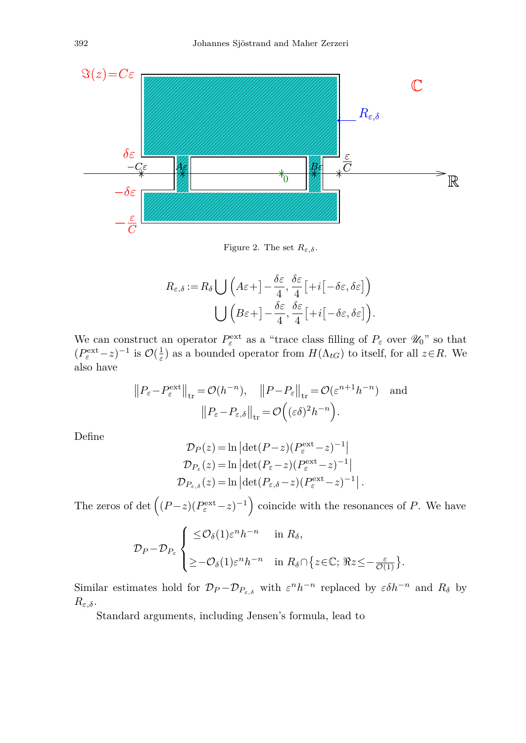

Figure 2. The set  $R_{\varepsilon,\delta}$ .

$$
R_{\varepsilon,\delta} := R_{\delta} \bigcup \left( A \varepsilon + \right] - \frac{\delta \varepsilon}{4}, \frac{\delta \varepsilon}{4} \left[ + i \left[ - \delta \varepsilon, \delta \varepsilon \right] \right)
$$

$$
\bigcup \left( B \varepsilon + \right] - \frac{\delta \varepsilon}{4}, \frac{\delta \varepsilon}{4} \left[ + i \left[ - \delta \varepsilon, \delta \varepsilon \right] \right).
$$

We can construct an operator  $P_{\varepsilon}^{\text{ext}}$  as a "trace class filling of  $P_{\varepsilon}$  over  $\mathscr{U}_0$ " so that  $(P_{\varepsilon}^{\text{ext}} - z)^{-1}$  is  $\mathcal{O}(\frac{1}{\varepsilon})$  as a bounded operator from  $H(\Lambda_{tG})$  to itself, for all  $z \in R$ . We also have

$$
||P_{\varepsilon} - P_{\varepsilon}^{\text{ext}}||_{\text{tr}} = \mathcal{O}(h^{-n}), \quad ||P - P_{\varepsilon}||_{\text{tr}} = \mathcal{O}(\varepsilon^{n+1} h^{-n}) \text{ and}
$$
  
 $||P_{\varepsilon} - P_{\varepsilon,\delta}||_{\text{tr}} = \mathcal{O}((\varepsilon \delta)^2 h^{-n}).$ 

Define

$$
\mathcal{D}_P(z) = \ln \left| \det(P - z)(P_{\varepsilon}^{\text{ext}} - z)^{-1} \right|
$$
  
\n
$$
\mathcal{D}_{P_{\varepsilon}}(z) = \ln \left| \det(P_{\varepsilon} - z)(P_{\varepsilon}^{\text{ext}} - z)^{-1} \right|
$$
  
\n
$$
\mathcal{D}_{P_{\varepsilon,\delta}}(z) = \ln \left| \det(P_{\varepsilon,\delta} - z)(P_{\varepsilon}^{\text{ext}} - z)^{-1} \right|.
$$

The zeros of det  $((P-z)(P_{\varepsilon}^{\text{ext}}-z)^{-1})$  coincide with the resonances of *P*. We have

$$
\mathcal{D}_{P} - \mathcal{D}_{P_{\varepsilon}} \begin{cases} \leq & \mathcal{O}_{\delta}(1) \varepsilon^{n} h^{-n} \quad \text{in } R_{\delta}, \\ \geq -\mathcal{O}_{\delta}(1) \varepsilon^{n} h^{-n} \quad \text{in } R_{\delta} \cap \{z \in \mathbb{C}; \Re z \leq -\frac{\varepsilon}{\mathcal{O}(1)}\}. \end{cases}
$$

Similar estimates hold for  $\mathcal{D}_P - \mathcal{D}_{P_{\varepsilon,\delta}}$  with  $\varepsilon^n h^{-n}$  replaced by  $\varepsilon \delta h^{-n}$  and  $R_\delta$  by  $R_{\varepsilon,\delta}$ .

Standard arguments, including Jensen's formula, lead to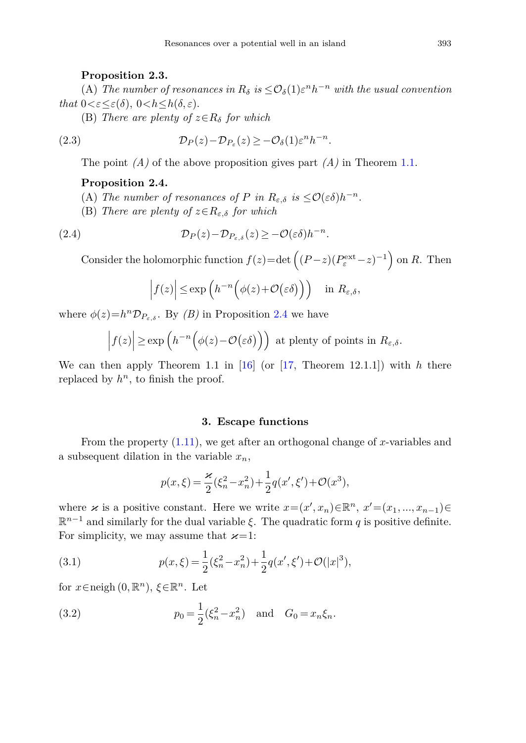#### **Proposition 2.3.**

(A) The number of resonances in  $R_\delta$  is  $\leq \mathcal{O}_\delta(1) \varepsilon^n h^{-n}$  with the usual convention that  $0 < \varepsilon \leq \varepsilon(\delta)$ ,  $0 < h \leq h(\delta, \varepsilon)$ .

(B) There are plenty of  $z \in R_\delta$  for which

(2.3) 
$$
\mathcal{D}_P(z) - \mathcal{D}_{P_{\varepsilon}}(z) \geq -\mathcal{O}_{\delta}(1)\varepsilon^n h^{-n}.
$$

The point *(A)* of the above proposition gives part *(A)* in Theorem [1.1.](#page-4-0)

### <span id="page-8-1"></span>**Proposition 2.4.**

- (A) The number of resonances of *P* in  $R_{\varepsilon,\delta}$  is  $\leq \mathcal{O}(\varepsilon\delta)h^{-n}$ .
- (B) There are plenty of  $z \in R_{\varepsilon,\delta}$  for which

(2.4) 
$$
\mathcal{D}_P(z) - \mathcal{D}_{P_{\varepsilon,\delta}}(z) \geq -\mathcal{O}(\varepsilon\delta)h^{-n}.
$$

Consider the holomorphic function  $f(z) = \det \left( (P - z)(P_{\varepsilon}^{\text{ext}} - z)^{-1} \right)$  on *R*. Then

$$
\left| f(z) \right| \leq \exp\left( h^{-n} \Big( \phi(z) + \mathcal{O}\big(\varepsilon \delta\big) \Big) \right) \quad \text{in } R_{\varepsilon, \delta},
$$

where  $\phi(z) = h^n \mathcal{D}_{P_{\varepsilon,\delta}}$ . By *(B)* in Proposition [2.4](#page-8-1) we have

$$
\left| f(z) \right| \geq \exp\left( h^{-n} \Big( \phi(z) - \mathcal{O}\big( \varepsilon \delta \big) \Big) \right) \text{ at plenty of points in } R_{\varepsilon, \delta}.
$$

We can then apply Theorem 1.1 in [\[16](#page-52-0)] (or [\[17](#page-52-1), Theorem 12.1.1]) with *h* there replaced by  $h^n$ , to finish the proof.

## **3. Escape functions**

<span id="page-8-0"></span>From the property [\(1.11\)](#page-3-3), we get after an orthogonal change of *x*-variables and a subsequent dilation in the variable *xn*,

<span id="page-8-2"></span>
$$
p(x,\xi) = \frac{\varkappa}{2}(\xi_n^2 - x_n^2) + \frac{1}{2}q(x',\xi') + \mathcal{O}(x^3),
$$

where  $\varkappa$  is a positive constant. Here we write  $x=(x',x_n)\in\mathbb{R}^n$ ,  $x'=(x_1,...,x_{n-1})\in$  $\mathbb{R}^{n-1}$  and similarly for the dual variable  $\xi$ . The quadratic form *q* is positive definite. For simplicity, we may assume that  $\varkappa=1$ :

(3.1) 
$$
p(x,\xi) = \frac{1}{2}(\xi_n^2 - x_n^2) + \frac{1}{2}q(x',\xi') + \mathcal{O}(|x|^3),
$$

for  $x \in \text{neigh}(0, \mathbb{R}^n)$ ,  $\xi \in \mathbb{R}^n$ . Let

(3.2) 
$$
p_0 = \frac{1}{2}(\xi_n^2 - x_n^2) \text{ and } G_0 = x_n \xi_n.
$$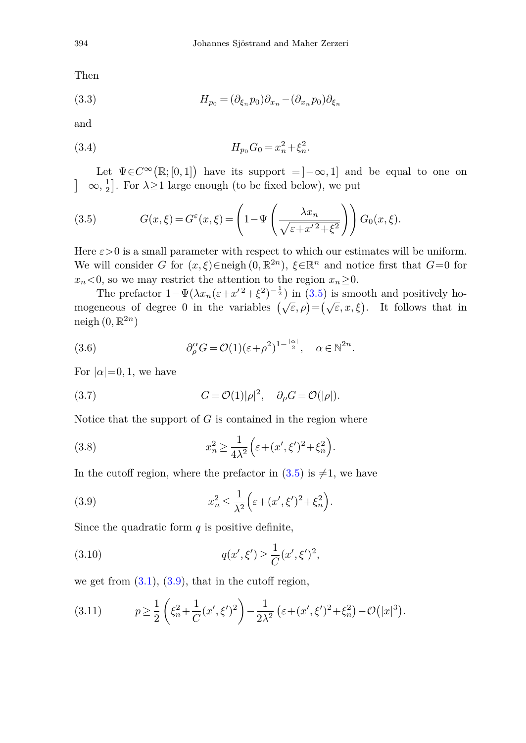Then

(3.3) 
$$
H_{p_0} = (\partial_{\xi_n} p_0) \partial_{x_n} - (\partial_{x_n} p_0) \partial_{\xi_n}
$$

and

(3.4) 
$$
H_{p_0}G_0 = x_n^2 + \xi_n^2.
$$

Let  $\Psi \in C^{\infty}(\mathbb{R}; [0,1])$  have its support =  $]-\infty, 1]$  and be equal to one on  $]-\infty, \frac{1}{2}].$  For  $\lambda \ge 1$  large enough (to be fixed below), we put

<span id="page-9-0"></span>(3.5) 
$$
G(x,\xi) = G^{\varepsilon}(x,\xi) = \left(1 - \Psi\left(\frac{\lambda x_n}{\sqrt{\varepsilon + x'^2 + \xi^2}}\right)\right) G_0(x,\xi).
$$

Here  $\varepsilon > 0$  is a small parameter with respect to which our estimates will be uniform. We will consider *G* for  $(x,\xi) \in \text{neigh}(0,\mathbb{R}^{2n})$ ,  $\xi \in \mathbb{R}^n$  and notice first that  $G=0$  for  $x_n < 0$ , so we may restrict the attention to the region  $x_n \geq 0$ .

The prefactor  $1-\Psi(\lambda x_n(\varepsilon+x^2+\xi^2)^{-\frac{1}{2}})$  in [\(3.5\)](#page-9-0) is smooth and positively homogeneous of degree 0 in the variables  $(\sqrt{\varepsilon}, \rho) = (\sqrt{\varepsilon}, x, \xi)$ . It follows that in neigh  $(0, \mathbb{R}^{2n})$ 

(3.6) 
$$
\partial_{\rho}^{\alpha} G = \mathcal{O}(1)(\varepsilon + \rho^2)^{1 - \frac{|\alpha|}{2}}, \quad \alpha \in \mathbb{N}^{2n}.
$$

<span id="page-9-2"></span>For  $|\alpha|=0,1$ , we have

(3.7) 
$$
G = \mathcal{O}(1)|\rho|^2, \quad \partial_{\rho}G = \mathcal{O}(|\rho|).
$$

Notice that the support of *G* is contained in the region where

(3.8) 
$$
x_n^2 \ge \frac{1}{4\lambda^2} \left( \varepsilon + (x', \xi')^2 + \xi_n^2 \right).
$$

<span id="page-9-1"></span>In the cutoff region, where the prefactor in  $(3.5)$  is  $\neq 1$ , we have

(3.9) 
$$
x_n^2 \le \frac{1}{\lambda^2} \left( \varepsilon + (x', \xi')^2 + \xi_n^2 \right).
$$

Since the quadratic form  $q$  is positive definite,

(3.10) 
$$
q(x',\xi') \geq \frac{1}{C}(x',\xi')^2,
$$

we get from  $(3.1)$ ,  $(3.9)$ , that in the cutoff region,

(3.11) 
$$
p \ge \frac{1}{2} \left( \xi_n^2 + \frac{1}{C} (x', \xi')^2 \right) - \frac{1}{2\lambda^2} \left( \varepsilon + (x', \xi')^2 + \xi_n^2 \right) - \mathcal{O}(|x|^3).
$$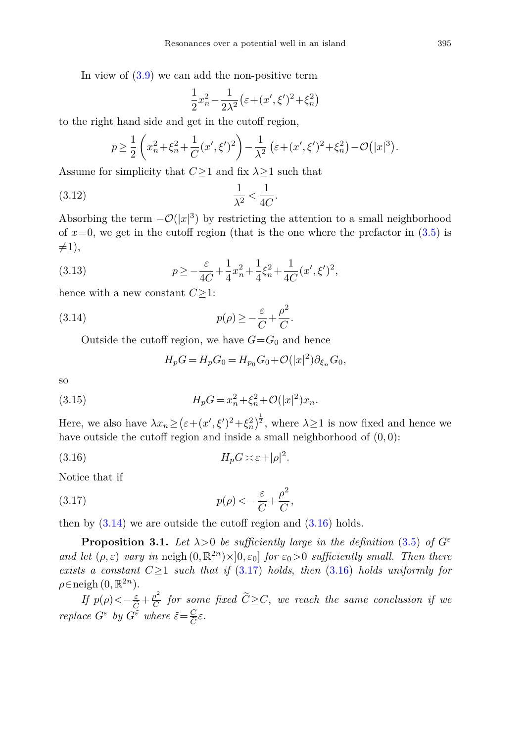In view of  $(3.9)$  we can add the non-positive term

$$
\frac{1}{2}x_n^2 - \frac{1}{2\lambda^2}(\varepsilon + (x', \xi')^2 + \xi_n^2)
$$

to the right hand side and get in the cutoff region,

$$
p \ge \frac{1}{2} \left( x_n^2 + \xi_n^2 + \frac{1}{C} (x', \xi')^2 \right) - \frac{1}{\lambda^2} \left( \varepsilon + (x', \xi')^2 + \xi_n^2 \right) - \mathcal{O}(|x|^3).
$$

Assume for simplicity that *C*≥1 and fix *λ*≥1 such that

$$
\frac{1}{\lambda^2} < \frac{1}{4C}.
$$

Absorbing the term  $-\mathcal{O}(|x|^3)$  by restricting the attention to a small neighborhood of  $x=0$ , we get in the cutoff region (that is the one where the prefactor in  $(3.5)$ ) is  $\neq$ 1),

(3.13) 
$$
p \ge -\frac{\varepsilon}{4C} + \frac{1}{4}x_n^2 + \frac{1}{4}\xi_n^2 + \frac{1}{4C}(x', \xi')^2,
$$

hence with a new constant  $C \geq 1$ :

(3.14) 
$$
p(\rho) \geq -\frac{\varepsilon}{C} + \frac{\rho^2}{C}.
$$

Outside the cutoff region, we have  $G = G_0$  and hence

<span id="page-10-1"></span><span id="page-10-0"></span>
$$
H_p G = H_p G_0 = H_{p_0} G_0 + \mathcal{O}(|x|^2) \partial_{\xi_n} G_0,
$$

so

(3.15) 
$$
H_p G = x_n^2 + \xi_n^2 + \mathcal{O}(|x|^2) x_n.
$$

Here, we also have  $\lambda x_n \ge (\varepsilon + (x', \xi')^2 + \xi_n^2)^{\frac{1}{2}}$ , where  $\lambda \ge 1$  is now fixed and hence we have outside the cutoff region and inside a small neighborhood of (0*,* 0):

$$
(3.16) \tH_p G \asymp \varepsilon + |\rho|^2.
$$

<span id="page-10-2"></span>Notice that if

(3.17) 
$$
p(\rho) < -\frac{\varepsilon}{C} + \frac{\rho^2}{C},
$$

then by  $(3.14)$  we are outside the cutoff region and  $(3.16)$  holds.

<span id="page-10-3"></span>**Proposition 3.1.** Let  $\lambda > 0$  be sufficiently large in the definition [\(3.5\)](#page-9-0) of  $G^{\varepsilon}$ and let  $(\rho, \varepsilon)$  vary in neigh  $(0, \mathbb{R}^{2n}) \times ]0, \varepsilon_0]$  for  $\varepsilon_0 > 0$  sufficiently small. Then there exists a constant  $C \geq 1$  such that if [\(3.17\)](#page-10-2) holds, then [\(3.16\)](#page-10-1) holds uniformly for  $\rho \in \text{neigh } (0, \mathbb{R}^{2n}).$ 

 $\inf p(\rho) < -\frac{\varepsilon}{\tilde{C}}+\frac{\rho^2}{C}$  for some fixed  $\widetilde{C}\geq C$ , we reach the same conclusion if we *If*  $p(\rho) < -\frac{\varepsilon}{\tilde{C}} + \frac{\rho^2}{C}$  for som<br>replace  $G^{\varepsilon}$  by  $G^{\tilde{\varepsilon}}$  where  $\tilde{\varepsilon} = \frac{C}{\tilde{C}} \varepsilon$ .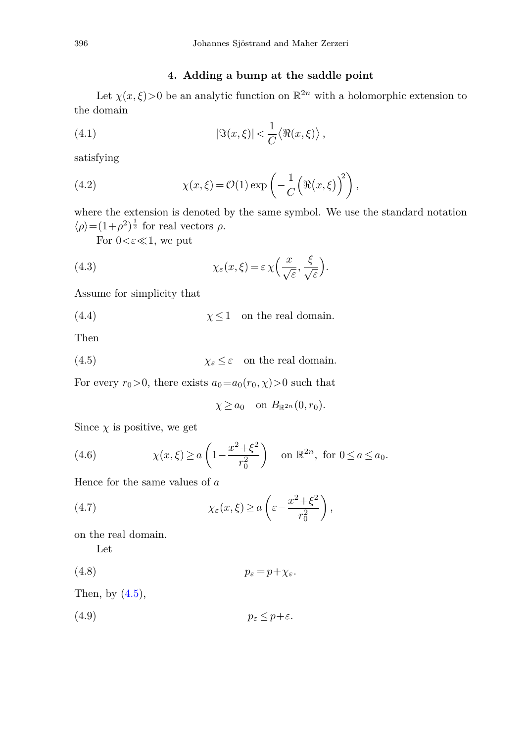## <span id="page-11-5"></span>**4. Adding a bump at the saddle point**

<span id="page-11-0"></span>Let  $\chi(x,\xi)$  > 0 be an analytic function on  $\mathbb{R}^{2n}$  with a holomorphic extension to the domain

(4.1) 
$$
|\Im(x,\xi)| < \frac{1}{C} \langle \Re(x,\xi) \rangle,
$$

<span id="page-11-4"></span>satisfying

(4.2) 
$$
\chi(x,\xi) = \mathcal{O}(1) \exp\left(-\frac{1}{C} \left(\Re(x,\xi)\right)^2\right),
$$

where the extension is denoted by the same symbol. We use the standard notation  $\langle \rho \rangle = (1+\rho^2)^{\frac{1}{2}}$  for real vectors  $\rho$ .

*.*

<span id="page-11-6"></span>For  $0<\epsilon\ll 1$ , we put

(4.3) 
$$
\chi_{\varepsilon}(x,\xi) = \varepsilon \chi\left(\frac{x}{\sqrt{\varepsilon}}, \frac{\xi}{\sqrt{\varepsilon}}\right)
$$

Assume for simplicity that

(4.4) 
$$
\qquad \qquad \chi \leq 1
$$
 on the real domain.

<span id="page-11-1"></span>Then

(4.5) 
$$
\chi_{\varepsilon} \leq \varepsilon
$$
 on the real domain.

For every  $r_0 > 0$ , there exists  $a_0 = a_0(r_0, \chi) > 0$  such that

<span id="page-11-7"></span><span id="page-11-3"></span><span id="page-11-2"></span>
$$
\chi \ge a_0 \quad \text{on } B_{\mathbb{R}^{2n}}(0, r_0).
$$

Since  $\chi$  is positive, we get

(4.6) 
$$
\chi(x,\xi) \ge a \left(1 - \frac{x^2 + \xi^2}{r_0^2}\right)
$$
 on  $\mathbb{R}^{2n}$ , for  $0 \le a \le a_0$ .

Hence for the same values of *a*

(4.7) 
$$
\chi_{\varepsilon}(x,\xi) \ge a \left( \varepsilon - \frac{x^2 + \xi^2}{r_0^2} \right),
$$

on the real domain.

<span id="page-11-8"></span>Let

(4.8) *p<sup>ε</sup>* = *p*+*χε.*

Then, by  $(4.5)$ ,

$$
(4.9) \t\t\t\t\t p_{\varepsilon} \leq p + \varepsilon.
$$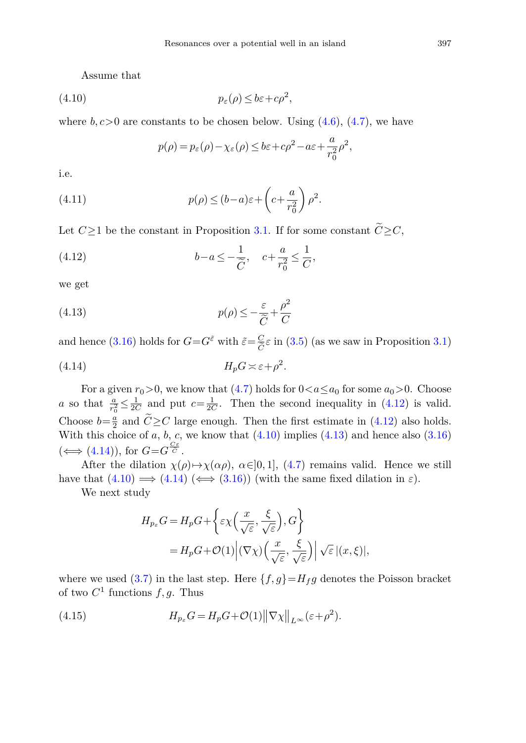<span id="page-12-1"></span>Assume that

$$
(4.10) \t\t\t\t\t p_{\varepsilon}(\rho) \le b\varepsilon + c\rho^2,
$$

where  $b, c > 0$  are constants to be chosen below. Using  $(4.6)$ ,  $(4.7)$ , we have

<span id="page-12-3"></span><span id="page-12-0"></span>
$$
p(\rho) = p_{\varepsilon}(\rho) - \chi_{\varepsilon}(\rho) \le b\varepsilon + c\rho^2 - a\varepsilon + \frac{a}{r_0^2}\rho^2,
$$

i.e.

(4.11) 
$$
p(\rho) \le (b-a)\varepsilon + \left(c + \frac{a}{r_0^2}\right)\rho^2.
$$

Let  $C \geq 1$  be the constant in Proposition [3.1.](#page-10-3) If for some constant  $\tilde{C} \geq C$ ,

(4.12) 
$$
b-a \le -\frac{1}{\widetilde{C}}, \quad c+\frac{a}{r_0^2} \le \frac{1}{C},
$$

<span id="page-12-2"></span>we get

(4.13) 
$$
p(\rho) \leq -\frac{\varepsilon}{\widetilde{C}} + \frac{\rho^2}{C}
$$

and hence [\(3.16\)](#page-10-1) holds for  $G = G^{\tilde{\varepsilon}}$  with  $\tilde{\varepsilon} = \frac{C}{\tilde{C}} \varepsilon$  in [\(3.5\)](#page-9-0) (as we saw in Proposition [3.1\)](#page-10-3)

$$
(4.14) \t\t H_p G \asymp \varepsilon + \rho^2.
$$

For a given  $r_0 > 0$ , we know that [\(4.7\)](#page-11-3) holds for  $0 < a \le a_0$  for some  $a_0 > 0$ . Choose *a* so that  $\frac{a}{r_0^2} \leq \frac{1}{2C}$  and put  $c = \frac{1}{2C}$ . Then the second inequality in [\(4.12\)](#page-12-0) is valid. Choose  $b=\frac{a}{2}$  and  $\tilde{C} \geq C$  large enough. Then the first estimate in [\(4.12\)](#page-12-0) also holds. With this choice of  $a, b, c$ , we know that  $(4.10)$  implies  $(4.13)$  and hence also  $(3.16)$ With this choice of *a*, *b*, *c*,  $(\iff$   $(4.14))$  $(4.14))$ , for  $G = G^{\frac{C\varepsilon}{C}}$ .

After the dilation  $\chi(\rho) \mapsto \chi(\alpha \rho)$ ,  $\alpha \in ]0,1]$ , [\(4.7\)](#page-11-3) remains valid. Hence we still have that  $(4.10) \implies (4.14) \iff (3.16)$  $(4.10) \implies (4.14) \iff (3.16)$  $(4.10) \implies (4.14) \iff (3.16)$  $(4.10) \implies (4.14) \iff (3.16)$  $(4.10) \implies (4.14) \iff (3.16)$  (with the same fixed dilation in  $\varepsilon$ ).

We next study

$$
H_{p_{\varepsilon}}G = H_p G + \left\{ \varepsilon \chi \left( \frac{x}{\sqrt{\varepsilon}}, \frac{\xi}{\sqrt{\varepsilon}} \right), G \right\}
$$
  
=  $H_p G + \mathcal{O}(1) \left| (\nabla \chi) \left( \frac{x}{\sqrt{\varepsilon}}, \frac{\xi}{\sqrt{\varepsilon}} \right) \right| \sqrt{\varepsilon} |(x, \xi)|,$ 

where we used [\(3.7\)](#page-9-2) in the last step. Here  $\{f,g\} = H_f g$  denotes the Poisson bracket of two  $C^1$  functions  $f, g$ . Thus

(4.15) 
$$
H_{p_{\varepsilon}}G = H_pG + \mathcal{O}(1) \|\nabla \chi\|_{L^{\infty}} (\varepsilon + \rho^2).
$$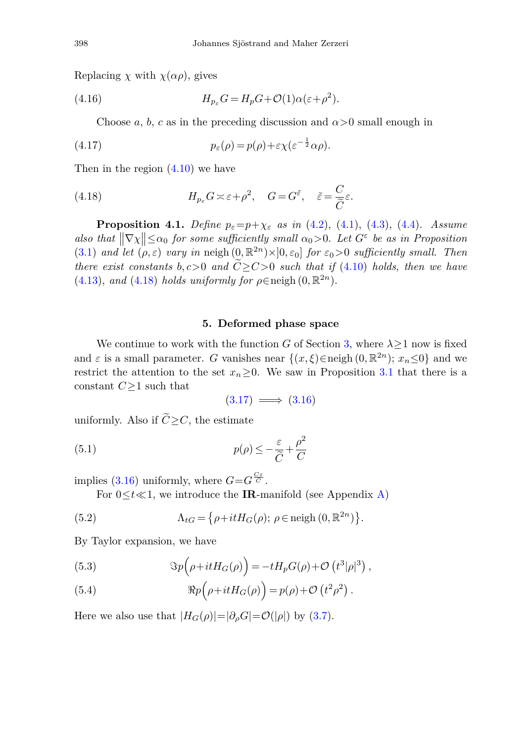Replacing  $\chi$  with  $\chi(\alpha \rho)$ , gives

(4.16) 
$$
H_{p_{\varepsilon}}G = H_pG + \mathcal{O}(1)\alpha(\varepsilon + \rho^2).
$$

<span id="page-13-1"></span>Choose *a*, *b*, *c* as in the preceding discussion and  $\alpha > 0$  small enough in

(4.17) 
$$
p_{\varepsilon}(\rho) = p(\rho) + \varepsilon \chi(\varepsilon^{-\frac{1}{2}} \alpha \rho).
$$

Then in the region [\(4.10\)](#page-12-1) we have

(4.18) 
$$
H_{p_{\varepsilon}}G \asymp \varepsilon + \rho^2, \quad G = G^{\tilde{\varepsilon}}, \quad \tilde{\varepsilon} = \frac{C}{\tilde{C}}\varepsilon.
$$

<span id="page-13-5"></span>**Proposition 4.1.** Define  $p_{\varepsilon} = p + \chi_{\varepsilon}$  as in [\(4.2\)](#page-11-4), [\(4.1\)](#page-11-5), [\(4.3\)](#page-11-6), [\(4.4\)](#page-11-7). Assume also that  $\|\nabla \chi\| \le \alpha_0$  for some sufficiently small  $\alpha_0 > 0$ . Let  $G^{\varepsilon}$  be as in Proposition [\(3.1\)](#page-10-3) and let  $(\rho, \varepsilon)$  vary in neigh  $(0, \mathbb{R}^{2n}) \times ]0, \varepsilon_0]$  for  $\varepsilon_0 > 0$  sufficiently small. Then there exist constants  $b, c>0$  and  $\widetilde{C} \geq C>0$  such that if [\(4.10\)](#page-12-1) holds, then we have [\(4.13\)](#page-12-2), and [\(4.18\)](#page-13-1) holds uniformly for  $\rho \in \text{neigh}(0, \mathbb{R}^{2n})$ .

#### **5. Deformed phase space**

<span id="page-13-0"></span>We continue to work with the function *G* of Section [3,](#page-8-0) where  $\lambda \geq 1$  now is fixed and  $\varepsilon$  is a small parameter. *G* vanishes near  $\{(x,\xi) \in \text{neigh}(0, \mathbb{R}^{2n})\; \text{and} \; \text{we}$ restrict the attention to the set  $x_n \geq 0$ . We saw in Proposition [3.1](#page-10-3) that there is a constant *C*≥1 such that

<span id="page-13-3"></span>
$$
(3.17) \implies (3.16)
$$

uniformly. Also if  $\tilde{C} > C$ , the estimate

(5.1) 
$$
p(\rho) \leq -\frac{\varepsilon}{\widetilde{C}} + \frac{\rho^2}{C}
$$

implies [\(3.16\)](#page-10-1) uniformly, where  $G = G \frac{C \varepsilon}{C}$ .

For  $0 \le t \ll 1$ , we introduce the **IR**-manifold (see Appendix [A\)](#page-41-0)

(5.2) 
$$
\Lambda_{tG} = \{ \rho + itH_G(\rho); \ \rho \in \text{neigh } (0, \mathbb{R}^{2n}) \}.
$$

By Taylor expansion, we have

<span id="page-13-4"></span>(5.3) 
$$
\Im p\left(\rho + itH_G(\rho)\right) = -tH_pG(\rho) + \mathcal{O}\left(t^3|\rho|^3\right),
$$

<span id="page-13-2"></span>(5.4) 
$$
\Re p\left(\rho + itH_G(\rho)\right) = p(\rho) + \mathcal{O}\left(t^2\rho^2\right).
$$

Here we also use that  $|H_G(\rho)|=|\partial_{\rho}G|=\mathcal{O}(|\rho|)$  by [\(3.7\)](#page-9-2).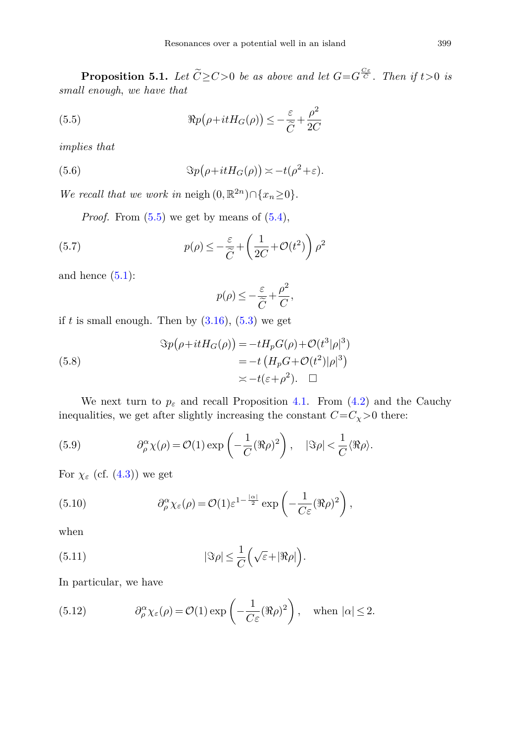<span id="page-14-2"></span>**Proposition 5.1.** Let  $\widetilde{C} \geq C > 0$  be as above and let  $G = G^{\frac{C\varepsilon}{C}}$ . Then if  $t > 0$  is small enough, we have that

<span id="page-14-0"></span>(5.5) 
$$
\Re p(\rho + itH_G(\rho)) \leq -\frac{\varepsilon}{\widetilde{C}} + \frac{\rho^2}{2C}
$$

implies that

(5.6) 
$$
\Im p(\rho + itH_G(\rho)) \asymp -t(\rho^2 + \varepsilon).
$$

We recall that we work in neigh  $(0, \mathbb{R}^{2n}) \cap \{x_n \geq 0\}.$ 

*Proof.* From  $(5.5)$  we get by means of  $(5.4)$ ,

(5.7) 
$$
p(\rho) \leq -\frac{\varepsilon}{\widetilde{C}} + \left(\frac{1}{2C} + \mathcal{O}(t^2)\right)\rho^2
$$

and hence  $(5.1)$ :

$$
p(\rho) \le -\frac{\varepsilon}{\widetilde{C}} + \frac{\rho^2}{C},
$$

if  $t$  is small enough. Then by  $(3.16)$ ,  $(5.3)$  we get

(5.8)  
\n
$$
\Im p(\rho + itH_G(\rho)) = -tH_pG(\rho) + \mathcal{O}(t^3|\rho|^3)
$$
\n
$$
= -t\left(H_pG + \mathcal{O}(t^2)|\rho|^3\right)
$$
\n
$$
\asymp -t(\varepsilon + \rho^2). \quad \Box
$$

We next turn to  $p_{\varepsilon}$  and recall Proposition [4.1.](#page-13-5) From [\(4.2\)](#page-11-4) and the Cauchy inequalities, we get after slightly increasing the constant  $C=C_{\chi}>0$  there:

(5.9) 
$$
\partial_{\rho}^{\alpha} \chi(\rho) = \mathcal{O}(1) \exp\left(-\frac{1}{C} (\Re \rho)^2\right), \quad |\Im \rho| < \frac{1}{C} \langle \Re \rho \rangle.
$$

For  $\chi_{\varepsilon}$  (cf. [\(4.3\)](#page-11-6)) we get

(5.10) 
$$
\partial_{\rho}^{\alpha} \chi_{\varepsilon}(\rho) = \mathcal{O}(1) \varepsilon^{1 - \frac{|\alpha|}{2}} \exp\left(-\frac{1}{C \varepsilon} (\Re \rho)^2\right),
$$

<span id="page-14-1"></span>when

(5.11) 
$$
|\Im \rho| \leq \frac{1}{C} \Big( \sqrt{\varepsilon} + |\Re \rho| \Big).
$$

In particular, we have

(5.12) 
$$
\partial_{\rho}^{\alpha} \chi_{\varepsilon}(\rho) = \mathcal{O}(1) \exp\left(-\frac{1}{C \varepsilon} (\Re \rho)^2\right), \text{ when } |\alpha| \le 2.
$$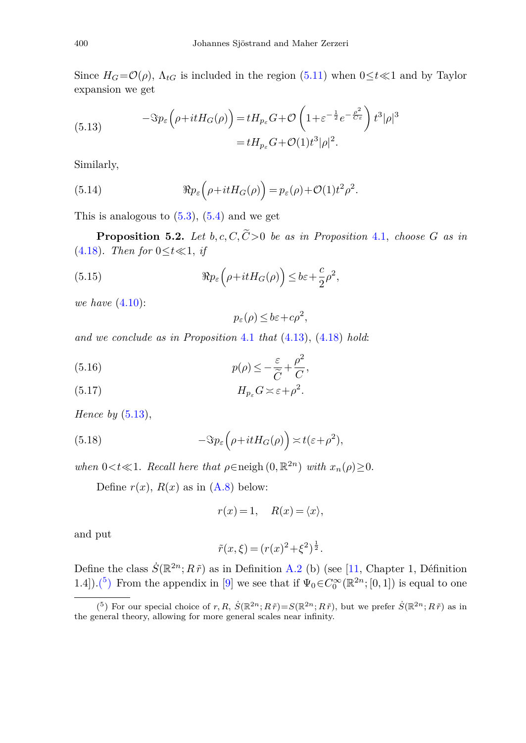<span id="page-15-0"></span>Since  $H_G = \mathcal{O}(\rho)$ ,  $\Lambda_{tG}$  is included in the region [\(5.11\)](#page-14-1) when  $0 \le t \le 1$  and by Taylor expansion we get

(5.13) 
$$
-\Im p_{\varepsilon} \left( \rho + itH_G(\rho) \right) = tH_{p_{\varepsilon}} G + \mathcal{O} \left( 1 + \varepsilon^{-\frac{1}{2}} e^{-\frac{\rho^2}{C_{\varepsilon}}} \right) t^3 |\rho|^3
$$

$$
= tH_{p_{\varepsilon}} G + \mathcal{O}(1)t^3 |\rho|^2.
$$

Similarly,

(5.14) 
$$
\Re p_{\varepsilon}\left(\rho + itH_G(\rho)\right) = p_{\varepsilon}(\rho) + \mathcal{O}(1)t^2 \rho^2.
$$

This is analogous to  $(5.3)$ ,  $(5.4)$  and we get

<span id="page-15-2"></span>**Proposition 5.2.** Let  $b, c, C, \widetilde{C} > 0$  be as in Proposition [4.1,](#page-13-5) choose *G* as in [\(4.18\)](#page-13-1). Then for  $0 \le t \ll 1$ , if

(5.15) 
$$
\Re p_{\varepsilon}\left(\rho + itH_G(\rho)\right) \leq b\varepsilon + \frac{c}{2}\rho^2,
$$

we have [\(4.10\)](#page-12-1):

 $p_{\varepsilon}(\rho) \leq b\varepsilon + c\rho^2$ ,

and we conclude as in Proposition [4.1](#page-13-5) that  $(4.13)$ ,  $(4.18)$  hold:

(5.16) 
$$
p(\rho) \leq -\frac{\varepsilon}{\tilde{C}} + \frac{\rho^2}{C},
$$

$$
(5.17) \t\t H_{p_{\varepsilon}}G \asymp \varepsilon + \rho^2.
$$

Hence by  $(5.13)$ ,

(5.18) 
$$
-\Im p_{\varepsilon}\left(\rho+itH_G(\rho)\right) \asymp t(\varepsilon+\rho^2),
$$

when  $0 < t \ll 1$ . Recall here that  $\rho \in \text{neigh}(0, \mathbb{R}^{2n})$  with  $x_n(\rho) \geq 0$ .

Define  $r(x)$ ,  $R(x)$  as in  $(A.8)$  below:

$$
r(x) = 1, \quad R(x) = \langle x \rangle,
$$

and put

$$
\tilde{r}(x,\xi) = (r(x)^2 + \xi^2)^{\frac{1}{2}}.
$$

Define the class  $\dot{S}(\mathbb{R}^{2n}; R\tilde{r})$  as in Definition [A.2](#page-42-1) (b) (see [\[11](#page-51-0), Chapter 1, Définition 1.4]).<sup>(5</sup>) From the appendix in [\[9](#page-51-12)] we see that if  $\Psi_0 \in C_0^{\infty}(\mathbb{R}^{2n};[0,1])$  is equal to one

<span id="page-15-1"></span><sup>(&</sup>lt;sup>5</sup>) For our special choice of  $r, R, S(\mathbb{R}^{2n}; R\tilde{r})=S(\mathbb{R}^{2n}; R\tilde{r})$ , but we prefer  $S(\mathbb{R}^{2n}; R\tilde{r})$  as in the general theory, allowing for more general scales near infinity.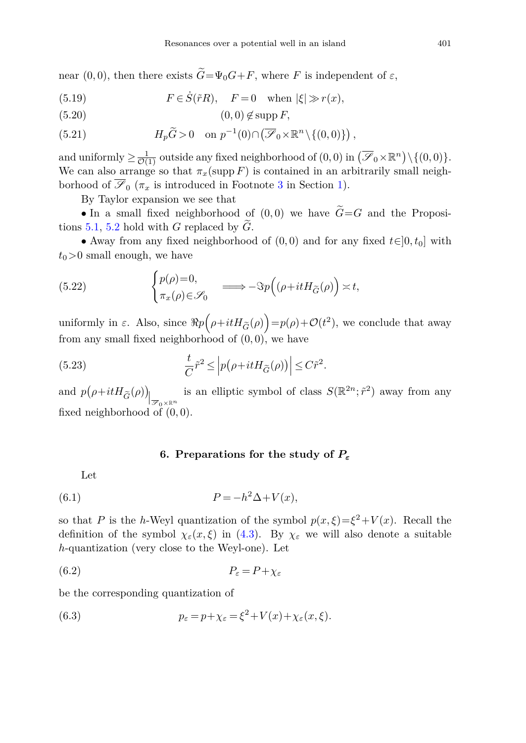near  $(0,0)$ , then there exists  $\widetilde{G} = \Psi_0 G + F$ , where *F* is independent of  $\varepsilon$ ,

(5.19) 
$$
F \in \dot{S}(\tilde{r}R), \quad F = 0 \quad \text{when } |\xi| \gg r(x),
$$

$$
(5.20) \t\t (0,0) \notin \text{supp } F,
$$

(5.21) 
$$
H_p\widetilde{G} > 0 \quad \text{on } p^{-1}(0) \cap (\overline{\mathscr{S}}_0 \times \mathbb{R}^n \setminus \{(0,0)\}),
$$

and uniformly  $\geq \frac{1}{\mathcal{O}(1)}$  outside any fixed neighborhood of  $(0,0)$  in  $(\mathcal{F}_0 \times \mathbb{R}^n) \setminus \{(0,0)\}.$ We can also arrange so that  $\pi_x(\text{supp } F)$  is contained in an arbitrarily small neighborhood of  $\overline{\mathscr{S}}_0$  ( $\pi_x$  is introduced in Footnote [3](#page-3-1) in Section [1\)](#page-0-3).

<span id="page-16-1"></span>By Taylor expansion we see that

• In a small fixed neighborhood of  $(0,0)$  we have  $\widetilde{G}=G$  and the Propositions [5.1,](#page-14-2) [5.2](#page-15-2) hold with *<sup>G</sup>* replaced by *<sup>G</sup>*.

• Away from any fixed neighborhood of  $(0,0)$  and for any fixed  $t \in ]0, t_0]$  with  $t_0$ *>*0 small enough, we have

(5.22) 
$$
\begin{cases} p(\rho)=0, \\ \pi_x(\rho)\in\mathscr{S}_0 \end{cases} \implies -\Im p((\rho+itH_{\widetilde{G}}(\rho))\asymp t,
$$

uniformly in  $\varepsilon$ . Also, since  $\Re p$  $\rho + itH_{\tilde{G}}(\rho)\bigg) = p(\rho) + \mathcal{O}(t^2)$ , we conclude that away from any small fixed neighborhood of (0*,* 0), we have

(5.23) 
$$
\frac{t}{C}\tilde{r}^2 \leq \left|p(\rho + itH_{\tilde{G}}(\rho))\right| \leq C\tilde{r}^2.
$$

and  $p(\rho + itH_{\widetilde{G}}(\rho))\Big|_{\mathscr{B}_0\times\mathbb{R}^n}$ is an elliptic symbol of class  $S(\mathbb{R}^{2n}; \tilde{r}^2)$  away from any fixed neighborhood of (0*,* 0).

## <span id="page-16-4"></span><span id="page-16-2"></span>**6. Preparations for the study of** *P<sup>ε</sup>*

<span id="page-16-3"></span><span id="page-16-0"></span>Let

(6.1) 
$$
P = -h^2 \Delta + V(x),
$$

so that *P* is the *h*-Weyl quantization of the symbol  $p(x,\xi) = \xi^2 + V(x)$ . Recall the definition of the symbol  $\chi_{\varepsilon}(x,\xi)$  in [\(4.3\)](#page-11-6). By  $\chi_{\varepsilon}$  we will also denote a suitable *h*-quantization (very close to the Weyl-one). Let

$$
(6.2) \t\t P_{\varepsilon} = P + \chi_{\varepsilon}
$$

be the corresponding quantization of

(6.3) 
$$
p_{\varepsilon} = p + \chi_{\varepsilon} = \xi^2 + V(x) + \chi_{\varepsilon}(x, \xi).
$$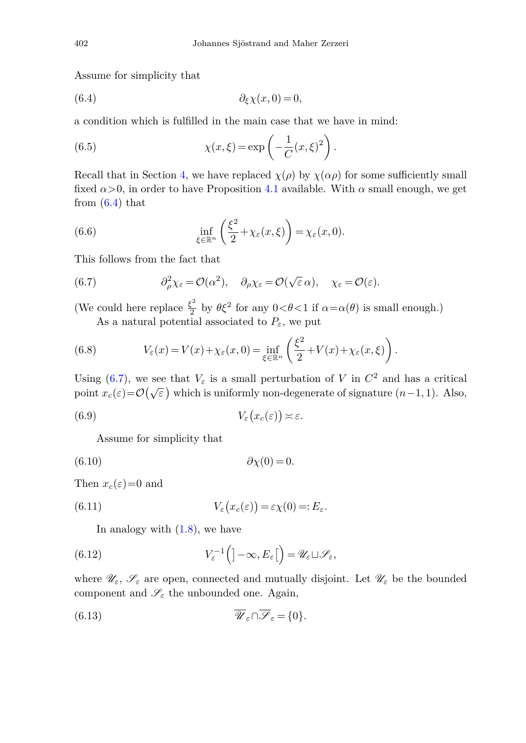<span id="page-17-0"></span>Assume for simplicity that

(6.4) 
$$
\partial_{\xi} \chi(x,0) = 0,
$$

a condition which is fulfilled in the main case that we have in mind:

(6.5) 
$$
\chi(x,\xi) = \exp\left(-\frac{1}{C}(x,\xi)^2\right).
$$

Recall that in Section [4,](#page-11-0) we have replaced  $\chi(\rho)$  by  $\chi(\alpha \rho)$  for some sufficiently small fixed  $\alpha > 0$ , in order to have Proposition [4.1](#page-13-5) available. With  $\alpha$  small enough, we get from  $(6.4)$  that

<span id="page-17-5"></span>(6.6) 
$$
\inf_{\xi \in \mathbb{R}^n} \left( \frac{\xi^2}{2} + \chi_{\varepsilon}(x,\xi) \right) = \chi_{\varepsilon}(x,0).
$$

This follows from the fact that

(6.7) 
$$
\partial_{\rho}^{2} \chi_{\varepsilon} = \mathcal{O}(\alpha^{2}), \quad \partial_{\rho} \chi_{\varepsilon} = \mathcal{O}(\sqrt{\varepsilon} \alpha), \quad \chi_{\varepsilon} = \mathcal{O}(\varepsilon).
$$

(We could here replace  $\frac{\xi^2}{2}$  by  $\theta \xi^2$  for any  $0 < \theta < 1$  if  $\alpha = \alpha(\theta)$  is small enough.) As a natural potential associated to  $P_{\varepsilon}$ , we put

<span id="page-17-3"></span><span id="page-17-1"></span>

(6.8) 
$$
V_{\varepsilon}(x) = V(x) + \chi_{\varepsilon}(x,0) = \inf_{\xi \in \mathbb{R}^n} \left( \frac{\xi^2}{2} + V(x) + \chi_{\varepsilon}(x,\xi) \right).
$$

Using [\(6.7\)](#page-17-1), we see that  $V_{\varepsilon}$  is a small perturbation of *V* in  $C^2$  and has a critical point  $x_c(\varepsilon) = \mathcal{O}(\sqrt{\varepsilon})$  which is uniformly non-degenerate of signature  $(n-1, 1)$ . Also,

$$
(6.9) \t\t V_{\varepsilon}\big(x_c(\varepsilon)\big) \asymp \varepsilon.
$$

<span id="page-17-2"></span>Assume for simplicity that

$$
(6.10) \t\t \t\t \partial \chi(0) = 0.
$$

Then  $x_c(\varepsilon)=0$  and

(6.11) 
$$
V_{\varepsilon}\big(x_c(\varepsilon)\big) = \varepsilon \chi(0) =: E_{\varepsilon}.
$$

<span id="page-17-4"></span>In analogy with  $(1.8)$ , we have

(6.12) 
$$
V_{\varepsilon}^{-1}\left(]-\infty,E_{\varepsilon}\right[ \right) = \mathscr{U}_{\varepsilon} \sqcup \mathscr{S}_{\varepsilon},
$$

where  $\mathscr{U}_{\varepsilon}$ ,  $\mathscr{S}_{\varepsilon}$  are open, connected and mutually disjoint. Let  $\mathscr{U}_{\varepsilon}$  be the bounded component and  $\mathscr{S}_{\varepsilon}$  the unbounded one. Again,

(6.13) 
$$
\overline{\mathscr{U}}_{\varepsilon} \cap \overline{\mathscr{S}}_{\varepsilon} = \{0\}.
$$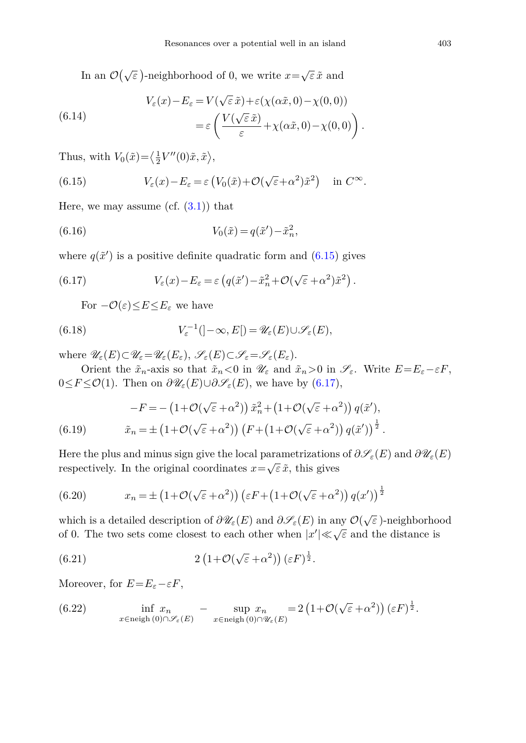In an  $\mathcal{O}(\sqrt{\varepsilon})$ -neighborhood of 0, we write  $x = \sqrt{\varepsilon} \tilde{x}$  and

(6.14) 
$$
V_{\varepsilon}(x) - E_{\varepsilon} = V(\sqrt{\varepsilon} \tilde{x}) + \varepsilon (\chi(\alpha \tilde{x}, 0) - \chi(0, 0))
$$

$$
= \varepsilon \left( \frac{V(\sqrt{\varepsilon} \tilde{x})}{\varepsilon} + \chi(\alpha \tilde{x}, 0) - \chi(0, 0) \right).
$$

<span id="page-18-0"></span>Thus, with  $V_0(\tilde{x}) = \langle \frac{1}{2} V''(0)\tilde{x}, \tilde{x} \rangle$ ,

(6.15) 
$$
V_{\varepsilon}(x) - E_{\varepsilon} = \varepsilon \left( V_0(\tilde{x}) + \mathcal{O}(\sqrt{\varepsilon} + \alpha^2) \tilde{x}^2 \right) \text{ in } C^{\infty}.
$$

Here, we may assume (cf.  $(3.1)$ ) that

(6.16) 
$$
V_0(\tilde{x}) = q(\tilde{x}') - \tilde{x}_n^2,
$$

where  $q(\tilde{x}')$  is a positive definite quadratic form and  $(6.15)$  gives

(6.17) 
$$
V_{\varepsilon}(x) - E_{\varepsilon} = \varepsilon \left( q(\tilde{x}') - \tilde{x}_n^2 + \mathcal{O}(\sqrt{\varepsilon} + \alpha^2) \tilde{x}^2 \right).
$$

<span id="page-18-2"></span><span id="page-18-1"></span>For  $-\mathcal{O}(\varepsilon) \leq E \leq E_{\varepsilon}$  we have

(6.18) 
$$
V_{\varepsilon}^{-1}(|-\infty,E|) = \mathscr{U}_{\varepsilon}(E) \cup \mathscr{S}_{\varepsilon}(E),
$$

where  $\mathscr{U}_{\varepsilon}(E) \subset \mathscr{U}_{\varepsilon} = \mathscr{U}_{\varepsilon}(E_{\varepsilon}), \ \mathscr{S}_{\varepsilon}(E) \subset \mathscr{S}_{\varepsilon} = \mathscr{S}_{\varepsilon}(E_{\varepsilon}).$ 

Orient the  $\tilde{x}_n$ -axis so that  $\tilde{x}_n < 0$  in  $\mathscr{U}_{\varepsilon}$  and  $\tilde{x}_n > 0$  in  $\mathscr{S}_{\varepsilon}$ . Write  $E = E_{\varepsilon} - \varepsilon F$ , 0≤*F* ≤ $\mathcal{O}(1)$ . Then on  $\partial \mathscr{U}_{\varepsilon}(E) \cup \partial \mathscr{S}_{\varepsilon}(E)$ , we have by [\(6.17\)](#page-18-1),

(6.19) 
$$
-F = -\left(1 + \mathcal{O}(\sqrt{\varepsilon} + \alpha^2)\right)\tilde{x}_n^2 + \left(1 + \mathcal{O}(\sqrt{\varepsilon} + \alpha^2)\right)q(\tilde{x}'),
$$

$$
\tilde{x}_n = \pm\left(1 + \mathcal{O}(\sqrt{\varepsilon} + \alpha^2)\right)\left(F + \left(1 + \mathcal{O}(\sqrt{\varepsilon} + \alpha^2)\right)q(\tilde{x}')\right)^{\frac{1}{2}}.
$$

Here the plus and minus sign give the local parametrizations of  $\partial \mathscr{S}_{\varepsilon}(E)$  and  $\partial \mathscr{U}_{\varepsilon}(E)$ respectively. In the original coordinates  $x = \sqrt{\varepsilon} \tilde{x}$ , this gives

(6.20) 
$$
x_n = \pm \left(1 + \mathcal{O}(\sqrt{\varepsilon} + \alpha^2)\right) \left(\varepsilon F + \left(1 + \mathcal{O}(\sqrt{\varepsilon} + \alpha^2)\right) q(x')\right)^{\frac{1}{2}}
$$

which is a detailed description of  $\partial \mathscr{U}_{\varepsilon}(E)$  and  $\partial \mathscr{S}_{\varepsilon}(E)$  in any  $\mathcal{O}(\sqrt{\varepsilon})$ -neighborhood of 0. The two sets come closest to each other when  $|x'| \ll \sqrt{\varepsilon}$  and the distance is

(6.21) 
$$
2\left(1+\mathcal{O}(\sqrt{\varepsilon}+\alpha^2)\right)(\varepsilon F)^{\frac{1}{2}}.
$$

Moreover, for  $E=E_{\varepsilon}-\varepsilon F$ ,

(6.22) 
$$
\inf_{x \in \text{neigh}(0) \cap \mathscr{S}_{\varepsilon}(E)} - \sup_{x \in \text{neigh}(0) \cap \mathscr{U}_{\varepsilon}(E)} x_n = 2 \left( 1 + \mathcal{O}(\sqrt{\varepsilon} + \alpha^2) \right) (\varepsilon F)^{\frac{1}{2}}.
$$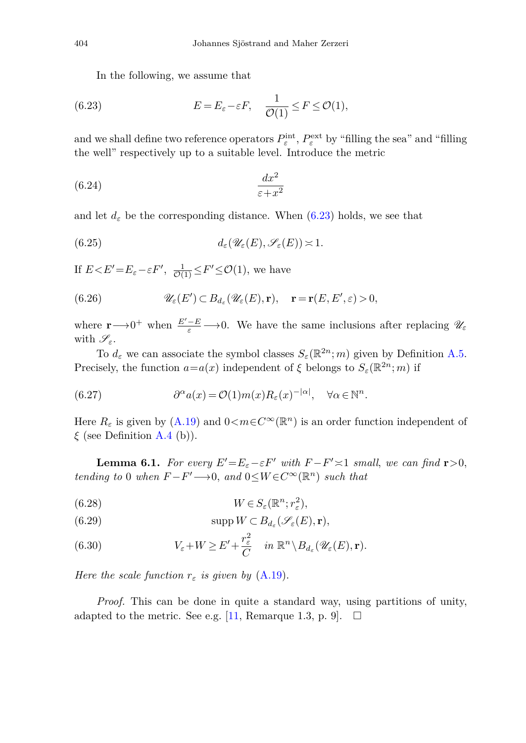<span id="page-19-0"></span>In the following, we assume that

(6.23) 
$$
E = E_{\varepsilon} - \varepsilon F, \quad \frac{1}{\mathcal{O}(1)} \leq F \leq \mathcal{O}(1),
$$

and we shall define two reference operators  $P_{\varepsilon}^{\text{int}}, P_{\varepsilon}^{\text{ext}}$  by "filling the sea" and "filling the well" respectively up to a suitable level. Introduce the metric

$$
(6.24)\quad \frac{dx^2}{\varepsilon + x^2}
$$

and let  $d_{\varepsilon}$  be the corresponding distance. When  $(6.23)$  holds, we see that

(6.25) 
$$
d_{\varepsilon}(\mathscr{U}_{\varepsilon}(E),\mathscr{S}_{\varepsilon}(E))\asymp 1.
$$

If  $E < E' = E_{\varepsilon} - \varepsilon F'$ ,  $\frac{1}{\mathcal{O}(1)} \leq F' \leq \mathcal{O}(1)$ , we have

(6.26) 
$$
\mathscr{U}_{\varepsilon}(E') \subset B_{d_{\varepsilon}}(\mathscr{U}_{\varepsilon}(E), \mathbf{r}), \quad \mathbf{r} = \mathbf{r}(E, E', \varepsilon) > 0,
$$

where  $\mathbf{r} \longrightarrow 0^+$  when  $\frac{E'-E}{\varepsilon} \longrightarrow 0$ . We have the same inclusions after replacing  $\mathscr{U}_{\varepsilon}$ with  $\mathscr{S}_{\varepsilon}$ .

To  $d_{\varepsilon}$  we can associate the symbol classes  $S_{\varepsilon}(\mathbb{R}^{2n};m)$  given by Definition [A.5.](#page-46-0) Precisely, the function  $a=a(x)$  independent of  $\xi$  belongs to  $S_{\varepsilon}(\mathbb{R}^{2n};m)$  if

(6.27) 
$$
\partial^{\alpha} a(x) = \mathcal{O}(1) m(x) R_{\varepsilon}(x)^{-|\alpha|}, \quad \forall \alpha \in \mathbb{N}^{n}.
$$

<span id="page-19-1"></span>Here  $R_{\varepsilon}$  is given by [\(A.19\)](#page-46-2) and  $0 < m \in C^{\infty}(\mathbb{R}^n)$  is an order function independent of *ξ* (see Definition [A.4](#page-46-3) (b)).

**Lemma 6.1.** For every  $E' = E_{\varepsilon} - \varepsilon F'$  with  $F - F' \approx 1$  small, we can find **r** > 0, tending to 0 when  $F-F' \longrightarrow 0$ , and  $0 \leq W \in C^{\infty}(\mathbb{R}^n)$  such that

(6.28) 
$$
W \in S_{\varepsilon}(\mathbb{R}^n; r_{\varepsilon}^2),
$$

(6.29) 
$$
\operatorname{supp} W \subset B_{d_{\varepsilon}}(\mathscr{S}_{\varepsilon}(E), \mathbf{r}),
$$

(6.30) 
$$
V_{\varepsilon} + W \geq E' + \frac{r_{\varepsilon}^2}{C} \quad in \ \mathbb{R}^n \setminus B_{d_{\varepsilon}}(\mathscr{U}_{\varepsilon}(E), \mathbf{r}).
$$

Here the scale function  $r_{\varepsilon}$  is given by  $(A.19)$ .

*Proof.* This can be done in quite a standard way, using partitions of unity, adapted to the metric. See e.g. [\[11](#page-51-0), Remarque 1.3, p. 9].  $\Box$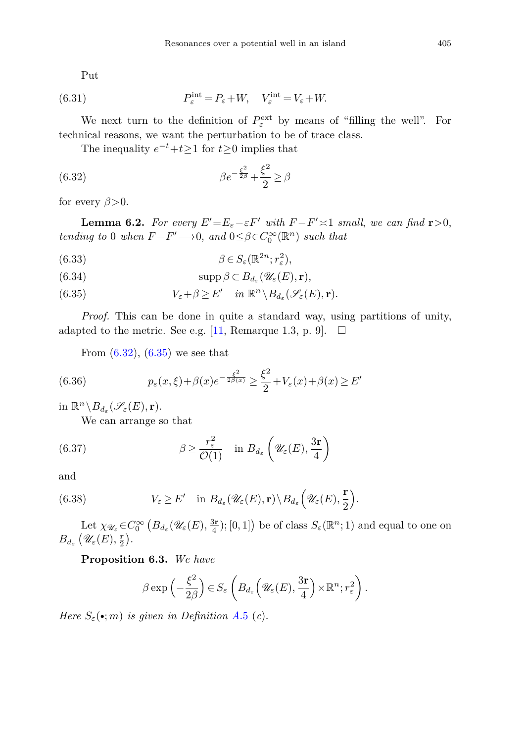<span id="page-20-2"></span>Put

(6.31) 
$$
P_{\varepsilon}^{\text{int}} = P_{\varepsilon} + W, \quad V_{\varepsilon}^{\text{int}} = V_{\varepsilon} + W.
$$

We next turn to the definition of  $P_{\varepsilon}^{\text{ext}}$  by means of "filling the well". For technical reasons, we want the perturbation to be of trace class.

<span id="page-20-4"></span><span id="page-20-0"></span>The inequality  $e^{-t}+t\geq 1$  for  $t\geq 0$  implies that

(6.32) 
$$
\beta e^{-\frac{\xi^2}{2\beta}} + \frac{\xi^2}{2} \ge \beta
$$

for every  $\beta > 0$ .

**Lemma 6.2.** For every  $E' = E_{\varepsilon} - \varepsilon F'$  with  $F - F' \approx 1$  small, we can find **r** > 0, tending to 0 when  $F-F' \longrightarrow 0$ , and  $0 \leq \beta \in C_0^{\infty}(\mathbb{R}^n)$  such that

(6.33) 
$$
\beta \in S_{\varepsilon}(\mathbb{R}^{2n}; r_{\varepsilon}^2),
$$

 $\text{supp }\beta \subset B_{d_{\epsilon}}(\mathscr{U}_{\epsilon}(E), \mathbf{r}),$ 

<span id="page-20-1"></span>(6.35)  $V_{\varepsilon} + \beta \geq E'$  in  $\mathbb{R}^n \setminus B_{d_{\varepsilon}}(\mathscr{S}_{\varepsilon}(E), \mathbf{r}).$ 

*Proof.* This can be done in quite a standard way, using partitions of unity, adapted to the metric. See e.g. [\[11,](#page-51-0) Remarque 1.3, p. 9].  $\Box$ 

<span id="page-20-5"></span>From  $(6.32)$ ,  $(6.35)$  we see that

(6.36) 
$$
p_{\varepsilon}(x,\xi) + \beta(x)e^{-\frac{\xi^2}{2\beta(x)}} \ge \frac{\xi^2}{2} + V_{\varepsilon}(x) + \beta(x) \ge E'
$$

in  $\mathbb{R}^n \setminus B_{d_{\varepsilon}}(\mathscr{S}_{\varepsilon}(E), \mathbf{r}).$ 

<span id="page-20-6"></span>We can arrange so that

(6.37) 
$$
\beta \ge \frac{r_{\varepsilon}^2}{\mathcal{O}(1)} \quad \text{in } B_{d_{\varepsilon}}\left(\mathcal{U}_{\varepsilon}(E), \frac{3\mathbf{r}}{4}\right)
$$

<span id="page-20-3"></span>and

(6.38) 
$$
V_{\varepsilon} \geq E' \quad \text{in } B_{d_{\varepsilon}}(\mathscr{U}_{\varepsilon}(E), \mathbf{r}) \setminus B_{d_{\varepsilon}}\Big(\mathscr{U}_{\varepsilon}(E), \frac{\mathbf{r}}{2}\Big).
$$

Let  $\chi_{\mathscr{U}_{\varepsilon}} \in C_0^{\infty}$   $(B_{d_{\varepsilon}}(\mathscr{U}_{\varepsilon}(E), \frac{3\mathbf{r}}{4}); [0,1])$  be of class  $S_{\varepsilon}(\mathbb{R}^n; 1)$  and equal to one on  $B_{d_{\varepsilon}}\left(\mathscr{U}_{\varepsilon}(E),\frac{\mathbf{r}}{2}\right)$ .

**Proposition 6.3.** We have

$$
\beta \exp\left(-\frac{\xi^2}{2\beta}\right) \in S_{\varepsilon}\left(B_{d_{\varepsilon}}\left(\mathscr{U}_{\varepsilon}(E),\frac{3\mathbf{r}}{4}\right) \times \mathbb{R}^n; r_{\varepsilon}^2\right).
$$

Here  $S_{\varepsilon}(\bullet; m)$  is given in Definition A[.5](#page-46-0) (c).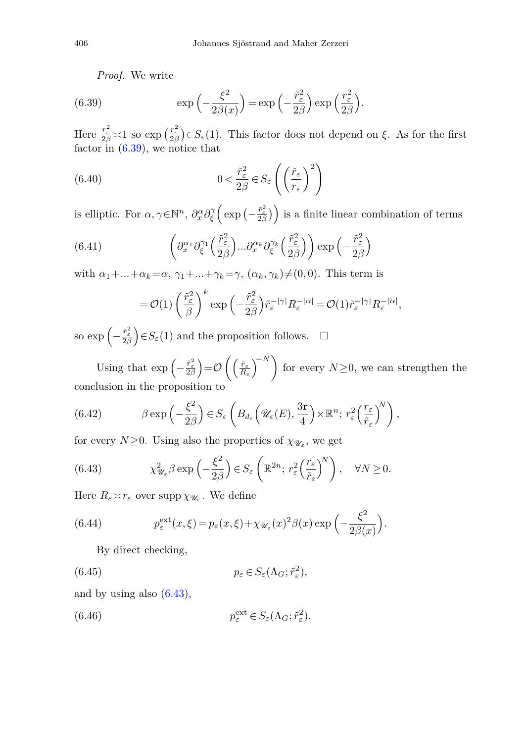<span id="page-21-0"></span>*Proof.* We write

(6.39) 
$$
\exp\left(-\frac{\xi^2}{2\beta(x)}\right) = \exp\left(-\frac{\tilde{r}_{\varepsilon}^2}{2\beta}\right) \exp\left(\frac{r_{\varepsilon}^2}{2\beta}\right).
$$

Here  $\frac{r_{\varepsilon}^2}{2\beta} \approx 1$  so  $\exp\left(\frac{r_{\varepsilon}^2}{2\beta}\right) \in S_{\varepsilon}(1)$ . This factor does not depend on  $\xi$ . As for the first factor in  $(6.39)$ , we notice that

(6.40) 
$$
0 < \frac{\tilde{r}_{\varepsilon}^2}{2\beta} \in S_{\varepsilon} \left( \left( \frac{\tilde{r}_{\varepsilon}}{r_{\varepsilon}} \right)^2 \right)
$$

is elliptic. For  $\alpha, \gamma \in \mathbb{N}^n$ ,  $\partial_x^{\alpha} \partial_{\xi}^{\gamma} \left( \exp \left( - \frac{\tilde{r}_{\varepsilon}^2}{2\beta} \right) \right)$  is a finite linear combination of terms

(6.41) 
$$
\left(\partial_x^{\alpha_1} \partial_{\xi}^{\gamma_1} \left(\frac{\tilde{r}_{\varepsilon}^2}{2\beta}\right) \dots \partial_x^{\alpha_k} \partial_{\xi}^{\gamma_k} \left(\frac{\tilde{r}_{\varepsilon}^2}{2\beta}\right)\right) \exp\left(-\frac{\tilde{r}_{\varepsilon}^2}{2\beta}\right)
$$

with  $\alpha_1 + \ldots + \alpha_k = \alpha$ ,  $\gamma_1 + \ldots + \gamma_k = \gamma$ ,  $(\alpha_k, \gamma_k) \neq (0, 0)$ . This term is

<span id="page-21-1"></span>
$$
= \mathcal{O}(1) \left(\frac{\tilde{r}_{\varepsilon}^2}{\beta}\right)^k \exp\left(-\frac{\tilde{r}_{\varepsilon}^2}{2\beta}\right) \tilde{r}_{\varepsilon}^{-|\gamma|} R_{\varepsilon}^{-|\alpha|} = \mathcal{O}(1) \tilde{r}_{\varepsilon}^{-|\gamma|} R_{\varepsilon}^{-|\alpha|},
$$

so  $\exp\left(-\frac{\tilde{r}_{\varepsilon}^2}{2\beta}\right) \in S_{\varepsilon}(1)$  and the proposition follows.  $\Box$ 

Using that  $\exp\left(-\frac{\tilde{r}_e^2}{2\beta}\right) = \mathcal{O}\left(\left(\frac{\tilde{r}_e}{R_e}\right)^{-N}\right)$  for every  $N \geq 0$ , we can strengthen the conclusion in the proposition to

(6.42) 
$$
\beta \exp\left(-\frac{\xi^2}{2\beta}\right) \in S_{\varepsilon}\left(B_{d_{\varepsilon}}\left(\mathscr{U}_{\varepsilon}(E),\frac{3\mathbf{r}}{4}\right) \times \mathbb{R}^n; r_{\varepsilon}^2 \left(\frac{r_{\varepsilon}}{\tilde{r}_{\varepsilon}}\right)^N\right),
$$

for every  $N \geq 0$ . Using also the properties of  $\chi_{\mathscr{U}_{\varepsilon}}$ , we get

(6.43) 
$$
\chi^2_{\mathscr{U}_{\varepsilon}} \beta \exp\left(-\frac{\xi^2}{2\beta}\right) \in S_{\varepsilon}\left(\mathbb{R}^{2n};\, r_{\varepsilon}^2 \left(\frac{r_{\varepsilon}}{\tilde{r}_{\varepsilon}}\right)^N\right), \quad \forall N \ge 0.
$$

Here  $R_{\varepsilon} \times r_{\varepsilon}$  over supp  $\chi_{\mathscr{U}_{\varepsilon}}$ . We define

(6.44) 
$$
p_{\varepsilon}^{\text{ext}}(x,\xi) = p_{\varepsilon}(x,\xi) + \chi_{\mathscr{U}_{\varepsilon}}(x)^2 \beta(x) \exp\left(-\frac{\xi^2}{2\beta(x)}\right).
$$

<span id="page-21-2"></span>By direct checking,

(6.45) 
$$
p_{\varepsilon} \in S_{\varepsilon}(\Lambda_G; \tilde{r}_{\varepsilon}^2),
$$

and by using also [\(6.43\)](#page-21-1),

(6.46) 
$$
p_{\varepsilon}^{\text{ext}} \in S_{\varepsilon}(\Lambda_G; \tilde{r}_{\varepsilon}^2).
$$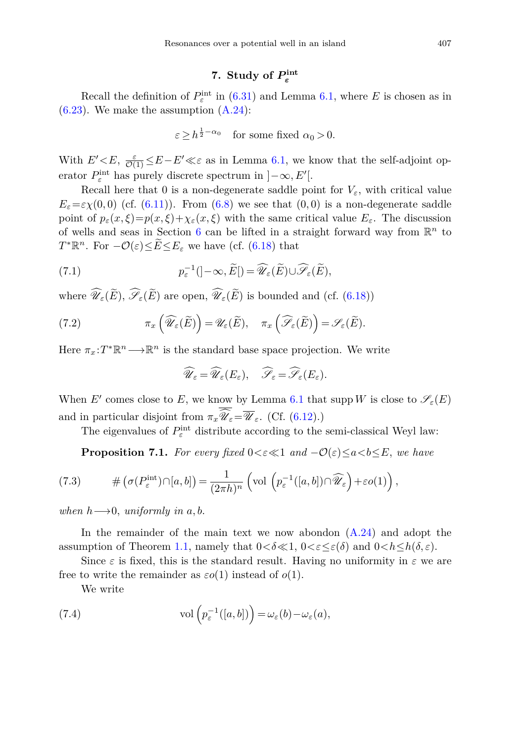## **7.** Study of  $P_{\varepsilon}^{\text{int}}$

<span id="page-22-0"></span>Recall the definition of  $P_{\varepsilon}^{\text{int}}$  in [\(6.31\)](#page-20-2) and Lemma [6.1,](#page-19-1) where *E* is chosen as in  $(6.23)$ . We make the assumption  $(A.24)$ :

$$
\varepsilon \ge h^{\frac{1}{2} - \alpha_0} \quad \text{for some fixed } \alpha_0 > 0.
$$

With  $E' \leq E$ ,  $\frac{\varepsilon}{\mathcal{O}(1)} \leq E - E' \ll \varepsilon$  as in Lemma [6.1,](#page-19-1) we know that the self-adjoint operator  $P_{\varepsilon}^{\text{int}}$  has purely discrete spectrum in  $]-\infty, E'[$ .

Recall here that 0 is a non-degenerate saddle point for  $V_{\varepsilon}$ , with critical value  $E_{\varepsilon} = \varepsilon \chi(0,0)$  (cf. [\(6.11\)](#page-17-2)). From [\(6.8\)](#page-17-3) we see that (0,0) is a non-degenerate saddle point of  $p_{\varepsilon}(x,\xi)=p(x,\xi)+\chi_{\varepsilon}(x,\xi)$  with the same critical value  $E_{\varepsilon}$ . The discussion of wells and seas in Section [6](#page-16-0) can be lifted in a straight forward way from R*<sup>n</sup>* to *T*<sup>\*</sup> $\mathbb{R}^n$ . For  $-\mathcal{O}(\varepsilon) \leq \widetilde{E} \leq E_{\varepsilon}$  we have (cf. [\(6.18\)](#page-18-2) that

(7.1) 
$$
p_{\varepsilon}^{-1}(]-\infty,\widetilde{E}[)=\widehat{\mathscr{U}}_{\varepsilon}(\widetilde{E})\cup\widehat{\mathscr{S}}_{\varepsilon}(\widetilde{E}),
$$

where  $\mathscr{U}_{\varepsilon}(E)$ ,  $\mathscr{S}_{\varepsilon}(E)$  are open,  $\mathscr{U}_{\varepsilon}(E)$  is bounded and (cf. [\(6.18\)](#page-18-2))

(7.2) 
$$
\pi_x\left(\widehat{\mathscr{U}}_{\varepsilon}(\widetilde{E})\right) = \mathscr{U}_{\varepsilon}(\widetilde{E}), \quad \pi_x\left(\widehat{\mathscr{S}}_{\varepsilon}(\widetilde{E})\right) = \mathscr{S}_{\varepsilon}(\widetilde{E}).
$$

Here  $\pi_x: T^* \mathbb{R}^n \longrightarrow \mathbb{R}^n$  is the standard base space projection. We write

$$
\widehat{\mathscr{U}}_{\varepsilon} = \widehat{\mathscr{U}}_{\varepsilon}(E_{\varepsilon}), \quad \widehat{\mathscr{S}}_{\varepsilon} = \widehat{\mathscr{S}}_{\varepsilon}(E_{\varepsilon}).
$$

When *E'* comes close to *E*, we know by Lemma [6.1](#page-19-1) that supp *W* is close to  $\mathscr{S}_{\varepsilon}(E)$ and in particular disjoint from  $\pi_x \mathscr{U}_\varepsilon = \mathscr{U}_\varepsilon$ . (Cf. [\(6.12\)](#page-17-4).)

The eigenvalues of  $P_{\varepsilon}^{\text{int}}$  distribute according to the semi-classical Weyl law:

<span id="page-22-1"></span>**Proposition 7.1.** For every fixed  $0 < \varepsilon \ll 1$  and  $-\mathcal{O}(\varepsilon) \leq a < b \leq E$ , we have

(7.3) 
$$
\#\left(\sigma(P_{\varepsilon}^{\text{int}})\cap[a,b]\right)=\frac{1}{(2\pi h)^n}\left(\text{vol}\left(p_{\varepsilon}^{-1}([a,b])\cap\widehat{\mathscr{U}}_{\varepsilon}\right)+\varepsilon o(1)\right),
$$

when  $h\rightarrow 0$ , uniformly in  $a, b$ .

In the remainder of the main text we now abondon  $(A.24)$  and adopt the assumption of Theorem [1.1,](#page-4-0) namely that  $0 < \delta \ll 1$ ,  $0 < \varepsilon \leq \varepsilon(\delta)$  and  $0 < h \leq h(\delta, \varepsilon)$ .

Since  $\varepsilon$  is fixed, this is the standard result. Having no uniformity in  $\varepsilon$  we are free to write the remainder as  $\varepsilon o(1)$  instead of  $o(1)$ .

We write

(7.4) 
$$
\text{vol}\left(p_{\varepsilon}^{-1}([a,b])\right) = \omega_{\varepsilon}(b) - \omega_{\varepsilon}(a),
$$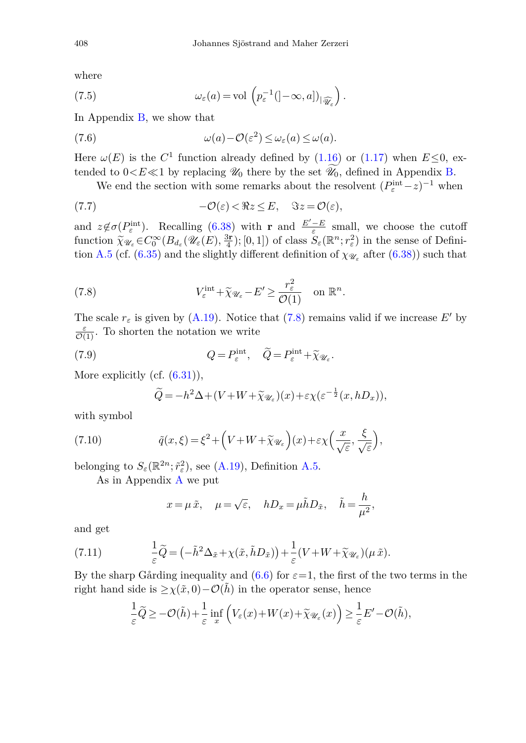<span id="page-23-4"></span>where

(7.5) 
$$
\omega_{\varepsilon}(a) = \text{vol}\left(p_{\varepsilon}^{-1}(\left]-\infty, a\right]\right)_{\left|\widehat{\mathscr{U}}_{\varepsilon}\right)}.
$$

In Appendix [B,](#page-50-0) we show that

(7.6) 
$$
\omega(a) - \mathcal{O}(\varepsilon^2) \leq \omega_{\varepsilon}(a) \leq \omega(a).
$$

Here  $\omega(E)$  is the  $C^1$  function already defined by [\(1.16\)](#page-3-2) or [\(1.17\)](#page-3-6) when  $E \le 0$ , extended to  $0 < E \ll 1$  by replacing  $\mathcal{U}_0$  there by the set  $\widetilde{\mathcal{U}_0}$ , defined in Appendix [B.](#page-50-0)

<span id="page-23-1"></span>We end the section with some remarks about the resolvent  $(P_{\varepsilon}^{\text{int}} - z)^{-1}$  when

(7.7) 
$$
-\mathcal{O}(\varepsilon) < \Re z \leq E, \quad \Im z = \mathcal{O}(\varepsilon),
$$

and  $z \notin \sigma(P_{\varepsilon}^{\text{int}})$ . Recalling [\(6.38\)](#page-20-3) with **r** and  $\frac{E'-E}{\varepsilon}$  small, we choose the cutoff function  $\tilde{\chi}_{\mathscr{U}_{\varepsilon}} \in C_0^{\infty}(B_{d_{\varepsilon}}(\mathscr{U}_{\varepsilon}(E), \frac{3\mathbf{r}}{4}); [0,1])$  of class  $S_{\varepsilon}(\mathbb{R}^n; r_{\varepsilon}^2)$  in the sense of Definition A 5 (cf. (6.35) and the slightly different definition of  $\chi_{\infty}$  after (6.3 tion [A.5](#page-46-0) (cf. [\(6.35\)](#page-20-1) and the slightly different definition of  $\chi_{\mathscr{U}_{\varepsilon}}$  after [\(6.38\)](#page-20-3)) such that

<span id="page-23-0"></span>(7.8) 
$$
V_{\varepsilon}^{\text{int}} + \widetilde{\chi}_{\mathscr{U}_{\varepsilon}} - E' \ge \frac{r_{\varepsilon}^2}{\mathcal{O}(1)} \quad \text{on } \mathbb{R}^n.
$$

The scale  $r_{\varepsilon}$  is given by [\(A.19\)](#page-46-2). Notice that [\(7.8\)](#page-23-0) remains valid if we increase E' by  $\frac{\varepsilon}{\mathcal{O}(1)}$ . To shorten the notation we write

(7.9) 
$$
Q = P_{\varepsilon}^{\text{int}}, \quad \widetilde{Q} = P_{\varepsilon}^{\text{int}} + \widetilde{\chi}_{\mathscr{U}_{\varepsilon}}.
$$

More explicitly (cf.  $(6.31)$ ),

<span id="page-23-3"></span><span id="page-23-2"></span>
$$
\widetilde{Q} = -h^2 \Delta + (V + W + \widetilde{\chi}_{\mathscr{U}_{\varepsilon}})(x) + \varepsilon \chi(\varepsilon^{-\frac{1}{2}}(x, hD_x)),
$$

with symbol

(7.10) 
$$
\tilde{q}(x,\xi) = \xi^2 + \left(V + W + \tilde{\chi}_{\mathscr{U}_{\varepsilon}}\right)(x) + \varepsilon \chi\left(\frac{x}{\sqrt{\varepsilon}}, \frac{\xi}{\sqrt{\varepsilon}}\right),
$$

belonging to  $S_{\varepsilon}(\mathbb{R}^{2n}; \tilde{r}_{\varepsilon}^2)$ , see [\(A.19\)](#page-46-2), Definition [A.5.](#page-46-0)

As in Appendix [A](#page-41-0) we put

$$
x = \mu \tilde{x}, \quad \mu = \sqrt{\varepsilon}, \quad hD_x = \mu \tilde{h}D_{\tilde{x}}, \quad \tilde{h} = \frac{h}{\mu^2},
$$

and get

(7.11) 
$$
\frac{1}{\varepsilon}\widetilde{Q} = \left(-\widetilde{h}^2\Delta_{\tilde{x}} + \chi(\tilde{x}, \tilde{h}D_{\tilde{x}})\right) + \frac{1}{\varepsilon}(V + W + \widetilde{\chi}_{\mathscr{U}_{\varepsilon}})(\mu \tilde{x}).
$$

By the sharp Gårding inequality and  $(6.6)$  for  $\varepsilon=1$ , the first of the two terms in the right hand side is  $\geq \chi(\tilde{x}, 0) - \mathcal{O}(\tilde{h})$  in the operator sense, hence

$$
\frac{1}{\varepsilon}\widetilde{Q} \geq -\mathcal{O}(\widetilde{h}) + \frac{1}{\varepsilon}\inf_{x}\left(V_{\varepsilon}(x) + W(x) + \widetilde{\chi}_{\mathscr{U}_{\varepsilon}}(x)\right) \geq \frac{1}{\varepsilon}E' - \mathcal{O}(\widetilde{h}),
$$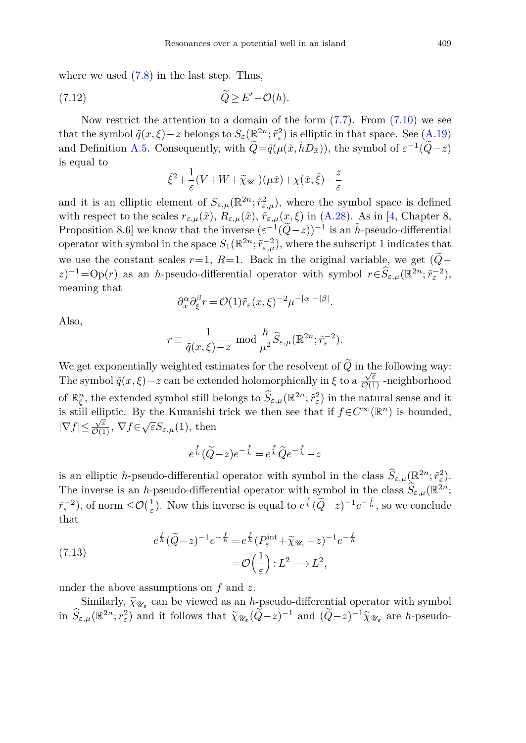where we used  $(7.8)$  in the last step. Thus,

$$
\widetilde{Q} \ge E' - \mathcal{O}(h).
$$

Now restrict the attention to a domain of the form  $(7.7)$ . From  $(7.10)$  we see that the symbol  $\tilde{q}(x,\xi)-z$  belongs to  $S_{\varepsilon}(\mathbb{R}^{2n};\tilde{r}_{\varepsilon}^{2})$  is elliptic in that space. See  $(A.19)$ and Definition [A.5.](#page-46-0) Consequently, with  $\widetilde{Q} = \widetilde{q}(\mu(\tilde{x}, \tilde{h}D_{\tilde{x}}))$ , the symbol of  $\varepsilon^{-1}(\widetilde{Q}-z)$ is equal to

$$
\tilde{\xi}^2 + \frac{1}{\varepsilon} (V + W + \tilde{\chi}_{\mathscr{U}_{\varepsilon}})(\mu \tilde{x}) + \chi(\tilde{x}, \tilde{\xi}) - \frac{z}{\varepsilon}
$$

and it is an elliptic element of  $S_{\varepsilon,\mu}(\mathbb{R}^{2n};\tilde{r}^2_{\varepsilon,\mu})$ , where the symbol space is defined with respect to the scales  $r_{\varepsilon,\mu}(\tilde{x})$ ,  $R_{\varepsilon,\mu}(\tilde{x})$ ,  $\tilde{r}_{\varepsilon,\mu}(x,\xi)$  in [\(A.28\)](#page-47-1). As in [\[4,](#page-51-14) Chapter 8, Proposition 8.6] we know that the inverse  $(\varepsilon^{-1}(\tilde{Q}-z))^{-1}$  is an  $\tilde{h}$ -pseudo-differential operator with symbol in the space  $S_1(\mathbb{R}^{2n}; \tilde{r}_{\varepsilon,\mu}^{-2})$ , where the subscript 1 indicates that we use the constant scales  $r=1$ ,  $R=1$ . Back in the original variable, we get  $(\tilde{Q}$ −  $(z)^{-1} = \text{Op}(r)$  as an *h*-pseudo-differential operator with symbol  $r \in \widehat{S}_{\varepsilon,\mu}(\mathbb{R}^{2n}; \widetilde{r}_{\varepsilon}^{-2}),$ meaning that

$$
\partial_x^{\alpha} \partial_{\xi}^{\beta} r = \mathcal{O}(1) \tilde{r}_{\varepsilon}(x,\xi)^{-2} \mu^{-|\alpha|-|\beta|}.
$$

Also,

$$
r \equiv \frac{1}{\tilde{q}(x,\xi) - z} \mod \frac{h}{\mu^2} \widehat{S}_{\varepsilon,\mu}(\mathbb{R}^{2n}; \tilde{r}_{\varepsilon}^{-2}).
$$

We get exponentially weighted estimates for the resolvent of  $\widetilde{Q}$  in the following way: The symbol  $\tilde{q}(x,\xi)-z$  can be extended holomorphically in  $\xi$  to a  $\frac{\sqrt{\varepsilon}}{\mathcal{O}(1)}$  -neighborhood of  $\mathbb{R}^n_{\xi}$ , the extended symbol still belongs to  $\widehat{S}_{\varepsilon,\mu}(\mathbb{R}^{2n};\tilde{r}_\varepsilon^2)$  in the natural sense and it is still elliptic. By the Kuranishi trick we then see that if  $f \in C^{\infty}(\mathbb{R}^n)$  is bounded,  $|\nabla f| \leq \frac{\sqrt{\varepsilon}}{\mathcal{O}(1)}, \ \nabla f \in \sqrt{\varepsilon}S_{\varepsilon,\mu}(1), \text{ then}$ 

$$
e^{\frac{f}{h}}(\widetilde{Q}-z)e^{-\frac{f}{h}} = e^{\frac{f}{h}}\widetilde{Q}e^{-\frac{f}{h}} - z
$$

is an elliptic *h*-pseudo-differential operator with symbol in the class  $\widehat{S}_{\varepsilon,\mu}(\mathbb{R}^{2n};\tilde{r}_{\varepsilon}^2)$ . The inverse is an *h*-pseudo-differential operator with symbol in the class  $\hat{S}_{\varepsilon,n}(\mathbb{R}^{2n};$  $\tilde{r}^{-2}_{\varepsilon}$ , of norm  $\leq \mathcal{O}(\frac{1}{\varepsilon})$ . Now this inverse is equal to  $e^{\frac{f}{h}}(\tilde{Q}-z)^{-1}e^{-\frac{f}{h}}$ , so we conclude that

<span id="page-24-0"></span>(7.13) 
$$
e^{\frac{f}{h}} (\tilde{Q} - z)^{-1} e^{-\frac{f}{h}} = e^{\frac{f}{h}} (P_{\varepsilon}^{\text{int}} + \tilde{\chi}_{\mathscr{U}_{\varepsilon}} - z)^{-1} e^{-\frac{f}{h}}
$$

$$
= \mathcal{O}\left(\frac{1}{\varepsilon}\right) : L^2 \longrightarrow L^2,
$$

under the above assumptions on *f* and *z*.

Similarly,  $\widetilde{\chi}_{\mathscr{U}_{\varepsilon}}$  can be viewed as an *h*-pseudo-differential operator with symbol<br>in  $\widehat{S}_{\varepsilon,\mu}(\mathbb{R}^{2n};r_{\varepsilon}^2)$  and it follows that  $\widetilde{\chi}_{\mathscr{U}_{\varepsilon}}(\widetilde{Q}-z)^{-1}$  and  $(\widetilde{Q}-z)^{-1}\widetilde{\chi}_{\mathscr{U}_{\vare$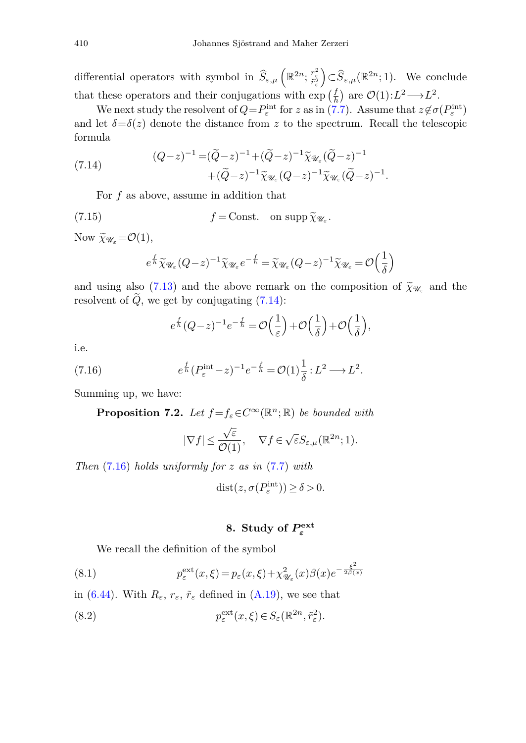differential operators with symbol in  $\widehat{S}_{\varepsilon,\mu}\left(\mathbb{R}^{2n}; \frac{r_{\varepsilon}^2}{\tilde{r}_{\varepsilon}^2}\right) \subset \widehat{S}_{\varepsilon,\mu}(\mathbb{R}^{2n}; 1)$ . We conclude that these operators and their conjugations with  $\exp\left(\frac{f}{h}\right)$  are  $\mathcal{O}(1):L^2\longrightarrow L^2$ .

We next study the resolvent of  $Q = P_{\varepsilon}^{\text{int}}$  for *z* as in [\(7.7\)](#page-23-1). Assume that  $z \notin \sigma(P_{\varepsilon}^{\text{int}})$ and let  $\delta = \delta(z)$  denote the distance from *z* to the spectrum. Recall the telescopic formula

<span id="page-25-1"></span>(7.14) 
$$
(Q-z)^{-1} = (\tilde{Q}-z)^{-1} + (\tilde{Q}-z)^{-1} \tilde{\chi}_{\mathscr{U}_{\varepsilon}} (\tilde{Q}-z)^{-1} + (\tilde{Q}-z)^{-1} \tilde{\chi}_{\mathscr{U}_{\varepsilon}} (\tilde{Q}-z)^{-1} \tilde{\chi}_{\mathscr{U}_{\varepsilon}} (\tilde{Q}-z)^{-1}.
$$

For *f* as above, assume in addition that

(7.15) 
$$
f = \text{Const.} \quad \text{on } \text{supp } \widetilde{\chi}_{\mathscr{U}_{\varepsilon}}.
$$

Now  $\widetilde{\chi}_{\mathscr{U}_s} = \mathcal{O}(1),$ 

<span id="page-25-4"></span>
$$
e^{\frac{f}{h}}\widetilde{\chi}_{\mathscr{U}_{\varepsilon}}(Q-z)^{-1}\widetilde{\chi}_{\mathscr{U}_{\varepsilon}}e^{-\frac{f}{h}}=\widetilde{\chi}_{\mathscr{U}_{\varepsilon}}(Q-z)^{-1}\widetilde{\chi}_{\mathscr{U}_{\varepsilon}}=\mathcal{O}\Big(\frac{1}{\delta}\Big)
$$

and using also [\(7.13\)](#page-24-0) and the above remark on the composition of  $\tilde{\chi}_{\mathscr{U}_{\varepsilon}}$  and the resolvent of  $\tilde{Q}$ , we get by conjugating [\(7.14\)](#page-25-1):

$$
e^{\frac{f}{h}}(Q-z)^{-1}e^{-\frac{f}{h}} = \mathcal{O}\left(\frac{1}{\varepsilon}\right) + \mathcal{O}\left(\frac{1}{\delta}\right) + \mathcal{O}\left(\frac{1}{\delta}\right),
$$

<span id="page-25-2"></span>i.e.

(7.16) 
$$
e^{\frac{f}{h}} (P_{\varepsilon}^{\text{int}} - z)^{-1} e^{-\frac{f}{h}} = \mathcal{O}(1) \frac{1}{\delta} : L^2 \longrightarrow L^2.
$$

Summing up, we have:

**Proposition 7.2.** Let  $f = f_\varepsilon \in C^\infty(\mathbb{R}^n; \mathbb{R})$  be bounded with

$$
|\nabla f| \leq \frac{\sqrt{\varepsilon}}{\mathcal{O}(1)}, \quad \, \nabla f \in \sqrt{\varepsilon} S_{\varepsilon, \mu}(\mathbb{R}^{2n}; 1).
$$

Then [\(7.16\)](#page-25-2) holds uniformly for *z* as in [\(7.7\)](#page-23-1) with

$$
dist(z, \sigma(P_{\varepsilon}^{\text{int}})) \ge \delta > 0.
$$

## <span id="page-25-3"></span>**8.** Study of  $P_{\varepsilon}^{\text{ext}}$

<span id="page-25-0"></span>We recall the definition of the symbol

(8.1) 
$$
p_{\varepsilon}^{\text{ext}}(x,\xi) = p_{\varepsilon}(x,\xi) + \chi_{\mathscr{U}_{\varepsilon}}^2(x)\beta(x)e^{-\frac{\xi^2}{2\beta(x)}}
$$

in [\(6.44\)](#page-21-2). With  $R_{\varepsilon}$ ,  $r_{\varepsilon}$ ,  $\tilde{r}_{\varepsilon}$  defined in [\(A.19\)](#page-46-2), we see that

(8.2) 
$$
p_{\varepsilon}^{\text{ext}}(x,\xi) \in S_{\varepsilon}(\mathbb{R}^{2n},\tilde{r}_{\varepsilon}^{2}).
$$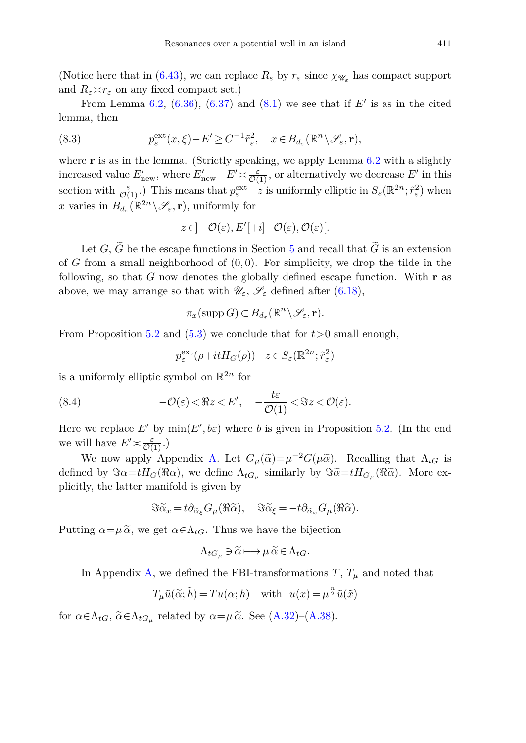(Notice here that in [\(6.43\)](#page-21-1), we can replace  $R_{\varepsilon}$  by  $r_{\varepsilon}$  since  $\chi_{\mathscr{U}_{\varepsilon}}$  has compact support and  $R_{\varepsilon} \times r_{\varepsilon}$  on any fixed compact set.)

From Lemma [6.2,](#page-20-4)  $(6.36)$ ,  $(6.37)$  and  $(8.1)$  we see that if  $E'$  is as in the cited lemma, then

(8.3) 
$$
p_{\varepsilon}^{\text{ext}}(x,\xi) - E' \geq C^{-1} \tilde{r}_{\varepsilon}^2, \quad x \in B_{d_{\varepsilon}}(\mathbb{R}^n \setminus \mathscr{S}_{\varepsilon}, \mathbf{r}),
$$

where **r** is as in the lemma. (Strictly speaking, we apply Lemma [6.2](#page-20-4) with a slightly increased value  $E'_{\text{new}}$ , where  $E'_{\text{new}} - E' \approx \frac{\varepsilon}{\mathcal{O}(1)}$ , or alternatively we decrease  $E'$  in this section with  $\frac{\varepsilon}{\mathcal{O}(1)}$ .) This means that  $p_{\varepsilon}^{\text{ext}} - z$  is uniformly elliptic in  $S_{\varepsilon}(\mathbb{R}^{2n}; \tilde{r}_{\varepsilon}^2)$  when *x* varies in  $B_{d_{\varepsilon}}(\mathbb{R}^{2n} \setminus \mathscr{S}_{\varepsilon}, \mathbf{r})$ , uniformly for

$$
z \in ]-\mathcal{O}(\varepsilon), E'[+i] - \mathcal{O}(\varepsilon), \mathcal{O}(\varepsilon)[.
$$

Let *G*,  $\widetilde{G}$  be the escape functions in Section [5](#page-13-0) and recall that  $\widetilde{G}$  is an extension of *G* from a small neighborhood of (0*,* 0). For simplicity, we drop the tilde in the following, so that *G* now denotes the globally defined escape function. With **r** as above, we may arrange so that with  $\mathscr{U}_{\varepsilon}$ ,  $\mathscr{S}_{\varepsilon}$  defined after [\(6.18\)](#page-18-2),

$$
\pi_x(\mathrm{supp}\, G)\subset B_{d_{\varepsilon}}(\mathbb{R}^n\setminus\mathscr{S}_{\varepsilon},\mathbf{r}).
$$

From Proposition [5.2](#page-15-2) and  $(5.3)$  we conclude that for  $t>0$  small enough,

<span id="page-26-0"></span>
$$
p_{\varepsilon}^{\text{ext}}(\rho+itH_G(\rho))-z\in S_{\varepsilon}(\mathbb{R}^{2n};\tilde{r}_{\varepsilon}^2)
$$

is a uniformly elliptic symbol on  $\mathbb{R}^{2n}$  for

(8.4) 
$$
-\mathcal{O}(\varepsilon) < \Re z < E', \quad -\frac{t\varepsilon}{\mathcal{O}(1)} < \Im z < \mathcal{O}(\varepsilon).
$$

Here we replace  $E'$  by  $\min(E', b\varepsilon)$  where *b* is given in Proposition [5.2.](#page-15-2) (In the end we will have  $E' \times \frac{\varepsilon}{\mathcal{O}(1)}$ .)

We now apply Appendix [A.](#page-41-0) Let  $G_{\mu}(\tilde{\alpha}) = \mu^{-2} G(\mu \tilde{\alpha})$ . Recalling that  $\Lambda_{tG}$  is defined by  $\Im \alpha = tH_G(\Re \alpha)$ , we define  $\Lambda_{tG_\mu}$  similarly by  $\Im \widetilde{\alpha} = tH_{G_\mu}(\Re \widetilde{\alpha})$ . More explicitly, the latter manifold is given by<br> $\Im \widetilde{\alpha}_x = t \partial_{\widetilde{\alpha}_\xi} G_\mu(\Re \widetilde{\alpha})$ 

manitold is given by  
\n
$$
\Im \widetilde{\alpha}_x = t \partial_{\widetilde{\alpha}_\xi} G_\mu(\Re \widetilde{\alpha}), \quad \Im \widetilde{\alpha}_\xi = -t \partial_{\widetilde{\alpha}_x} G_\mu(\Re \widetilde{\alpha}).
$$

Putting  $\alpha = \mu \tilde{\alpha}$ , we get  $\alpha \in \Lambda_{tG}$ . Thus we have the bijection

$$
\Lambda_{tG_{\mu}} \ni \widetilde{\alpha} \longmapsto \mu \, \widetilde{\alpha} \in \Lambda_{tG}.
$$

In Appendix [A,](#page-41-0) we defined the FBI-transformations  $T, T_\mu$  and noted that

$$
T_{\mu}\tilde{u}(\tilde{\alpha};\tilde{h}) = Tu(\alpha;h) \text{ with } u(x) = \mu^{\frac{n}{2}}\tilde{u}(\tilde{x})
$$

for  $\alpha \in \Lambda_{tG}$ ,  $\widetilde{\alpha} \in \Lambda_{tG_{\mu}}$  related by  $\alpha = \mu \widetilde{\alpha}$ . See [\(A.32\)](#page-48-0)–[\(A.38\)](#page-49-0).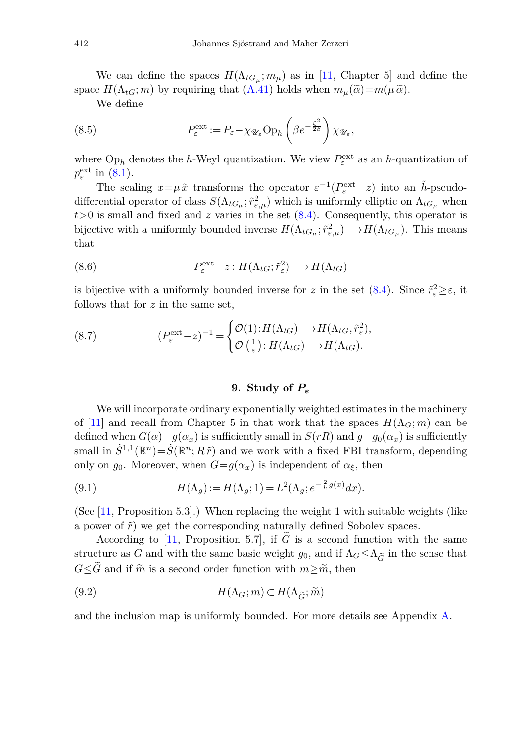We can define the spaces  $H(\Lambda_{tG_{\mu}}; m_{\mu})$  as in [\[11,](#page-51-0) Chapter 5] and define the space  $H(\Lambda_{tG}; m)$  by requiring that  $(A.41)$  holds when  $m_{\mu}(\tilde{\alpha})=m(\mu \tilde{\alpha})$ .

<span id="page-27-1"></span>We define

(8.5) 
$$
P_{\varepsilon}^{\text{ext}} := P_{\varepsilon} + \chi_{\mathscr{U}_{\varepsilon}} \text{Op}_h \left(\beta e^{-\frac{\xi^2}{2\beta}}\right) \chi_{\mathscr{U}_{\varepsilon}},
$$

where  $Op_h$  denotes the *h*-Weyl quantization. We view  $P_{\varepsilon}^{\text{ext}}$  as an *h*-quantization of  $p_{\varepsilon}^{\text{ext}}$  in [\(8.1\)](#page-25-3).

The scaling  $x = \mu \tilde{x}$  transforms the operator  $\varepsilon^{-1}(P_{\varepsilon}^{\text{ext}} - z)$  into an  $\tilde{h}$ -pseudodifferential operator of class  $S(\Lambda_{tG_\mu}; \tilde{r}_{\varepsilon,\mu}^2)$  which is uniformly elliptic on  $\Lambda_{tG_\mu}$  when  $t>0$  is small and fixed and  $z$  varies in the set  $(8.4)$ . Consequently, this operator is bijective with a uniformly bounded inverse  $H(\Lambda_{tG_\mu}; \tilde{r}_{\varepsilon,\mu}^2) \longrightarrow H(\Lambda_{tG_\mu})$ . This means that

(8.6) 
$$
P_{\varepsilon}^{\text{ext}} - z : H(\Lambda_{tG}; \tilde{r}_{\varepsilon}^{2}) \longrightarrow H(\Lambda_{tG})
$$

is bijective with a uniformly bounded inverse for *z* in the set  $(8.4)$ . Since  $\tilde{r}^2 \geq \varepsilon$ , it follows that for *z* in the same set,

(8.7) 
$$
(P_{\varepsilon}^{\text{ext}} - z)^{-1} = \begin{cases} \mathcal{O}(1) : H(\Lambda_{tG}) \longrightarrow H(\Lambda_{tG}, \tilde{r}_{\varepsilon}^2), \\ \mathcal{O}\left(\frac{1}{\varepsilon}\right) : H(\Lambda_{tG}) \longrightarrow H(\Lambda_{tG}). \end{cases}
$$

## <span id="page-27-2"></span>**9. Study of** *P<sup>ε</sup>*

<span id="page-27-0"></span>We will incorporate ordinary exponentially weighted estimates in the machinery of [\[11\]](#page-51-0) and recall from Chapter 5 in that work that the spaces  $H(\Lambda_G; m)$  can be defined when  $G(\alpha) - g(\alpha_x)$  is sufficiently small in  $S(rR)$  and  $g - g_0(\alpha_x)$  is sufficiently small in  $\dot{S}^{1,1}(\mathbb{R}^n) = \dot{S}(\mathbb{R}^n; R\tilde{r})$  and we work with a fixed FBI transform, depending only on  $g_0$ . Moreover, when  $G = g(\alpha_x)$  is independent of  $\alpha_{\xi}$ , then

(9.1) 
$$
H(\Lambda_g) := H(\Lambda_g; 1) = L^2(\Lambda_g; e^{-\frac{2}{h}g(x)}dx).
$$

(See [\[11](#page-51-0), Proposition 5.3].) When replacing the weight 1 with suitable weights (like a power of  $\tilde{r}$ ) we get the corresponding naturally defined Sobolev spaces.

According to [\[11,](#page-51-0) Proposition 5.7], if  $\tilde{G}$  is a second function with the same According to [11, Proposition 5.7], if  $\tilde{G}$  is a second function with the same structure as *G* and with the same basic weight  $g_0$ , and if  $\Lambda_G \leq \Lambda_{\tilde{G}}$  in the sense that *G*≤*G* and if  $\tilde{m}$  is a second order function with  $m \geq \tilde{m}$ , then<br>
(9.2)  $H(\Lambda_G; m) \subset H(\Lambda_{\tilde{G}}; \tilde{m})$ 

(9.2) 
$$
H(\Lambda_G; m) \subset H(\Lambda_{\widetilde{G}}; \widetilde{m})
$$

and the inclusion map is uniformly bounded. For more details see Appendix [A.](#page-41-0)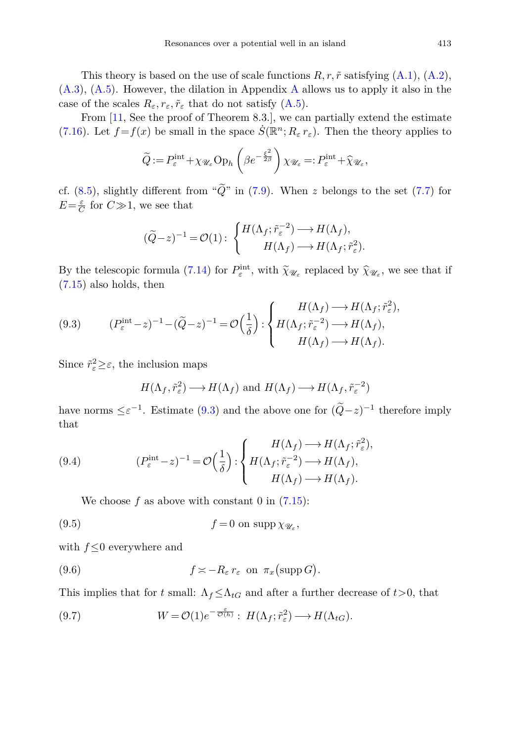This theory is based on the use of scale functions  $R, r, \tilde{r}$  satisfying  $(A.1), (A.2),$  $(A.1), (A.2),$  $(A.1), (A.2),$  $(A.1), (A.2),$ [\(A.3\)](#page-41-3), [\(A.5\)](#page-42-2). However, the dilation in Appendix [A](#page-41-0) allows us to apply it also in the case of the scales  $R_{\varepsilon}, r_{\varepsilon}, \tilde{r}_{\varepsilon}$  that do not satisfy [\(A.5\)](#page-42-2).

From [\[11,](#page-51-0) See the proof of Theorem 8.3.], we can partially extend the estimate [\(7.16\)](#page-25-2). Let  $f = f(x)$  be small in the space  $\dot{S}(\mathbb{R}^n; R_\varepsilon r_\varepsilon)$ . Then the theory applies to

$$
\widetilde{Q} := P_{\varepsilon}^{\text{int}} + \chi_{\mathscr{U}_{\varepsilon}} \text{Op}_h\left(\beta e^{-\frac{\xi^2}{2\beta}}\right) \chi_{\mathscr{U}_{\varepsilon}} =: P_{\varepsilon}^{\text{int}} + \widehat{\chi}_{\mathscr{U}_{\varepsilon}},
$$

cf. [\(8.5\)](#page-27-1), slightly different from " $\tilde{Q}$ " in [\(7.9\)](#page-23-3). When *z* belongs to the set [\(7.7\)](#page-23-1) for  $E = \frac{\varepsilon}{C}$  for  $C \gg 1$ , we see that

<span id="page-28-0"></span>
$$
(\widetilde{Q} - z)^{-1} = \mathcal{O}(1): \begin{cases} H(\Lambda_f; \widetilde{r}_{\varepsilon}^{-2}) \longrightarrow H(\Lambda_f), \\ H(\Lambda_f) \longrightarrow H(\Lambda_f; \widetilde{r}_{\varepsilon}^2). \end{cases}
$$

By the telescopic formula [\(7.14\)](#page-25-1) for  $P_{\varepsilon}^{\text{int}}$ , with  $\tilde{\chi}_{\mathscr{U}_{\varepsilon}}$  replaced by  $\hat{\chi}_{\mathscr{U}_{\varepsilon}}$ , we see that if (7.15) also holds than [\(7.15\)](#page-25-4) also holds, then

(9.3) 
$$
(P_{\varepsilon}^{\text{int}} - z)^{-1} - (\widetilde{Q} - z)^{-1} = \mathcal{O}\left(\frac{1}{\delta}\right) : \begin{cases} H(\Lambda_f) \longrightarrow H(\Lambda_f; \widetilde{r}_{\varepsilon}^2), \\ H(\Lambda_f; \widetilde{r}_{\varepsilon}^{-2}) \longrightarrow H(\Lambda_f), \\ H(\Lambda_f) \longrightarrow H(\Lambda_f). \end{cases}
$$

Since  $\tilde{r}^2_{\varepsilon} \geq \varepsilon$ , the inclusion maps

<span id="page-28-2"></span>
$$
H(\Lambda_f, \tilde{r}_{\varepsilon}^2) \longrightarrow H(\Lambda_f)
$$
 and  $H(\Lambda_f) \longrightarrow H(\Lambda_f, \tilde{r}_{\varepsilon}^{-2})$ 

<span id="page-28-1"></span>have norms  $\leq \varepsilon^{-1}$ . Estimate [\(9.3\)](#page-28-0) and the above one for  $(\widetilde{Q}-z)^{-1}$  therefore imply that

(9.4) 
$$
(P_{\varepsilon}^{\text{int}} - z)^{-1} = \mathcal{O}\left(\frac{1}{\delta}\right) : \begin{cases} H(\Lambda_f) \longrightarrow H(\Lambda_f; \tilde{r}_{\varepsilon}^2), \\ H(\Lambda_f; \tilde{r}_{\varepsilon}^{-2}) \longrightarrow H(\Lambda_f), \\ H(\Lambda_f) \longrightarrow H(\Lambda_f). \end{cases}
$$

We choose  $f$  as above with constant  $0$  in  $(7.15)$ :

(9.5) 
$$
f = 0 \text{ on } \text{supp } \chi_{\mathscr{U}_{\varepsilon}},
$$

with  $f \leq 0$  everywhere and

(9.6) 
$$
f \asymp -R_{\varepsilon} r_{\varepsilon} \text{ on } \pi_x \text{ (supp } G).
$$

This implies that for *t* small:  $\Lambda_f \leq \Lambda_{tG}$  and after a further decrease of  $t > 0$ , that

(9.7) 
$$
W = \mathcal{O}(1)e^{-\frac{\varepsilon}{\mathcal{O}(h)}} : H(\Lambda_f; \tilde{r}_\varepsilon^2) \longrightarrow H(\Lambda_{tG}).
$$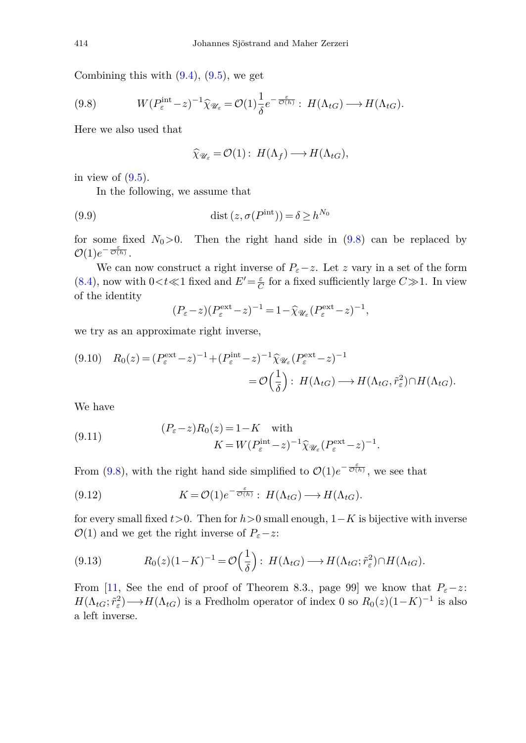Combining this with  $(9.4)$ ,  $(9.5)$ , we get

$$
(9.8) \t W(P_{\varepsilon}^{\text{int}} - z)^{-1} \widehat{\chi}_{\mathscr{U}_{\varepsilon}} = \mathcal{O}(1) \frac{1}{\delta} e^{-\frac{\varepsilon}{\mathcal{O}(h)}} : H(\Lambda_{tG}) \longrightarrow H(\Lambda_{tG}).
$$

Here we also used that

<span id="page-29-1"></span><span id="page-29-0"></span>
$$
\widehat{\chi}_{\mathscr{U}_{\varepsilon}} = \mathcal{O}(1): H(\Lambda_f) \longrightarrow H(\Lambda_{tG}),
$$

in view of  $(9.5)$ .

In the following, we assume that

(9.9) 
$$
\operatorname{dist}\left(z, \sigma(P^{\text{int}})\right) = \delta \ge h^{N_0}
$$

for some fixed  $N_0>0$ . Then the right hand side in [\(9.8\)](#page-29-0) can be replaced by  $\mathcal{O}(1)e^{-\frac{\varepsilon}{\mathcal{O}(h)}}$ .

We can now construct a right inverse of  $P_{\varepsilon}-z$ . Let *z* vary in a set of the form [\(8.4\)](#page-26-0), now with  $0 < t \ll 1$  fixed and  $E' = \frac{\varepsilon}{C}$  for a fixed sufficiently large  $C \gg 1$ . In view of the identity

<span id="page-29-2"></span>
$$
(P_{\varepsilon}-z)(P_{\varepsilon}^{\text{ext}}-z)^{-1} = 1 - \widehat{\chi}_{\mathscr{U}_{\varepsilon}}(P_{\varepsilon}^{\text{ext}}-z)^{-1},
$$

we try as an approximate right inverse,

$$
(9.10) \quad R_0(z) = (P_{\varepsilon}^{\text{ext}} - z)^{-1} + (P_{\varepsilon}^{\text{int}} - z)^{-1} \widehat{\chi}_{\mathscr{U}_{\varepsilon}} (P_{\varepsilon}^{\text{ext}} - z)^{-1}
$$

$$
= \mathcal{O}\Big(\frac{1}{\delta}\Big) : H(\Lambda_{tG}) \longrightarrow H(\Lambda_{tG}, \tilde{r}_{\varepsilon}^2) \cap H(\Lambda_{tG}).
$$

We have

(9.11) 
$$
(P_{\varepsilon} - z)R_0(z) = 1 - K \text{ with}
$$

$$
K = W(P_{\varepsilon}^{\text{int}} - z)^{-1} \widehat{\chi}_{\mathscr{U}_{\varepsilon}}(P_{\varepsilon}^{\text{ext}} - z)^{-1}.
$$

From [\(9.8\)](#page-29-0), with the right hand side simplified to  $\mathcal{O}(1)e^{-\frac{\varepsilon}{\mathcal{O}(h)}},$  we see that

(9.12) 
$$
K = \mathcal{O}(1)e^{-\frac{\varepsilon}{\mathcal{O}(h)}} : H(\Lambda_{tG}) \longrightarrow H(\Lambda_{tG}).
$$

for every small fixed *t>*0. Then for *h>*0 small enough, 1−*K* is bijective with inverse  $\mathcal{O}(1)$  and we get the right inverse of  $P_{\varepsilon}-z$ :

(9.13) 
$$
R_0(z)(1-K)^{-1} = \mathcal{O}\left(\frac{1}{\delta}\right): H(\Lambda_{tG}) \longrightarrow H(\Lambda_{tG}; \tilde{r}_\varepsilon^2) \cap H(\Lambda_{tG}).
$$

From [\[11](#page-51-0), See the end of proof of Theorem 8.3., page 99] we know that  $P_{\varepsilon}-z$ :  $H(\Lambda_{tG}; \tilde{r}_{\varepsilon}^2) \longrightarrow H(\Lambda_{tG})$  is a Fredholm operator of index 0 so  $R_0(z)(1-K)^{-1}$  is also a left inverse.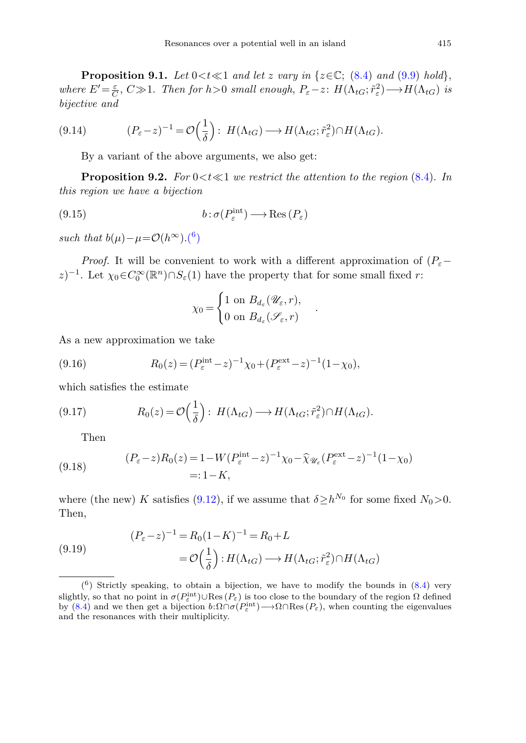**Proposition 9.1.** Let  $0 < t \ll 1$  and let *z* vary in { $z \in \mathbb{C}$ ; [\(8.4\)](#page-26-0) and [\(9.9\)](#page-29-1) hold}, where  $E' = \frac{\varepsilon}{C}$ ,  $C \gg 1$ . Then for  $h > 0$  small enough,  $P_{\varepsilon} - z$ :  $H(\Lambda_{tG}; \tilde{r}_{\varepsilon}^2) \longrightarrow H(\Lambda_{tG})$  is bijective and

$$
(9.14) \qquad (P_{\varepsilon}-z)^{-1} = \mathcal{O}\Big(\frac{1}{\delta}\Big): H(\Lambda_{tG}) \longrightarrow H(\Lambda_{tG}; \tilde{r}_{\varepsilon}^2) \cap H(\Lambda_{tG}).
$$

By a variant of the above arguments, we also get:

<span id="page-30-3"></span>**Proposition 9.2.** For  $0 < t \ll 1$  we restrict the attention to the region  $(8.4)$ . In this region we have a bijection

(9.15) 
$$
b: \sigma(P_{\varepsilon}^{\text{int}}) \longrightarrow \text{Res}(P_{\varepsilon})
$$

such that  $b(\mu) - \mu = \mathcal{O}(h^{\infty}) \cdot {^6})$ 

*Proof.* It will be convenient to work with a different approximation of  $(P_{\varepsilon} - P_{\varepsilon})$  $(z)^{-1}$ . Let  $\chi_0 \in C_0^\infty(\mathbb{R}^n) \cap S_\varepsilon(1)$  have the property that for some small fixed *r*:

<span id="page-30-1"></span>
$$
\chi_0 = \begin{cases} 1 \text{ on } B_{d_{\varepsilon}}(\mathscr{U}_{\varepsilon}, r), \\ 0 \text{ on } B_{d_{\varepsilon}}(\mathscr{S}_{\varepsilon}, r) \end{cases}.
$$

As a new approximation we take

(9.16) 
$$
R_0(z) = (P_{\varepsilon}^{\text{int}} - z)^{-1} \chi_0 + (P_{\varepsilon}^{\text{ext}} - z)^{-1} (1 - \chi_0),
$$

which satisfies the estimate

(9.17) 
$$
R_0(z) = \mathcal{O}\left(\frac{1}{\delta}\right): H(\Lambda_{tG}) \longrightarrow H(\Lambda_{tG}; \tilde{r}_\varepsilon^2) \cap H(\Lambda_{tG}).
$$

Then

(9.18) 
$$
(P_{\varepsilon} - z)R_0(z) = 1 - W(P_{\varepsilon}^{\text{int}} - z)^{-1} \chi_0 - \widehat{\chi}_{\mathscr{U}_{\varepsilon}}(P_{\varepsilon}^{\text{ext}} - z)^{-1} (1 - \chi_0) =: 1 - K,
$$

<span id="page-30-2"></span>where (the new) *K* satisfies [\(9.12\)](#page-29-2), if we assume that  $\delta \geq h^{N_0}$  for some fixed  $N_0 > 0$ . Then,

(9.19) 
$$
(P_{\varepsilon}-z)^{-1} = R_0(1-K)^{-1} = R_0 + L
$$

$$
= \mathcal{O}\left(\frac{1}{\delta}\right) : H(\Lambda_{tG}) \longrightarrow H(\Lambda_{tG}; \tilde{r}_{\varepsilon}^2) \cap H(\Lambda_{tG})
$$

<span id="page-30-0"></span> $(6)$  Strictly speaking, to obtain a bijection, we have to modify the bounds in  $(8.4)$  very slightly, so that no point in  $\sigma(P_{\varepsilon}^{\text{int}}) \cup \text{Res}(P_{\varepsilon})$  is too close to the boundary of the region  $\Omega$  defined by [\(8.4\)](#page-26-0) and we then get a bijection  $b:\Omega \cap \sigma(P_{\varepsilon}^{\text{int}}) \longrightarrow \Omega \cap \text{Res}(P_{\varepsilon})$ , when counting the eigenvalues and the resonances with their multiplicity.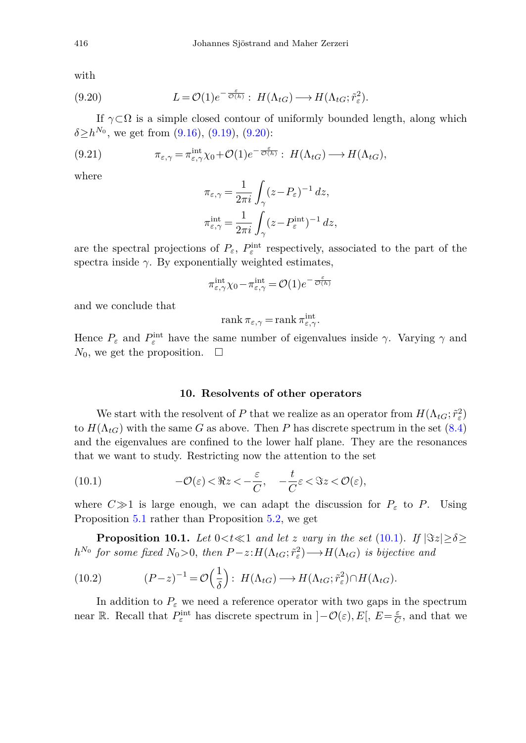<span id="page-31-1"></span>with

(9.20) 
$$
L = \mathcal{O}(1)e^{-\frac{\varepsilon}{\mathcal{O}(h)}} : H(\Lambda_{tG}) \longrightarrow H(\Lambda_{tG}; \tilde{r}_{\varepsilon}^2).
$$

If  $\gamma \subset \Omega$  is a simple closed contour of uniformly bounded length, along which  $\delta \ge h^{N_0}$ , we get from [\(9.16\)](#page-30-1), [\(9.19\)](#page-30-2), [\(9.20\)](#page-31-1):

(9.21) 
$$
\pi_{\varepsilon,\gamma} = \pi^{\text{int}}_{\varepsilon,\gamma} \chi_0 + \mathcal{O}(1) e^{-\frac{\varepsilon}{\mathcal{O}(h)}} : H(\Lambda_{tG}) \longrightarrow H(\Lambda_{tG}),
$$

where

$$
\pi_{\varepsilon,\gamma} = \frac{1}{2\pi i} \int_{\gamma} (z - P_{\varepsilon})^{-1} dz,
$$
  

$$
\pi_{\varepsilon,\gamma}^{\text{int}} = \frac{1}{2\pi i} \int_{\gamma} (z - P_{\varepsilon}^{\text{int}})^{-1} dz,
$$

are the spectral projections of  $P_{\varepsilon}$ ,  $P_{\varepsilon}^{\text{int}}$  respectively, associated to the part of the spectra inside  $\gamma$ . By exponentially weighted estimates,

$$
\pi^{\rm int}_{\varepsilon,\gamma} \chi_0 - \pi^{\rm int}_{\varepsilon,\gamma} = \mathcal O(1) e^{- \frac{\varepsilon}{\mathcal O(h)}}
$$

and we conclude that

<span id="page-31-2"></span>
$$
rank \pi_{\varepsilon,\gamma} = rank \pi^{\rm int}_{\varepsilon,\gamma}.
$$

Hence  $P_{\varepsilon}$  and  $P_{\varepsilon}^{\text{int}}$  have the same number of eigenvalues inside  $\gamma$ . Varying  $\gamma$  and  $N_0$ , we get the proposition.  $\Box$ 

### **10. Resolvents of other operators**

<span id="page-31-0"></span>We start with the resolvent of *P* that we realize as an operator from  $H(\Lambda_{tG}; \tilde{r}_\varepsilon^2)$ to  $H(\Lambda_{tG})$  with the same *G* as above. Then *P* has discrete spectrum in the set [\(8.4\)](#page-26-0) and the eigenvalues are confined to the lower half plane. They are the resonances that we want to study. Restricting now the attention to the set

(10.1) 
$$
-\mathcal{O}(\varepsilon) < \Re z < -\frac{\varepsilon}{C}, \quad -\frac{t}{C}\varepsilon < \Im z < \mathcal{O}(\varepsilon),
$$

where  $C \gg 1$  is large enough, we can adapt the discussion for  $P_{\varepsilon}$  to *P*. Using Proposition [5.1](#page-14-2) rather than Proposition [5.2,](#page-15-2) we get

<span id="page-31-3"></span>**Proposition 10.1.** Let  $0 < t \ll 1$  and let *z* vary in the set [\(10.1\)](#page-31-2). If  $|\Im z| \ge \delta$ *h*<sup>N<sub>0</sub></sup> for some fixed  $N_0 > 0$ , then  $P-z:H(\Lambda_{tG}; \tilde{r}_\varepsilon^2) \longrightarrow H(\Lambda_{tG})$  is bijective and

(10.2) 
$$
(P-z)^{-1} = \mathcal{O}\left(\frac{1}{\delta}\right): H(\Lambda_{tG}) \longrightarrow H(\Lambda_{tG}; \tilde{r}_{\varepsilon}^2) \cap H(\Lambda_{tG}).
$$

In addition to  $P_{\varepsilon}$  we need a reference operator with two gaps in the spectrum near R. Recall that  $P_{\varepsilon}^{\text{int}}$  has discrete spectrum in  $]-\mathcal{O}(\varepsilon), E[$ ,  $E=\frac{\varepsilon}{C}$ , and that we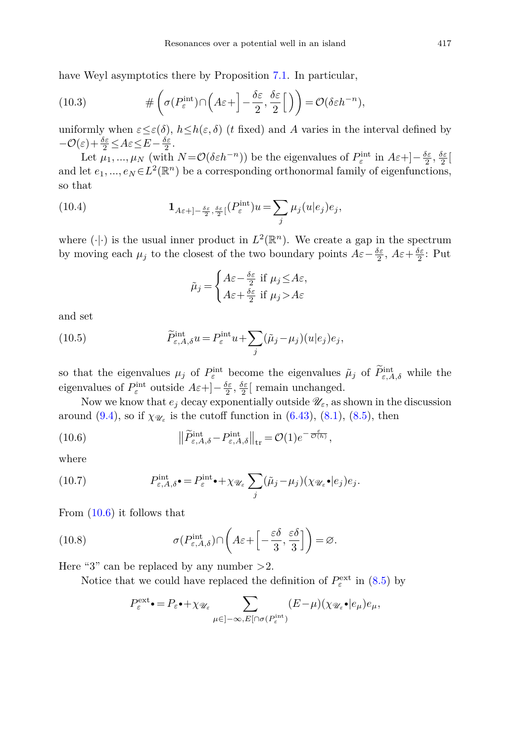have Weyl asymptotics there by Proposition [7.1.](#page-22-1) In particular,

(10.3) 
$$
\#\left(\sigma(P_{\varepsilon}^{\text{int}}) \cap \left(A\varepsilon + \left] - \frac{\delta \varepsilon}{2}, \frac{\delta \varepsilon}{2}\right[\right)\right) = \mathcal{O}(\delta \varepsilon h^{-n}),
$$

uniformly when  $\varepsilon \leq \varepsilon(\delta)$ ,  $h \leq h(\varepsilon, \delta)$  (*t* fixed) and *A* varies in the interval defined by  $-\mathcal{O}(\varepsilon) + \frac{\delta \varepsilon}{2} \leq A\varepsilon \leq E - \frac{\delta \varepsilon}{2}.$ 

Let  $\mu_1, ..., \mu_N$  (with  $N = \mathcal{O}(\delta \varepsilon h^{-n})$ ) be the eigenvalues of  $P_{\varepsilon}^{\text{int}}$  in  $A\varepsilon + \left[-\frac{\delta \varepsilon}{2}, \frac{\delta \varepsilon}{2}\right]$ and let  $e_1, ..., e_N \in L^2(\mathbb{R}^n)$  be a corresponding orthonormal family of eigenfunctions, so that

(10.4) 
$$
\mathbf{1}_{A\varepsilon+]-\frac{\delta\varepsilon}{2},\frac{\delta\varepsilon}{2} [}(P_{\varepsilon}^{\text{int}})u = \sum_{j} \mu_{j}(u|e_{j})e_{j},
$$

where  $(\cdot | \cdot)$  is the usual inner product in  $L^2(\mathbb{R}^n)$ . We create a gap in the spectrum by moving each  $\mu_j$  to the closest of the two boundary points  $A\varepsilon - \frac{\delta \varepsilon}{2}$ ,  $A\varepsilon + \frac{\delta \varepsilon}{2}$ : Put

<span id="page-32-1"></span><span id="page-32-0"></span>
$$
\tilde{\mu}_j = \begin{cases} A\varepsilon - \frac{\delta\varepsilon}{2} \text{ if } \mu_j \leq A\varepsilon, \\ A\varepsilon + \frac{\delta\varepsilon}{2} \text{ if } \mu_j > A\varepsilon \end{cases}
$$

<span id="page-32-2"></span>and set

(10.5) 
$$
\widetilde{P}_{\varepsilon,A,\delta}^{\text{int}}u = P_{\varepsilon}^{\text{int}}u + \sum_{j} (\widetilde{\mu}_j - \mu_j)(u|e_j)e_j,
$$

so that the eigenvalues  $\mu_j$  of  $P_{\varepsilon}^{\text{int}}$  become the eigenvalues  $\tilde{\mu}_j$  of  $P_{\varepsilon,A,\delta}^{\text{int}}$  while the eigenvalues of  $P_{\varepsilon}^{\text{int}}$  outside  $A\varepsilon + ]-\frac{\delta \varepsilon}{2}, \frac{\delta \varepsilon}{2} [$  remain unchanged.

Now we know that  $e_j$  decay exponentially outside  $\mathscr{U}_{\varepsilon}$ , as shown in the discussion around [\(9.4\)](#page-28-1), so if  $\chi_{\mathscr{U}_{\varepsilon}}$  is the cutoff function in [\(6.43\)](#page-21-1), [\(8.1\)](#page-25-3), [\(8.5\)](#page-27-1), then

(10.6) 
$$
\left\|\widetilde{P}_{\varepsilon,A,\delta}^{\text{int}} - P_{\varepsilon,A,\delta}^{\text{int}}\right\|_{\text{tr}} = \mathcal{O}(1)e^{-\frac{\varepsilon}{\mathcal{O}(h)}},
$$

<span id="page-32-3"></span>where

(10.7) 
$$
P_{\varepsilon,A,\delta}^{\text{int}} \bullet = P_{\varepsilon}^{\text{int}} \bullet + \chi_{\mathscr{U}_{\varepsilon}} \sum_j (\tilde{\mu}_j - \mu_j) (\chi_{\mathscr{U}_{\varepsilon}} \bullet | e_j) e_j.
$$

From [\(10.6\)](#page-32-0) it follows that

(10.8) 
$$
\sigma(P_{\varepsilon,A,\delta}^{\mathrm{int}}) \cap \left( A\varepsilon + \left[ -\frac{\varepsilon \delta}{3}, \frac{\varepsilon \delta}{3} \right] \right) = \varnothing.
$$

Here "3" can be replaced by any number *>*2.

Notice that we could have replaced the definition of  $P_{\varepsilon}^{\text{ext}}$  in [\(8.5\)](#page-27-1) by

$$
P_{\varepsilon}^{\text{ext}} \bullet = P_{\varepsilon} \bullet + \chi_{\mathscr{U}_{\varepsilon}} \sum_{\mu \in ]-\infty, E[\cap \sigma(P_{\varepsilon}^{\text{int}})} (E - \mu) (\chi_{\mathscr{U}_{\varepsilon}} \bullet | e_{\mu}) e_{\mu},
$$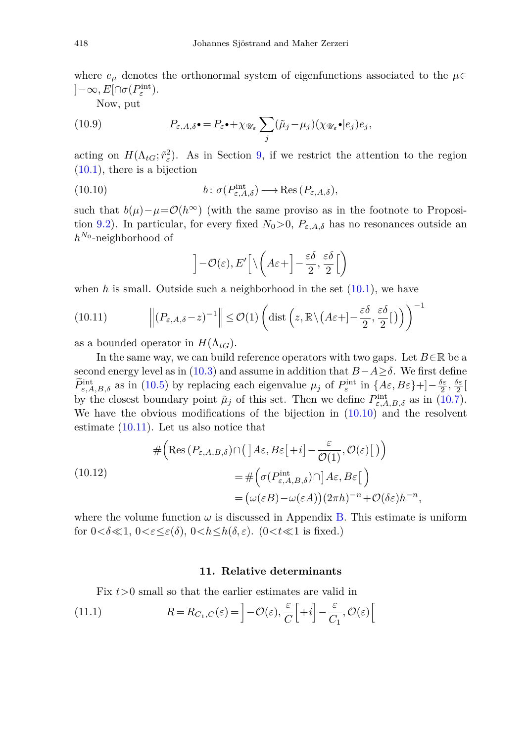where  $e_{\mu}$  denotes the orthonormal system of eigenfunctions associated to the  $\mu \in$  $]-\infty, E[\cap \sigma(P_{\varepsilon}^{\rm int}).$ 

Now, put

(10.9) 
$$
P_{\varepsilon,A,\delta} \bullet = P_{\varepsilon} \bullet + \chi_{\mathscr{U}_{\varepsilon}} \sum_j (\tilde{\mu}_j - \mu_j) (\chi_{\mathscr{U}_{\varepsilon}} \bullet | e_j) e_j,
$$

acting on  $H(\Lambda_{tG}; \tilde{r}_{\varepsilon}^2)$ . As in Section [9,](#page-27-0) if we restrict the attention to the region  $(10.1)$ , there is a bijection

(10.10) 
$$
b: \sigma(P^{\text{int}}_{\varepsilon, A, \delta}) \longrightarrow \text{Res}(P_{\varepsilon, A, \delta}),
$$

such that  $b(\mu)-\mu=\mathcal{O}(h^{\infty})$  (with the same proviso as in the footnote to Proposi-tion [9.2\)](#page-30-3). In particular, for every fixed  $N_0 > 0$ ,  $P_{\varepsilon, A, \delta}$  has no resonances outside an *h<sup>N</sup>*<sup>0</sup> -neighborhood of

<span id="page-33-2"></span><span id="page-33-1"></span>
$$
\left]-\mathcal{O}(\varepsilon),E'\right[\setminus\left(A\varepsilon+\right]-\frac{\varepsilon\delta}{2},\frac{\varepsilon\delta}{2}\Big[\right)
$$

when  $h$  is small. Outside such a neighborhood in the set  $(10.1)$ , we have

(10.11) 
$$
\left\| (P_{\varepsilon,A,\delta} - z)^{-1} \right\| \leq \mathcal{O}(1) \left( \text{dist} \left( z, \mathbb{R} \setminus (A \varepsilon + ] - \frac{\varepsilon \delta}{2}, \frac{\varepsilon \delta}{2} [ ) \right) \right)^{-1}
$$

as a bounded operator in  $H(\Lambda_{tG})$ .

In the same way, we can build reference operators with two gaps. Let  $B \in \mathbb{R}$  be a second energy level as in [\(10.3\)](#page-32-1) and assume in addition that  $B-A \geq \delta$ . We first define  $\widetilde{P}_{\varepsilon,A,B,\delta}^{\text{int}}$  as in [\(10.5\)](#page-32-2) by replacing each eigenvalue  $\mu_j$  of  $P_{\varepsilon}^{\text{int}}$  in  $\{A\varepsilon,B\varepsilon\}+\left]-\frac{\delta\varepsilon}{2},\frac{\delta\varepsilon}{2}\right]$ by the closest boundary point  $\tilde{\mu}_j$  of this set. Then we define  $P^{\text{int}}_{\varepsilon,A,B,\delta}$  as in [\(10.7\)](#page-32-3). We have the obvious modifications of the bijection in  $(10.10)$  and the resolvent estimate [\(10.11\)](#page-33-2). Let us also notice that

(10.12)  
\n
$$
\#\Big(\text{Res}(P_{\varepsilon,A,B,\delta})\cap \big(\,\big]\,A\varepsilon,B\varepsilon\big[+i\big]-\frac{\varepsilon}{\mathcal{O}(1)},\mathcal{O}(\varepsilon)\big[\,\big)\Big)
$$
\n
$$
=\#\Big(\sigma(P_{\varepsilon,A,B,\delta}^{\text{int}})\cap\big]\,A\varepsilon,B\varepsilon\big[\,\Big)
$$
\n
$$
=\big(\omega(\varepsilon B)-\omega(\varepsilon A)\big)(2\pi h)^{-n}+\mathcal{O}(\delta\varepsilon)h^{-n},
$$

where the volume function  $\omega$  is discussed in Appendix [B.](#page-50-0) This estimate is uniform for  $0 < \delta \ll 1$ ,  $0 < \varepsilon \leq \varepsilon(\delta)$ ,  $0 < h \leq h(\delta, \varepsilon)$ . ( $0 < t \ll 1$  is fixed.)

## <span id="page-33-4"></span><span id="page-33-3"></span>**11. Relative determinants**

<span id="page-33-0"></span>Fix  $t>0$  small so that the earlier estimates are valid in

(11.1) 
$$
R = R_{C_1, C}(\varepsilon) = \left] - \mathcal{O}(\varepsilon), \frac{\varepsilon}{C} \left[ +i \right] - \frac{\varepsilon}{C_1}, \mathcal{O}(\varepsilon) \right[
$$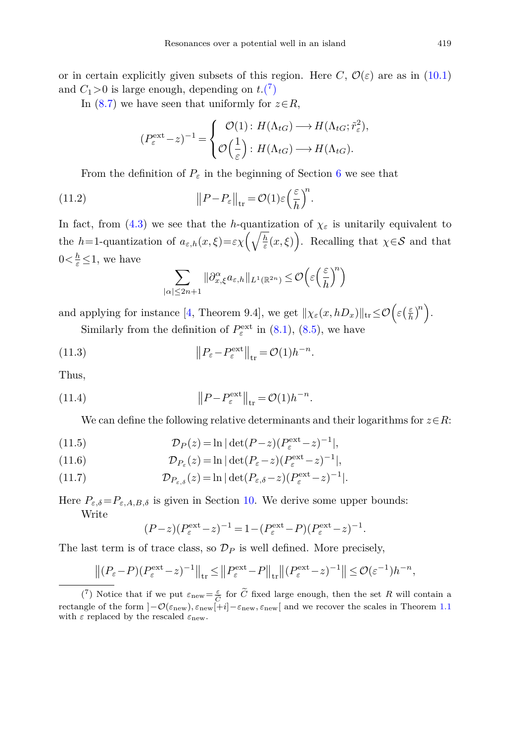or in certain explicitly given subsets of this region. Here *C*,  $\mathcal{O}(\varepsilon)$  are as in [\(10.1\)](#page-31-2) and  $C_1 > 0$  is large enough, depending on  $t \cdot \binom{7}{1}$ 

In [\(8.7\)](#page-27-2) we have seen that uniformly for  $z \in R$ ,

$$
(P_{\varepsilon}^{\text{ext}} - z)^{-1} = \begin{cases} \mathcal{O}(1) : H(\Lambda_{tG}) \longrightarrow H(\Lambda_{tG}; \tilde{r}_{\varepsilon}^2), \\ \mathcal{O}\Big(\frac{1}{\varepsilon}\Big) : H(\Lambda_{tG}) \longrightarrow H(\Lambda_{tG}). \end{cases}
$$

From the definition of  $P_{\varepsilon}$  in the beginning of Section [6](#page-16-0) we see that

(11.2) 
$$
\|P - P_{\varepsilon}\|_{\text{tr}} = \mathcal{O}(1)\varepsilon \left(\frac{\varepsilon}{h}\right)^n.
$$

In fact, from [\(4.3\)](#page-11-6) we see that the *h*-quantization of  $\chi_{\varepsilon}$  is unitarily equivalent to the *h*=1-quantization of  $a_{\varepsilon,h}(x,\xi) = \varepsilon \chi \left(\sqrt{\frac{h}{\varepsilon}}(x,\xi)\right)$ . Recalling that  $\chi \in \mathcal{S}$  and that  $0 \lt \frac{h}{\varepsilon} \leq 1$ , we have

$$
\sum_{|\alpha|\leq 2n+1} \|\partial_{x,\xi}^{\alpha} a_{\varepsilon,h}\|_{L^1(\mathbb{R}^{2n})} \leq \mathcal{O}\Big(\varepsilon\Big(\frac{\varepsilon}{h}\Big)^n\Big)
$$

and applying for instance [\[4,](#page-51-14) Theorem 9.4], we get  $\|\chi_{\varepsilon}(x,hD_x)\|_{\text{tr}} \leq \mathcal{O}\left(\varepsilon\left(\frac{\varepsilon}{h}\right)^n\right).$ 

Similarly from the definition of  $P_{\varepsilon}^{\text{ext}}$  in [\(8.1\)](#page-25-3), [\(8.5\)](#page-27-1), we have

(11.3) 
$$
\left\|P_{\varepsilon}-P_{\varepsilon}^{\text{ext}}\right\|_{\text{tr}}=\mathcal{O}(1)h^{-n}.
$$

Thus,

(11.4) 
$$
\left\|P - P_{\varepsilon}^{\text{ext}}\right\|_{\text{tr}} = \mathcal{O}(1)h^{-n}.
$$

We can define the following relative determinants and their logarithms for  $z \in R$ :

(11.5) 
$$
\mathcal{D}_P(z) = \ln |\det(P - z)(P_\varepsilon^{\text{ext}} - z)^{-1}|,
$$

(11.6) 
$$
\mathcal{D}_{P_{\varepsilon}}(z) = \ln |\det(P_{\varepsilon} - z)(P_{\varepsilon}^{\text{ext}} - z)^{-1}|,
$$

(11.7) 
$$
\mathcal{D}_{P_{\varepsilon,\delta}}(z) = \ln |\det(P_{\varepsilon,\delta} - z)(P_{\varepsilon}^{\text{ext}} - z)^{-1}|.
$$

Here  $P_{\varepsilon,\delta} = P_{\varepsilon,A,B,\delta}$  is given in Section [10.](#page-31-0) We derive some upper bounds: Write

$$
(P-z)(P_{\varepsilon}^{\text{ext}} - z)^{-1} = 1 - (P_{\varepsilon}^{\text{ext}} - P)(P_{\varepsilon}^{\text{ext}} - z)^{-1}.
$$

The last term is of trace class, so  $\mathcal{D}_P$  is well defined. More precisely,

last term is of trace class, so 
$$
\mathcal{D}_P
$$
 is well defined. More precisely,  
\n
$$
\left\| (P_{\varepsilon}-P)(P_{\varepsilon}^{\text{ext}} - z)^{-1} \right\|_{\text{tr}} \leq \left\| P_{\varepsilon}^{\text{ext}} - P \right\|_{\text{tr}} \left\| (P_{\varepsilon}^{\text{ext}} - z)^{-1} \right\| \leq \mathcal{O}(\varepsilon^{-1}) h^{-n},
$$
\n(7) Notice that if we put  $\varepsilon_{\text{new}} = \frac{\varepsilon}{\tilde{C}}$  for  $\tilde{C}$  fixed large enough, then the set  $R$  will contain a

<span id="page-34-0"></span>rectangle of the form ]−O(*ε*new)*, ε*new[+*i*]−*ε*new*, ε*new[ and we recover the scales in Theorem [1.1](#page-4-0) with *ε* replaced by the rescaled *ε*new.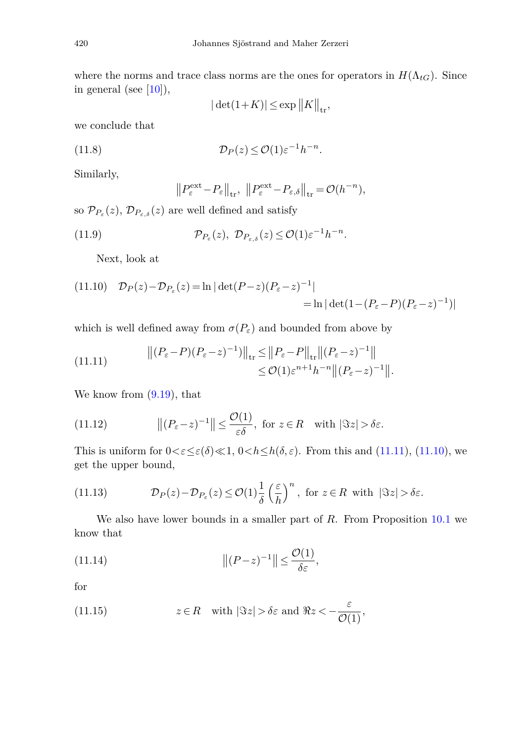where the norms and trace class norms are the ones for operators in  $H(\Lambda_{tG})$ . Since in general (see  $[10]$ ),

$$
|\det(1+K)| \le \exp\left\|K\right\|_{\text{tr}},
$$

we conclude that

(11.8) 
$$
\mathcal{D}_P(z) \leq \mathcal{O}(1) \varepsilon^{-1} h^{-n}.
$$

Similarly,

<span id="page-35-0"></span>
$$
\left\|P_{\varepsilon}^{\text{ext}} - P_{\varepsilon}\right\|_{\text{tr}}, \ \left\|P_{\varepsilon}^{\text{ext}} - P_{\varepsilon,\delta}\right\|_{\text{tr}} = \mathcal{O}(h^{-n}),
$$

so  $\mathcal{P}_{P_{\varepsilon}}(z), \mathcal{D}_{P_{\varepsilon,\delta}}(z)$  are well defined and satisfy

(11.9) 
$$
\mathcal{P}_{P_{\varepsilon}}(z), \ \mathcal{D}_{P_{\varepsilon},\delta}(z) \leq \mathcal{O}(1) \varepsilon^{-1} h^{-n}.
$$

Next, look at

<span id="page-35-1"></span>(11.10) 
$$
\mathcal{D}_P(z) - \mathcal{D}_{P_{\varepsilon}}(z) = \ln |\det(P - z)(P_{\varepsilon} - z)^{-1}|
$$
  
= 
$$
\ln |\det(1 - (P_{\varepsilon} - P)(P_{\varepsilon} - z)^{-1})|
$$

which is well defined away from  $\sigma(P_{\varepsilon})$  and bounded from above by

(11.11) 
$$
\begin{aligned} \left\| (P_{\varepsilon} - P)(P_{\varepsilon} - z)^{-1}) \right\|_{\rm tr} &\leq \left\| P_{\varepsilon} - P \right\|_{\rm tr} \left\| (P_{\varepsilon} - z)^{-1} \right\| \\ &\leq \mathcal{O}(1) \varepsilon^{n+1} h^{-n} \left\| (P_{\varepsilon} - z)^{-1} \right\|. \end{aligned}
$$

We know from [\(9.19\)](#page-30-2), that

(11.12) 
$$
\|(P_{\varepsilon}-z)^{-1}\| \leq \frac{\mathcal{O}(1)}{\varepsilon \delta}, \text{ for } z \in R \text{ with } |\Im z| > \delta \varepsilon.
$$

This is uniform for  $0 < \varepsilon \leq \varepsilon(\delta) \ll 1$ ,  $0 < h \leq h(\delta, \varepsilon)$ . From this and [\(11.11\)](#page-35-0), [\(11.10\)](#page-35-1), we get the upper bound,

<span id="page-35-3"></span>(11.13) 
$$
\mathcal{D}_P(z) - \mathcal{D}_{P_{\varepsilon}}(z) \leq \mathcal{O}(1) \frac{1}{\delta} \left(\frac{\varepsilon}{h}\right)^n, \text{ for } z \in R \text{ with } |\Im z| > \delta \varepsilon.
$$

We also have lower bounds in a smaller part of *R*. From Proposition [10.1](#page-31-3) we know that

(11.14) 
$$
||(P-z)^{-1}|| \leq \frac{\mathcal{O}(1)}{\delta \varepsilon},
$$

<span id="page-35-2"></span>for

(11.15) 
$$
z \in R
$$
 with  $|\Im z| > \delta \varepsilon$  and  $\Re z < -\frac{\varepsilon}{\mathcal{O}(1)}$ ,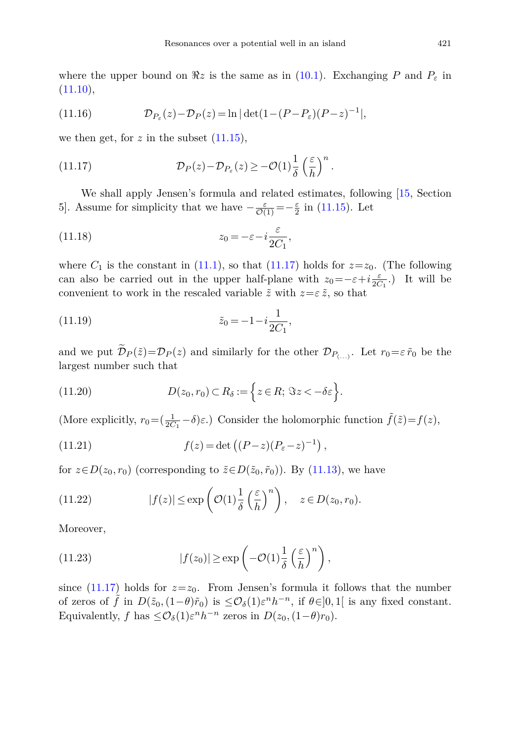where the upper bound on  $\Re z$  is the same as in [\(10.1\)](#page-31-2). Exchanging P and  $P_{\varepsilon}$  in  $(11.10),$  $(11.10),$ 

(11.16) 
$$
\mathcal{D}_{P_{\varepsilon}}(z) - \mathcal{D}_{P}(z) = \ln |\det(1 - (P - P_{\varepsilon})(P - z)^{-1}|,
$$

<span id="page-36-0"></span>we then get, for  $z$  in the subset  $(11.15)$ ,

(11.17) 
$$
\mathcal{D}_P(z) - \mathcal{D}_{P_{\varepsilon}}(z) \geq -\mathcal{O}(1)\frac{1}{\delta} \left(\frac{\varepsilon}{h}\right)^n.
$$

We shall apply Jensen's formula and related estimates, following [\[15,](#page-51-9) Section 5]. Assume for simplicity that we have  $-\frac{\varepsilon}{\mathcal{O}(1)} = -\frac{\varepsilon}{2}$  in [\(11.15\)](#page-35-2). Let

(11.18) 
$$
z_0 = -\varepsilon - i \frac{\varepsilon}{2C_1},
$$

where  $C_1$  is the constant in [\(11.1\)](#page-33-3), so that [\(11.17\)](#page-36-0) holds for  $z=z_0$ . (The following can also be carried out in the upper half-plane with  $z_0 = -\varepsilon + i \frac{\varepsilon}{2C_1}$ .) It will be convenient to work in the rescaled variable  $\tilde{z}$  with  $z = \varepsilon \tilde{z}$ , so that

(11.19) 
$$
\tilde{z}_0 = -1 - i \frac{1}{2C_1},
$$

<span id="page-36-2"></span>and we put  $\widetilde{\mathcal{D}}_P(\tilde{z})=\mathcal{D}_P(z)$  and similarly for the other  $\mathcal{D}_{P(\ldots)}$ . Let  $r_0=\varepsilon \tilde{r}_0$  be the largest number such that

(11.20) 
$$
D(z_0, r_0) \subset R_\delta := \left\{ z \in R; \ \Im z < -\delta \varepsilon \right\}.
$$

<span id="page-36-1"></span>(More explicitly,  $r_0 = (\frac{1}{2C_1} - \delta)\varepsilon$ .) Consider the holomorphic function  $\tilde{f}(\tilde{z}) = f(z)$ ,

(11.21) 
$$
f(z) = \det \left( (P - z)(P_{\varepsilon} - z)^{-1} \right),
$$

for  $z \in D(z_0, r_0)$  (corresponding to  $\tilde{z} \in D(\tilde{z}_0, \tilde{r}_0)$ ). By [\(11.13\)](#page-35-3), we have

(11.22) 
$$
|f(z)| \le \exp\left(\mathcal{O}(1)\frac{1}{\delta}\left(\frac{\varepsilon}{h}\right)^n\right), \quad z \in D(z_0, r_0).
$$

Moreover,

(11.23) 
$$
|f(z_0)| \ge \exp\left(-\mathcal{O}(1)\frac{1}{\delta} \left(\frac{\varepsilon}{h}\right)^n\right),
$$

since [\(11.17\)](#page-36-0) holds for  $z=z_0$ . From Jensen's formula it follows that the number of zeros of  $\tilde{f}$  in  $D(\tilde{z}_0, (1-\theta)\tilde{r}_0)$  is  $\leq \mathcal{O}_{\delta}(1)\varepsilon^n h^{-n}$ , if  $\theta \in ]0,1[$  is any fixed constant. Equivalently, *f* has  $\leq \mathcal{O}_{\delta}(1)\varepsilon^{n}h^{-n}$  zeros in  $D(z_0, (1-\theta)r_0)$ .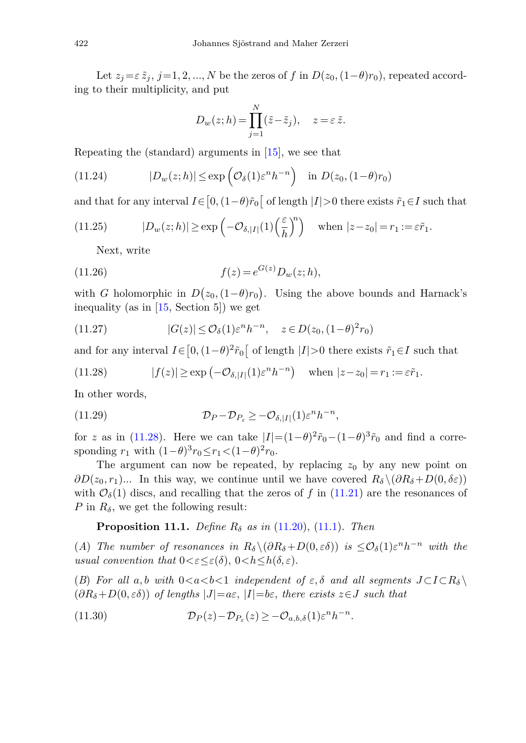Let  $z_j = \varepsilon \tilde{z}_j$ ,  $j = 1, 2, ..., N$  be the zeros of *f* in  $D(z_0, (1-\theta)r_0)$ , repeated according to their multiplicity, and put

<span id="page-37-0"></span>
$$
D_w(z; h) = \prod_{j=1}^N (\tilde{z} - \tilde{z}_j), \quad z = \varepsilon \, \tilde{z}.
$$

Repeating the (standard) arguments in [\[15\]](#page-51-9), we see that

(11.24) 
$$
|D_w(z;h)| \le \exp\left(\mathcal{O}_{\delta}(1)\varepsilon^n h^{-n}\right) \text{ in } D(z_0,(1-\theta)r_0)
$$

and that for any interval  $I \in [0, (1-\theta)\tilde{r}_0]$  of length  $|I| > 0$  there exists  $\tilde{r}_1 \in I$  such that

(11.25) 
$$
|D_w(z;h)| \ge \exp\left(-\mathcal{O}_{\delta,|I|}(1)\left(\frac{\varepsilon}{h}\right)^n\right) \quad \text{when } |z-z_0| = r_1 := \varepsilon \tilde{r}_1.
$$

Next, write

(11.26) 
$$
f(z) = e^{G(z)} D_w(z; h),
$$

with *G* holomorphic in  $D(z_0, (1-\theta)r_0)$ . Using the above bounds and Harnack's inequality (as in [\[15,](#page-51-9) Section 5]) we get

(11.27) 
$$
|G(z)| \leq \mathcal{O}_{\delta}(1)\varepsilon^{n} h^{-n}, \quad z \in D(z_0, (1-\theta)^2 r_0)
$$

and for any interval  $I \in [0, (1-\theta)^2 \tilde{r}_0]$  of length  $|I| > 0$  there exists  $\tilde{r}_1 \in I$  such that

(11.28) 
$$
|f(z)| \ge \exp\left(-\mathcal{O}_{\delta,|I|}(1)\varepsilon^n h^{-n}\right) \quad \text{when } |z-z_0|=r_1:=\varepsilon \tilde{r}_1.
$$

In other words,

(11.29) 
$$
\mathcal{D}_P - \mathcal{D}_{P_{\varepsilon}} \geq -\mathcal{O}_{\delta, |I|}(1) \varepsilon^n h^{-n},
$$

for *z* as in [\(11.28\)](#page-37-0). Here we can take  $|I| = (1 - \theta)^2 \tilde{r}_0 - (1 - \theta)^3 \tilde{r}_0$  and find a corresponding  $r_1$  with  $(1-\theta)^3 r_0 \leq r_1 < (1-\theta)^2 r_0$ .

The argument can now be repeated, by replacing  $z_0$  by any new point on  $\partial D(z_0, r_1)$ ... In this way, we continue until we have covered  $R_\delta \setminus (\partial R_\delta + D(0, \delta \varepsilon))$ with  $\mathcal{O}_{\delta}(1)$  discs, and recalling that the zeros of *f* in [\(11.21\)](#page-36-1) are the resonances of *P* in  $R_\delta$ , we get the following result:

## <span id="page-37-2"></span>**Proposition 11.1.** Define  $R_\delta$  as in [\(11.20\)](#page-36-2), [\(11.1\)](#page-33-3). Then

<span id="page-37-1"></span>(A) The number of resonances in  $R_\delta \setminus (\partial R_\delta + D(0, \varepsilon \delta))$  is  $\leq \mathcal{O}_\delta(1) \varepsilon^n h^{-n}$  with the usual convention that  $0 < \varepsilon \leq \varepsilon(\delta)$ ,  $0 < h \leq h(\delta, \varepsilon)$ .

(B) For all a,b with  $0 < a < b < 1$  independent of  $\varepsilon, \delta$  and all segments  $J \subset I \subset R_{\delta} \setminus I$  $(\partial R_{\delta} + D(0, \varepsilon \delta))$  of lengths  $|J| = a \varepsilon$ ,  $|I| = b \varepsilon$ , there exists  $z \in J$  such that

(11.30) 
$$
\mathcal{D}_P(z) - \mathcal{D}_{P_{\varepsilon}}(z) \geq -\mathcal{O}_{a,b,\delta}(1)\varepsilon^n h^{-n}.
$$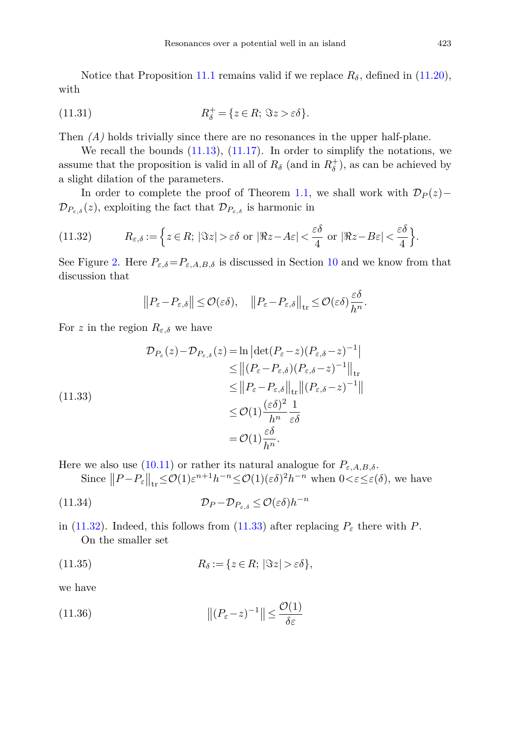Notice that Proposition [11.1](#page-37-1) remains valid if we replace  $R_\delta$ , defined in [\(11.20\)](#page-36-2), with

(11.31) 
$$
R_{\delta}^{+} = \{ z \in R; \ \Im z > \varepsilon \delta \}.
$$

Then  $(A)$  holds trivially since there are no resonances in the upper half-plane.

We recall the bounds  $(11.13)$ ,  $(11.17)$ . In order to simplify the notations, we assume that the proposition is valid in all of  $R_\delta$  (and in  $R_\delta^+$ ), as can be achieved by a slight dilation of the parameters.

In order to complete the proof of Theorem [1.1,](#page-4-0) we shall work with  $\mathcal{D}_P(z)$ −  $\mathcal{D}_{P_{\varepsilon,\delta}}(z)$ , exploiting the fact that  $\mathcal{D}_{P_{\varepsilon,\delta}}$  is harmonic in

(11.32) 
$$
R_{\varepsilon,\delta} := \left\{ z \in R; \, |\Im z| > \varepsilon \delta \text{ or } |\Re z - A\varepsilon| < \frac{\varepsilon \delta}{4} \text{ or } |\Re z - B\varepsilon| < \frac{\varepsilon \delta}{4} \right\}.
$$

See Figure [2.](#page-6-1) Here  $P_{\varepsilon,\delta} = P_{\varepsilon,A,B,\delta}$  is discussed in Section [10](#page-31-0) and we know from that discussion that

<span id="page-38-1"></span><span id="page-38-0"></span>
$$
||P_{\varepsilon}-P_{\varepsilon,\delta}|| \leq \mathcal{O}(\varepsilon\delta), \quad ||P_{\varepsilon}-P_{\varepsilon,\delta}||_{\text{tr}} \leq \mathcal{O}(\varepsilon\delta)\frac{\varepsilon\delta}{h^n}.
$$

For *z* in the region  $R_{\varepsilon,\delta}$  we have

$$
\mathcal{D}_{P_{\varepsilon}}(z) - \mathcal{D}_{P_{\varepsilon,\delta}}(z) = \ln \left| \det(P_{\varepsilon} - z)(P_{\varepsilon,\delta} - z)^{-1} \right|
$$
  
\n
$$
\leq \left\| (P_{\varepsilon} - P_{\varepsilon,\delta})(P_{\varepsilon,\delta} - z)^{-1} \right\|_{\text{tr}}
$$
  
\n
$$
\leq \left\| P_{\varepsilon} - P_{\varepsilon,\delta} \right\|_{\text{tr}} \left\| (P_{\varepsilon,\delta} - z)^{-1} \right\|
$$
  
\n
$$
\leq \mathcal{O}(1) \frac{(\varepsilon \delta)^2}{h^n} \frac{1}{\varepsilon \delta}
$$
  
\n
$$
= \mathcal{O}(1) \frac{\varepsilon \delta}{h^n}.
$$

Here we also use [\(10.11\)](#page-33-2) or rather its natural analogue for  $P_{\varepsilon, A, B, \delta}$ .

Since  $||P - P_{\varepsilon}||_{tr} \leq \mathcal{O}(1)\varepsilon^{n+1}h^{-n} \leq \mathcal{O}(1)(\varepsilon\delta)^2h^{-n}$  when  $0 < \varepsilon \leq \varepsilon(\delta)$ , we have

(11.34) 
$$
\mathcal{D}_P - \mathcal{D}_{P_{\varepsilon,\delta}} \leq \mathcal{O}(\varepsilon \delta) h^{-n}
$$

<span id="page-38-2"></span>in [\(11.32\)](#page-38-0). Indeed, this follows from [\(11.33\)](#page-38-1) after replacing  $P_{\varepsilon}$  there with *P*. On the smaller set

(11.35) 
$$
R_{\delta} := \{ z \in R; \, |\Im z| > \varepsilon \delta \},
$$

we have

(11.36) 
$$
\|(P_{\varepsilon}-z)^{-1}\| \leq \frac{\mathcal{O}(1)}{\delta \varepsilon}
$$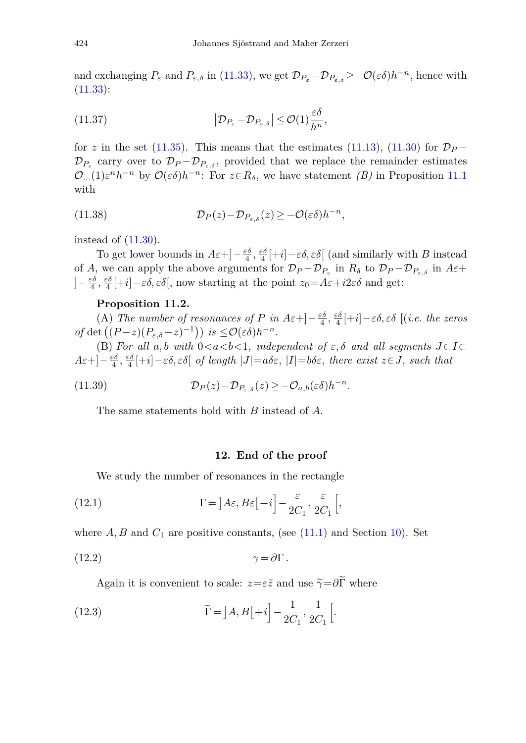and exchanging  $P_{\varepsilon}$  and  $P_{\varepsilon,\delta}$  in [\(11.33\)](#page-38-1), we get  $\mathcal{D}_{P_{\varepsilon}-}\mathcal{D}_{P_{\varepsilon,\delta}} \geq -\mathcal{O}(\varepsilon\delta)h^{-n}$ , hence with  $(11.33):$  $(11.33):$ 

(11.37) 
$$
\left| \mathcal{D}_{P_{\varepsilon}} - \mathcal{D}_{P_{\varepsilon,\delta}} \right| \leq \mathcal{O}(1) \frac{\varepsilon \delta}{h^n},
$$

for *z* in the set [\(11.35\)](#page-38-2). This means that the estimates [\(11.13\)](#page-35-3), [\(11.30\)](#page-37-2) for  $\mathcal{D}_P$  −  $\mathcal{D}_{P_{\varepsilon}}$  carry over to  $\mathcal{D}_{P} - \mathcal{D}_{P_{\varepsilon,\delta}}$ , provided that we replace the remainder estimates  $\mathcal{O}_{\ldots}(1)\varepsilon^n h^{-n}$  by  $\mathcal{O}(\varepsilon\delta)h^{-n}$ : For  $z \in R_\delta$ , we have statement *(B)* in Proposition [11.1](#page-37-1) with

<span id="page-39-3"></span>(11.38) 
$$
\mathcal{D}_P(z) - \mathcal{D}_{P_{\varepsilon,\delta}}(z) \geq -\mathcal{O}(\varepsilon\delta)h^{-n},
$$

instead of [\(11.30\)](#page-37-2).

To get lower bounds in  $A\varepsilon + \left(-\frac{\varepsilon \delta}{4}, \frac{\varepsilon \delta}{4}\right[ + i] - \varepsilon \delta, \varepsilon \delta$  (and similarly with *B* instead of *A*, we can apply the above arguments for  $\mathcal{D}_P - \mathcal{D}_{P_\varepsilon}$  in  $R_\delta$  to  $\mathcal{D}_P - \mathcal{D}_{P_\varepsilon}$  in  $A\varepsilon +$  $]-\frac{\varepsilon\delta}{4}, \frac{\varepsilon\delta}{4}[\pm i]-\varepsilon\delta, \varepsilon\delta$ , now starting at the point  $z_0=A\varepsilon+i2\varepsilon\delta$  and get:

#### **Proposition 11.2.**

<span id="page-39-1"></span>(A) The number of resonances of *P* in  $A\varepsilon + \frac{\varepsilon \delta}{4} + \frac{\varepsilon \delta}{4} + i - \varepsilon \delta$ ,  $\varepsilon \delta$  [(i.e. the zeros  $of \det ((P-z)(P_{\varepsilon,\delta}-z)^{-1})) \text{ is } \leq \mathcal{O}(\varepsilon\delta)h^{-n}.$ 

(B) For all  $a, b$  with  $0 < a < b < 1$ , independent of  $\varepsilon, \delta$  and all segments  $J \subset I \subset$  $A\varepsilon +]-\frac{\varepsilon \delta}{4}, \frac{\varepsilon \delta}{4}[+i]-\varepsilon \delta, \varepsilon \delta[$  *of length*  $|J|=a\delta\varepsilon$ ,  $|I|=b\delta\varepsilon$ , there exist  $z\in J$ , such that

(11.39) 
$$
\mathcal{D}_P(z) - \mathcal{D}_{P_{\varepsilon,\delta}}(z) \geq -\mathcal{O}_{a,b}(\varepsilon\delta)h^{-n}.
$$

<span id="page-39-0"></span>The same statements hold with *B* instead of *A*.

#### <span id="page-39-2"></span>**12. End of the proof**

We study the number of resonances in the rectangle

(12.1) 
$$
\Gamma = \left] A \varepsilon, B \varepsilon \left[ +i \right] - \frac{\varepsilon}{2C_1}, \frac{\varepsilon}{2C_1} \left[ , \right]
$$

where  $A, B$  and  $C_1$  are positive constants, (see  $(11.1)$ ) and Section [10\)](#page-31-0). Set

$$
\gamma = \partial \Gamma \, .
$$

Again it is convenient to scale:  $z = \varepsilon \tilde{z}$  and use  $\tilde{\gamma} = \partial \tilde{\Gamma}$  where

(12.3) 
$$
\widetilde{\Gamma} = \left] A, B\left[ +i \right] - \frac{1}{2C_1}, \frac{1}{2C_1} \left[ .\right]
$$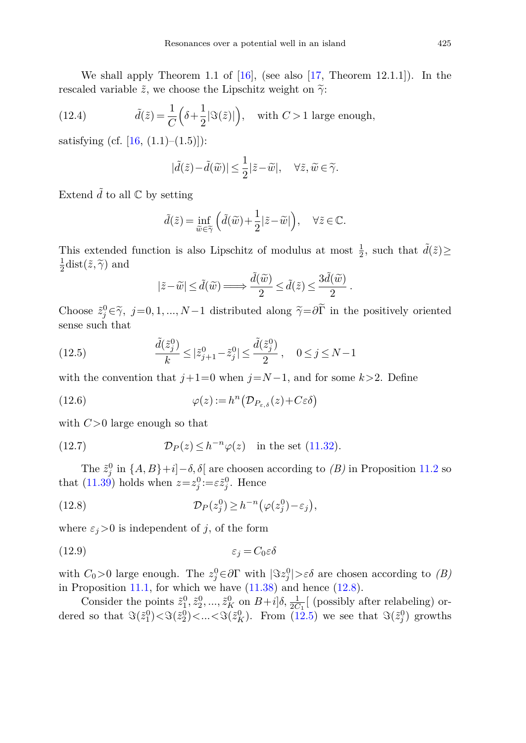We shall apply Theorem 1.1 of  $[16]$ , (see also  $[17$ , Theorem 12.1.1]). In the rescaled variable  $\tilde{z}$ , we choose the Lipschitz weight on  $\tilde{\gamma}$ :

(12.4) 
$$
\tilde{d}(\tilde{z}) = \frac{1}{C} \left( \delta + \frac{1}{2} |\Im(\tilde{z})| \right), \text{ with } C > 1 \text{ large enough,}
$$

satisfying (cf.  $[16, (1.1)–(1.5)]$  $[16, (1.1)–(1.5)]$ ):

$$
|\tilde{d}(\tilde{z}) - \tilde{d}(\tilde{w})| \le \frac{1}{2} |\tilde{z} - \tilde{w}|, \quad \forall \tilde{z}, \tilde{w} \in \tilde{\gamma}.
$$

Extend  $\tilde{d}$  to all  $\mathbb C$  by setting

$$
\tilde{d}(\tilde{z}) = \inf_{\tilde{w}\in\tilde{\gamma}} \Big( \tilde{d}(\tilde{w}) + \frac{1}{2} |\tilde{z} - \tilde{w}| \Big), \quad \forall \tilde{z} \in \mathbb{C}.
$$

This extended function is also Lipschitz of modulus at most  $\frac{1}{2}$ , such that  $\tilde{d}(\tilde{z}) \ge$  $\frac{1}{2}$ dist $(\tilde{z}, \tilde{\gamma})$  and

<span id="page-40-1"></span>
$$
|\tilde z-\widetilde w|\leq \tilde d(\widetilde w)\mathop{\Longrightarrow}\limits \frac{\tilde d(\widetilde w)}{2}\leq \tilde d(\tilde z)\leq \frac{3\tilde d(\widetilde w)}{2}\,.
$$

Choose  $\tilde{z}_j^0 \in \tilde{\gamma}$ ,  $j=0,1,...,N-1$  distributed along  $\tilde{\gamma} = \partial \Gamma$  in the positively oriented sense such that

(12.5) 
$$
\frac{\tilde{d}(\tilde{z}_j^0)}{k} \leq |\tilde{z}_{j+1}^0 - \tilde{z}_j^0| \leq \frac{\tilde{d}(\tilde{z}_j^0)}{2}, \quad 0 \leq j \leq N - 1
$$

with the convention that  $j+1=0$  when  $j=N-1$ , and for some  $k>2$ . Define

(12.6) 
$$
\varphi(z) := h^n \big( \mathcal{D}_{P_{\varepsilon,\delta}}(z) + C \varepsilon \delta \big)
$$

with *C>*0 large enough so that

(12.7) 
$$
\mathcal{D}_P(z) \leq h^{-n} \varphi(z) \quad \text{in the set (11.32)}.
$$

<span id="page-40-0"></span>The  $\tilde{z}_j^0$  in  $\{A, B\}+i$ ]−*δ*,  $\delta$ [ are choosen according to *(B)* in Proposition [11.2](#page-39-1) so that [\(11.39\)](#page-39-2) holds when  $z=z_j^0:=\varepsilon \tilde{z}_j^0$ . Hence

<span id="page-40-2"></span>(12.8) 
$$
\mathcal{D}_P(z_j^0) \geq h^{-n} \big( \varphi(z_j^0) - \varepsilon_j \big),
$$

where  $\varepsilon_j$  > 0 is independent of *j*, of the form

$$
(12.9) \t\t\t \varepsilon_j = C_0 \varepsilon \delta
$$

with  $C_0 > 0$  large enough. The  $z_j^0 \in \partial \Gamma$  with  $|\Im z_j^0| > \varepsilon \delta$  are chosen according to  $(B)$ in Proposition [11.1,](#page-37-1) for which we have  $(11.38)$  and hence  $(12.8)$ .

Consider the points  $\tilde{z}_1^0, \tilde{z}_2^0, ..., \tilde{z}_K^0$  on  $B+ i\, \delta, \frac{1}{2C_1}$  [ (possibly after relabeling) ordered so that  $\Im(\tilde{z}_1^0) < \Im(\tilde{z}_2^0) < ... < \Im(\tilde{z}_K^0)$ . From [\(12.5\)](#page-40-1) we see that  $\Im(\tilde{z}_j^0)$  growths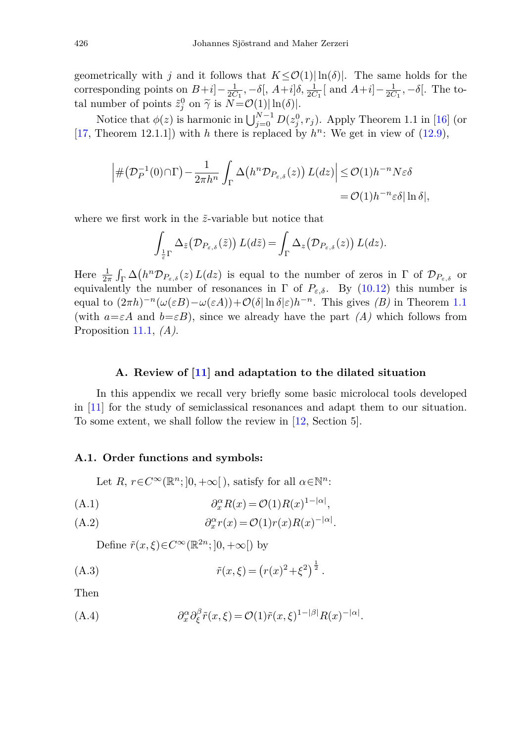geometrically with *j* and it follows that  $K \leq \mathcal{O}(1) |\ln(\delta)|$ . The same holds for the corresponding points on  $B+i]-\frac{1}{2C_1}, -\delta[, A+i]\delta, \frac{1}{2C_1}[\text{ and } A+i]-\frac{1}{2C_1}, -\delta[$ . The total number of points  $\tilde{z}_j^0$  on  $\tilde{\gamma}$  is  $N = \mathcal{O}(1) |\ln(\delta)|$ .

Notice that  $\phi(z)$  is harmonic in  $\bigcup_{j=0}^{N-1} D(z_j^0, r_j)$ . Apply Theorem 1.1 in [\[16\]](#page-52-0) (or [\[17,](#page-52-1) Theorem 12.1.1]) with *h* there is replaced by  $h^n$ : We get in view of  $(12.9)$ ,

$$
\left| \# \left( \mathcal{D}_P^{-1}(0) \cap \Gamma \right) - \frac{1}{2\pi h^n} \int_{\Gamma} \Delta \left( h^n \mathcal{D}_{P_{\varepsilon,\delta}}(z) \right) L(dz) \right| \leq \mathcal{O}(1) h^{-n} N \varepsilon \delta
$$
  
=  $\mathcal{O}(1) h^{-n} \varepsilon \delta |\ln \delta|,$ 

where we first work in the  $\tilde{z}$ -variable but notice that

$$
\int_{\frac{1}{\varepsilon}\Gamma} \Delta_{\tilde{z}}(\mathcal{D}_{P_{\varepsilon,\delta}}(\tilde{z})) L(d\tilde{z}) = \int_{\Gamma} \Delta_z(\mathcal{D}_{P_{\varepsilon,\delta}}(z)) L(dz).
$$

Here  $\frac{1}{2\pi} \int_{\Gamma} \Delta(h^n \mathcal{D}_{P_{\varepsilon,\delta}}(z) L(dz)$  is equal to the number of zeros in  $\Gamma$  of  $\mathcal{D}_{P_{\varepsilon,\delta}}$  or equivalently the number of resonances in  $\Gamma$  of  $P_{\varepsilon,\delta}$ . By [\(10.12\)](#page-33-4) this number is equal to  $(2\pi h)^{-n}(\omega(\varepsilon B)-\omega(\varepsilon A))+\mathcal{O}(\delta |\ln \delta|\varepsilon)h^{-n}$ . This gives *(B)* in Theorem [1.1](#page-4-0) (with  $a = \varepsilon A$  and  $b = \varepsilon B$ ), since we already have the part *(A)* which follows from Proposition [11.1,](#page-37-1) *(A)*.

### **A. Review of [\[11](#page-51-0)] and adaptation to the dilated situation**

<span id="page-41-0"></span>In this appendix we recall very briefly some basic microlocal tools developed in [\[11\]](#page-51-0) for the study of semiclassical resonances and adapt them to our situation. To some extent, we shall follow the review in [\[12](#page-51-3), Section 5].

#### **A.1. Order functions and symbols:**

Let *R*,  $r \in C^{\infty}(\mathbb{R}^n; ]0, +\infty[$ , satisfy for all  $\alpha \in \mathbb{N}^n$ :

<span id="page-41-1"></span>(A.1) 
$$
\partial_x^{\alpha} R(x) = \mathcal{O}(1) R(x)^{1-|\alpha|},
$$

<span id="page-41-2"></span>(A.2) 
$$
\partial_x^{\alpha} r(x) = \mathcal{O}(1) r(x) R(x)^{-|\alpha|}.
$$

<span id="page-41-3"></span>Define  $\tilde{r}(x,\xi) \in C^{\infty}(\mathbb{R}^{2n};]0,+\infty[)$  by

(A.3) 
$$
\tilde{r}(x,\xi) = (r(x)^2 + \xi^2)^{\frac{1}{2}}.
$$

<span id="page-41-4"></span>Then

(A.4) 
$$
\partial_x^{\alpha} \partial_{\xi}^{\beta} \tilde{r}(x,\xi) = \mathcal{O}(1)\tilde{r}(x,\xi)^{1-|\beta|} R(x)^{-|\alpha|}.
$$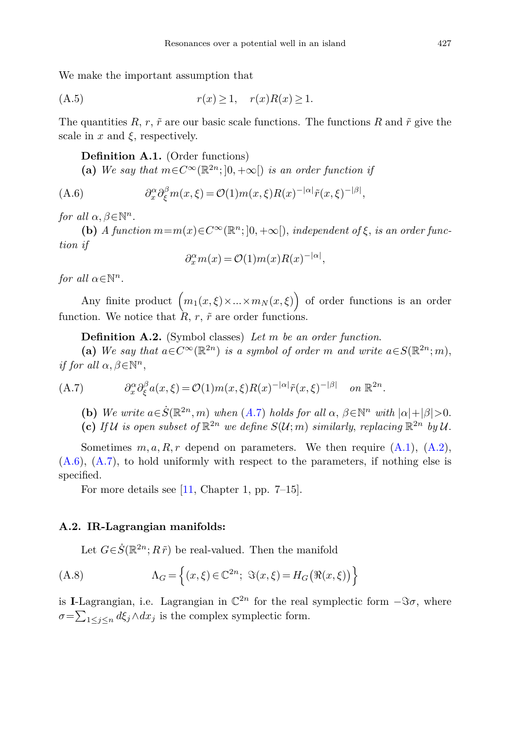We make the important assumption that

$$
(A.5) \t\t\t r(x) \ge 1, \t r(x)R(x) \ge 1.
$$

The quantities  $R, r, \tilde{r}$  are our basic scale functions. The functions  $R$  and  $\tilde{r}$  give the scale in  $x$  and  $\xi$ , respectively.

<span id="page-42-2"></span>**Definition A.1.** (Order functions)

(a) We say that  $m \in C^{\infty}(\mathbb{R}^{2n};0,+\infty)$  is an order function if

(A.6) 
$$
\partial_x^{\alpha} \partial_{\xi}^{\beta} m(x,\xi) = \mathcal{O}(1) m(x,\xi) R(x)^{-|\alpha|} \tilde{r}(x,\xi)^{-|\beta|},
$$

for all  $\alpha, \beta \in \mathbb{N}^n$ .

**(b)** A function  $m=m(x) \in C^{\infty}(\mathbb{R}^n; |0, +\infty|)$ , independent of  $\xi$ , is an order function if

<span id="page-42-4"></span>
$$
\partial_x^{\alpha} m(x) = \mathcal{O}(1)m(x)R(x)^{-|\alpha|},
$$

for all  $\alpha \in \mathbb{N}^n$ .

Any finite product  $(m_1(x,\xi) \times ... \times m_N(x,\xi))$  of order functions is an order function. We notice that  $\hat{R}$ ,  $r$ ,  $\tilde{r}$  are order functions.

<span id="page-42-3"></span>**Definition A.2.** (Symbol classes) Let *m* be an order function.

<span id="page-42-1"></span>(a) We say that  $a \in C^{\infty}(\mathbb{R}^{2n})$  is a symbol of order *m* and write  $a \in S(\mathbb{R}^{2n}; m)$ , if for all  $\alpha, \beta \in \mathbb{N}^n$ ,

(A.7) 
$$
\partial_x^{\alpha} \partial_{\xi}^{\beta} a(x,\xi) = \mathcal{O}(1) m(x,\xi) R(x)^{-|\alpha|} \tilde{r}(x,\xi)^{-|\beta|} \quad on \ \mathbb{R}^{2n}.
$$

**(b)** We write  $a \in \dot{S}(\mathbb{R}^{2n}, m)$  when  $(A.7)$  $(A.7)$  holds for all  $\alpha, \beta \in \mathbb{N}^n$  with  $|\alpha| + |\beta| > 0$ . (c) If U is open subset of  $\mathbb{R}^{2n}$  we define  $S(\mathcal{U}; m)$  similarly, replacing  $\mathbb{R}^{2n}$  by U.

Sometimes  $m, a, R, r$  depend on parameters. We then require  $(A.1)$ ,  $(A.2)$ ,  $(A.6)$ ,  $(A.7)$ , to hold uniformly with respect to the parameters, if nothing else is specified.

For more details see [\[11,](#page-51-0) Chapter 1, pp. 7–15].

### **A.2. IR-Lagrangian manifolds:**

<span id="page-42-0"></span>Let  $G \in \dot{S}(\mathbb{R}^{2n}; R\tilde{r})$  be real-valued. Then the manifold

(A.8) 
$$
\Lambda_G = \left\{ (x,\xi) \in \mathbb{C}^{2n}; \ \Im(x,\xi) = H_G(\Re(x,\xi)) \right\}
$$

is **I**-Lagrangian, i.e. Lagrangian in  $\mathbb{C}^{2n}$  for the real symplectic form  $-\Im \sigma$ , where  $\sigma = \sum_{1 \leq j \leq n} d\xi_j \wedge dx_j$  is the complex symplectic form.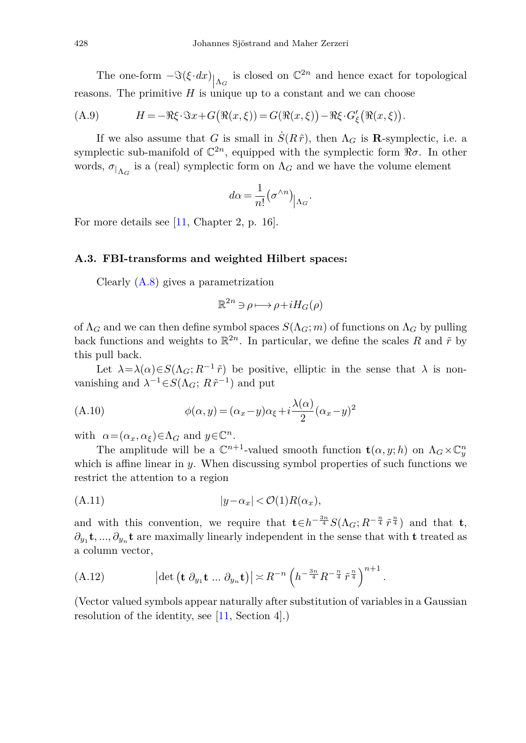The one-form  $-\Im(\xi \cdot dx)$   $\Big|_{\Lambda_G}$ <br>
The primitive *H* is unit is closed on  $\mathbb{C}^{2n}$  and hence exact for topological reasons. The primitive *H* is unique up to a constant and we can choose

(A.9) 
$$
H = -\Re \xi \cdot \Im x + G(\Re(x,\xi)) = G(\Re(x,\xi)) - \Re \xi \cdot G_{\xi}'(\Re(x,\xi)).
$$

If we also assume that *G* is small in  $\dot{S}(R\tilde{r})$ , then  $\Lambda_G$  is **R**-symplectic, i.e. a symplectic sub-manifold of  $\mathbb{C}^{2n}$ , equipped with the symplectic form  $\Re \sigma$ . In other words,  $\sigma_{\vert_{\Lambda_G}}$  is a (real) symplectic form on  $\Lambda_G$  and we have the volume element

<span id="page-43-1"></span>
$$
d\alpha = \frac{1}{n!} (\sigma^{\wedge n})_{|\Lambda_G}.
$$

For more details see [\[11](#page-51-0), Chapter 2, p. 16].

#### **A.3. FBI-transforms and weighted Hilbert spaces:**

Clearly [\(A.8\)](#page-42-0) gives a parametrization

<span id="page-43-2"></span>
$$
\mathbb{R}^{2n} \ni \rho \longmapsto \rho + i H_G(\rho)
$$

of  $\Lambda_G$  and we can then define symbol spaces  $S(\Lambda_G; m)$  of functions on  $\Lambda_G$  by pulling back functions and weights to  $\mathbb{R}^{2n}$ . In particular, we define the scales R and  $\tilde{r}$  by this pull back.

Let  $\lambda = \lambda(\alpha) \in S(\Lambda_G; R^{-1} \tilde{r})$  be positive, elliptic in the sense that  $\lambda$  is nonvanishing and  $\lambda^{-1} \in S(\Lambda_G; R\tilde{r}^{-1})$  and put

(A.10) 
$$
\phi(\alpha, y) = (\alpha_x - y)\alpha_{\xi} + i\frac{\lambda(\alpha)}{2}(\alpha_x - y)^2
$$

with  $\alpha = (\alpha_x, \alpha_\xi) \in \Lambda_G$  and  $y \in \mathbb{C}^n$ .

The amplitude will be a  $\mathbb{C}^{n+1}$ -valued smooth function  $\mathbf{t}(\alpha, y; h)$  on  $\Lambda_G \times \mathbb{C}^n_y$ which is affine linear in *y*. When discussing symbol properties of such functions we restrict the attention to a region

<span id="page-43-0"></span>
$$
(A.11) \t\t |y-\alpha_x| < \mathcal{O}(1)R(\alpha_x),
$$

and with this convention, we require that  $\mathbf{t} \in h^{-\frac{3n}{4}} S(\Lambda_G; R^{-\frac{n}{4}} \tilde{r}^{\frac{n}{4}})$  and that  $\mathbf{t}$ *,*  $\partial_{y_1}$ **t**, ...,  $\partial_{y_n}$ **t** are maximally linearly independent in the sense that with **t** treated as a column vector,

<span id="page-43-3"></span>(A.12) 
$$
\left|\det\left(\mathbf{t}\,\partial_{y_1}\mathbf{t}\,...\,\partial_{y_n}\mathbf{t}\right)\right|\asymp R^{-n}\left(h^{-\frac{3n}{4}}R^{-\frac{n}{4}}\tilde{r}^{\frac{n}{4}}\right)^{n+1}.
$$

(Vector valued symbols appear naturally after substitution of variables in a Gaussian resolution of the identity, see [\[11](#page-51-0), Section 4].)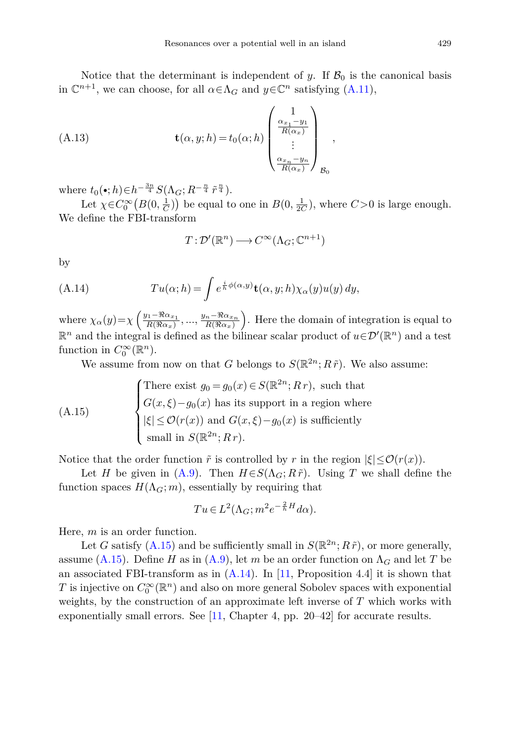Notice that the determinant is independent of *y*. If  $\mathcal{B}_0$  is the canonical basis in  $\mathbb{C}^{n+1}$ , we can choose, for all  $\alpha \in \Lambda_G$  and  $y \in \mathbb{C}^n$  satisfying [\(A.11\)](#page-43-0),

(A.13) 
$$
\mathbf{t}(\alpha, y; h) = t_0(\alpha; h) \begin{pmatrix} 1 \\ \frac{\alpha_{x_1} - y_1}{R(\alpha_x)} \\ \vdots \\ \frac{\alpha_{x_n} - y_n}{R(\alpha_x)} \end{pmatrix}_{\mathcal{B}_0},
$$

where  $t_0(\bullet; h) \in h^{-\frac{3n}{4}} S(\Lambda_G; R^{-\frac{n}{4}} \tilde{r}^{\frac{n}{4}}).$ 

Let  $\chi \in C_0^{\infty}(B(0, \frac{1}{C}))$  be equal to one in  $B(0, \frac{1}{2C})$ , where  $C > 0$  is large enough. We define the FBI-transform

<span id="page-44-0"></span>
$$
T: \mathcal{D}'(\mathbb{R}^n) \longrightarrow C^{\infty}(\Lambda_G; \mathbb{C}^{n+1})
$$

<span id="page-44-1"></span>by

(A.14) 
$$
Tu(\alpha; h) = \int e^{\frac{i}{h}\phi(\alpha, y)} \mathbf{t}(\alpha, y; h) \chi_{\alpha}(y) u(y) dy,
$$

where  $\chi_{\alpha}(y) = \chi \left( \frac{y_1 - \Re \alpha_{x_1}}{R(\Re \alpha_x)} \right)$  $\frac{y_1 - \Re \alpha_{x_1}}{R(\Re \alpha_x)}, \dots, \frac{y_n - \Re \alpha_{x_n}}{R(\Re \alpha_x)}$  $\sqrt{\frac{n - \Re \alpha_{x_n}}{R(\Re \alpha_x)}}$ . Here the domain of integration is equal to  $\mathbb{R}^n$  and the integral is defined as the bilinear scalar product of  $u \in \mathcal{D}'(\mathbb{R}^n)$  and a test function in  $C_0^{\infty}(\mathbb{R}^n)$ .

We assume from now on that *G* belongs to  $S(\mathbb{R}^{2n}; R\tilde{r})$ . We also assume:

(A.15)  
\n
$$
\begin{cases}\n\text{There exist } g_0 = g_0(x) \in S(\mathbb{R}^{2n}; Rr), \text{ such that} \\
G(x,\xi) - g_0(x) \text{ has its support in a region where} \\
|\xi| \leq \mathcal{O}(r(x)) \text{ and } G(x,\xi) - g_0(x) \text{ is sufficiently small in } S(\mathbb{R}^{2n}; Rr).\n\end{cases}
$$

Notice that the order function  $\tilde{r}$  is controlled by r in the region  $|\xi| \leq \mathcal{O}(r(x))$ .

Let *H* be given in [\(A.9\)](#page-43-1). Then  $H \in S(\Lambda_G; R\tilde{r})$ . Using *T* we shall define the function spaces  $H(\Lambda_G; m)$ , essentially by requiring that

$$
Tu \in L^{2}(\Lambda_{G}; m^{2}e^{-\frac{2}{h}H}d\alpha).
$$

Here, *m* is an order function.

Let *G* satisfy  $(A.15)$  and be sufficiently small in  $S(\mathbb{R}^{2n}; R\tilde{r})$ , or more generally, assume [\(A.15\)](#page-44-0). Define *H* as in [\(A.9\)](#page-43-1), let *m* be an order function on  $\Lambda_G$  and let *T* be an associated FBI-transform as in  $(A.14)$ . In [\[11](#page-51-0), Proposition 4.4] it is shown that *T* is injective on  $C_0^{\infty}(\mathbb{R}^n)$  and also on more general Sobolev spaces with exponential weights, by the construction of an approximate left inverse of *T* which works with exponentially small errors. See [\[11](#page-51-0), Chapter 4, pp. 20–42] for accurate results.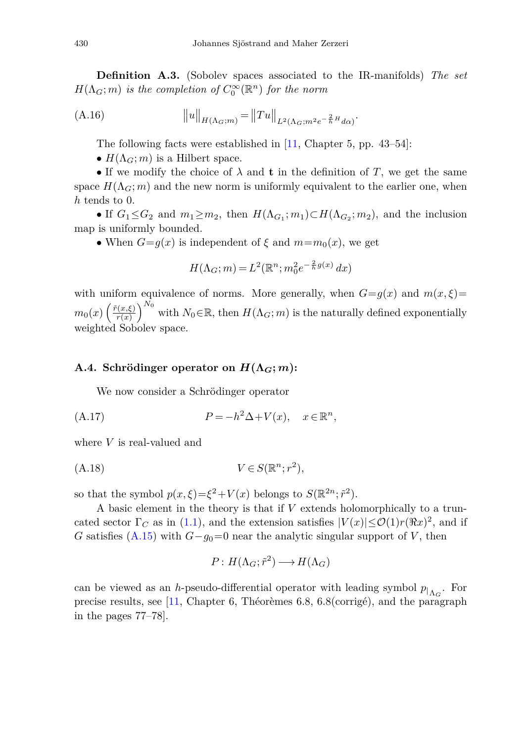<span id="page-45-0"></span>**Definition A.3.** (Sobolev spaces associated to the IR-manifolds) The set  $H(\Lambda_G; m)$  is the completion of  $C_0^{\infty}(\mathbb{R}^n)$  for the norm

(A.16) 
$$
||u||_{H(\Lambda_G;m)} = ||Tu||_{L^2(\Lambda_G;m^2e^{-\frac{2}{h}H}d\alpha)}.
$$

The following facts were established in [\[11,](#page-51-0) Chapter 5, pp. 43–54]:

•  $H(\Lambda_G; m)$  is a Hilbert space.

• If we modify the choice of  $\lambda$  and **t** in the definition of *T*, we get the same space  $H(\Lambda_G; m)$  and the new norm is uniformly equivalent to the earlier one, when *h* tends to 0.

• If  $G_1 \leq G_2$  and  $m_1 \geq m_2$ , then  $H(\Lambda_{G_1}; m_1) \subset H(\Lambda_{G_2}; m_2)$ , and the inclusion map is uniformly bounded.

• When  $G = g(x)$  is independent of  $\xi$  and  $m = m_0(x)$ , we get

$$
H(\Lambda_G; m) = L^2(\mathbb{R}^n; m_0^2 e^{-\frac{2}{h}g(x)} dx)
$$

with uniform equivalence of norms. More generally, when  $G = g(x)$  and  $m(x, \xi) =$  $m_0(x) \left( \frac{\tilde{r}(x,\xi)}{r(x)} \right)$  $\left(\frac{f(x,\xi)}{r(x)}\right)^{N_0}$  with  $N_0 \in \mathbb{R}$ , then  $H(\Lambda_G; m)$  is the naturally defined exponentially weighted Sobolev space.

## **A.4. Schrödinger operator on**  $H(\Lambda_G; m)$ **:**

We now consider a Schrödinger operator

$$
(A.17) \t\t P=-h^2\Delta+V(x), \t x\in\mathbb{R}^n,
$$

where *V* is real-valued and

$$
(A.18) \t\t V \in S(\mathbb{R}^n; r^2),
$$

so that the symbol  $p(x,\xi) = \xi^2 + V(x)$  belongs to  $S(\mathbb{R}^{2n}; \tilde{r}^2)$ .

A basic element in the theory is that if *V* extends holomorphically to a truncated sector  $\Gamma_C$  as in [\(1.1\)](#page-0-1), and the extension satisfies  $|V(x)| \leq \mathcal{O}(1) r (\Re x)^2$ , and if *G* satisfies [\(A.15\)](#page-44-0) with  $G-g_0=0$  near the analytic singular support of *V*, then

$$
P: H(\Lambda_G; \tilde{r}^2) \longrightarrow H(\Lambda_G)
$$

can be viewed as an *h*-pseudo-differential operator with leading symbol  $p_{|_{\Lambda_G}}$ . For precise results, see [\[11,](#page-51-0) Chapter 6, Théorèmes 6.8, 6.8(corrigé), and the paragraph in the pages 77–78].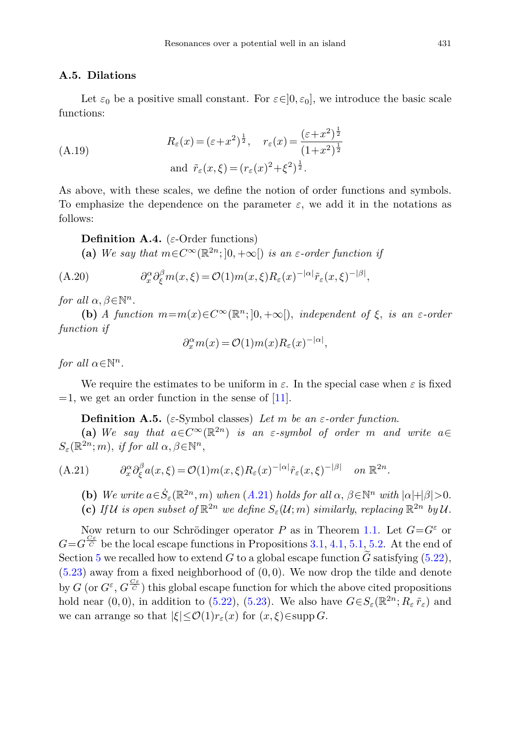### **A.5. Dilations**

<span id="page-46-2"></span>Let  $\varepsilon_0$  be a positive small constant. For  $\varepsilon \in ]0, \varepsilon_0]$ , we introduce the basic scale functions:

(A.19)  
\n
$$
R_{\varepsilon}(x) = (\varepsilon + x^{2})^{\frac{1}{2}}, \quad r_{\varepsilon}(x) = \frac{(\varepsilon + x^{2})^{\frac{1}{2}}}{(1 + x^{2})^{\frac{1}{2}}}
$$
\nand  $\tilde{r}_{\varepsilon}(x, \xi) = (r_{\varepsilon}(x)^{2} + \xi^{2})^{\frac{1}{2}}$ .

As above, with these scales, we define the notion of order functions and symbols. To emphasize the dependence on the parameter  $\varepsilon$ , we add it in the notations as follows:

<span id="page-46-3"></span>**Definition A.4.** (*ε*-Order functions)

**(a)** We say that  $m \in C^{\infty}(\mathbb{R}^{2n};0,+\infty)$  is an *ε*-order function if

(A.20) 
$$
\partial_x^{\alpha} \partial_{\xi}^{\beta} m(x,\xi) = \mathcal{O}(1) m(x,\xi) R_{\varepsilon}(x)^{-|\alpha|} \tilde{r}_{\varepsilon}(x,\xi)^{-|\beta|},
$$

for all  $\alpha, \beta \in \mathbb{N}^n$ .

**(b)** A function  $m=m(x) \in C^{\infty}(\mathbb{R}^n; ]0, +\infty[$ , independent of  $\xi$ , is an  $\varepsilon$ -order function if

<span id="page-46-1"></span>
$$
\partial_x^{\alpha} m(x) = \mathcal{O}(1) m(x) R_{\varepsilon}(x)^{-|\alpha|},
$$

for all  $\alpha \in \mathbb{N}^n$ .

We require the estimates to be uniform in  $\varepsilon$ . In the special case when  $\varepsilon$  is fixed  $=1$ , we get an order function in the sense of [\[11\]](#page-51-0).

**Definition A.5.** (*ε*-Symbol classes) Let *m* be an *ε*-order function.

<span id="page-46-0"></span>**(a)** We say that  $a \in C^{\infty}(\mathbb{R}^{2n})$  is an  $\varepsilon$ -symbol of order *m* and write  $a \in$  $S_{\varepsilon}(\mathbb{R}^{2n};m)$ , if for all  $\alpha, \beta \in \mathbb{N}^n$ ,

(A.21) 
$$
\partial_x^{\alpha} \partial_{\xi}^{\beta} a(x,\xi) = \mathcal{O}(1) m(x,\xi) R_{\varepsilon}(x)^{-|\alpha|} \tilde{r}_{\varepsilon}(x,\xi)^{-|\beta|} \quad on \ \mathbb{R}^{2n}.
$$

**(b)** We write  $a \in \dot{S}_\varepsilon(\mathbb{R}^{2n}, m)$  when  $(A.21)$  $(A.21)$  holds for all  $\alpha, \beta \in \mathbb{N}^n$  with  $|\alpha| + |\beta| > 0$ .

**(c)** If U is open subset of  $\mathbb{R}^{2n}$  we define  $S_{\varepsilon}(\mathcal{U}; m)$  similarly, replacing  $\mathbb{R}^{2n}$  by U.

Now return to our Schrödinger operator *P* as in Theorem [1.1.](#page-4-0) Let  $G = G^{\varepsilon}$  or Now return to our Schrödinger operator *P* as in Theorem 1.1. Let  $G = G^{\varepsilon}$  or  $G = G^{\frac{C_{\varepsilon}}{C}}$  be the local escape functions in Propositions [3.1,](#page-10-3) [4.1,](#page-13-5) [5.1,](#page-14-2) [5.2.](#page-15-2) At the end of Section [5](#page-13-0) we recalled how to extend *G* to a global escape function  $\tilde{G}$  satisfying [\(5.22\)](#page-16-1), [\(5.23\)](#page-16-2) away from a fixed neighborhood of (0*,* 0). We now drop the tilde and denote (5.23) away from a fixed neighborhood of (0,0). We now drop the tilde and denote by *G* (or  $G^{\varepsilon}$ ,  $G^{\frac{C_{\varepsilon}}{C}}$ ) this global escape function for which the above cited propositions hold near (0,0), in addition to [\(5.22\)](#page-16-1), [\(5.23\)](#page-16-2). We also have  $G\in S_{\varepsilon}(\mathbb{R}^{2n}; R_{\varepsilon} \tilde{r}_{\varepsilon})$  and we can arrange so that  $|\xi| \leq \mathcal{O}(1) r_{\varepsilon}(x)$  for  $(x,\xi) \in \text{supp } G$ .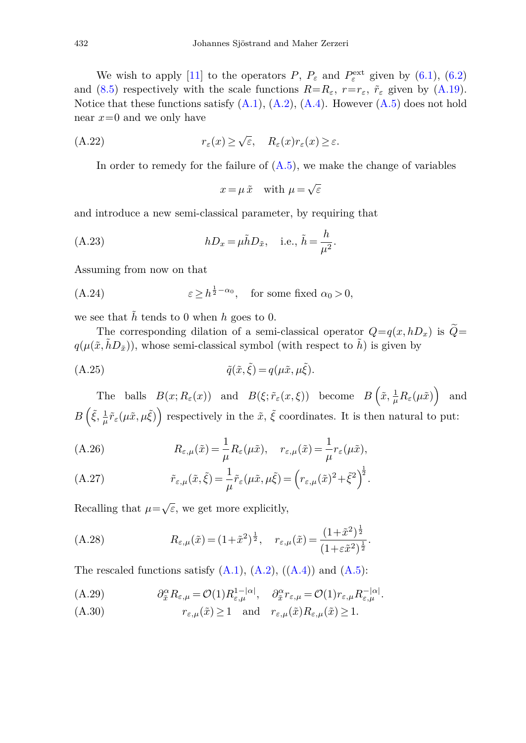We wish to apply [\[11\]](#page-51-0) to the operators  $P, P_{\varepsilon}$  and  $P_{\varepsilon}^{\text{ext}}$  given by [\(6.1\)](#page-16-3), [\(6.2\)](#page-16-4) and [\(8.5\)](#page-27-1) respectively with the scale functions  $R=R_{\varepsilon}$ ,  $r=r_{\varepsilon}$ ,  $\tilde{r}_{\varepsilon}$  given by [\(A.19\)](#page-46-2). Notice that these functions satisfy  $(A.1)$ ,  $(A.2)$ ,  $(A.4)$ . However  $(A.5)$  does not hold near *x*=0 and we only have

(A.22) 
$$
r_{\varepsilon}(x) \ge \sqrt{\varepsilon}, \quad R_{\varepsilon}(x)r_{\varepsilon}(x) \ge \varepsilon.
$$

In order to remedy for the failure of  $(A.5)$ , we make the change of variables

<span id="page-47-0"></span>
$$
x = \mu \, \tilde{x} \quad \text{with } \mu = \sqrt{\varepsilon}
$$

and introduce a new semi-classical parameter, by requiring that

(A.23) 
$$
hD_x = \mu \tilde{h} D_{\tilde{x}}, \quad \text{i.e., } \tilde{h} = \frac{h}{\mu^2}.
$$

Assuming from now on that

(A.24) 
$$
\varepsilon \ge h^{\frac{1}{2}-\alpha_0}, \text{ for some fixed } \alpha_0 > 0,
$$

we see that  $\tilde{h}$  tends to 0 when  $h$  goes to 0.

The corresponding dilation of a semi-classical operator  $Q=q(x,hD_x)$  is  $\widetilde{Q}=$  $q(\mu(\tilde{x}, \tilde{h}D_{\tilde{x}}))$ , whose semi-classical symbol (with respect to  $\tilde{h}$ ) is given by

(A.25) 
$$
\tilde{q}(\tilde{x}, \tilde{\xi}) = q(\mu \tilde{x}, \mu \tilde{\xi}).
$$

The balls  $B(x; R_{\varepsilon}(x))$  and  $B(\xi; \tilde{r}_{\varepsilon}(x,\xi))$  become  $B(\tilde{x}, \frac{1}{\mu}R_{\varepsilon}(\mu\tilde{x}))$  and  $B\left(\tilde{\xi}, \frac{1}{\mu}\tilde{r}_{\varepsilon}(\mu\tilde{x}, \mu\tilde{\xi})\right)$  respectively in the  $\tilde{x}, \tilde{\xi}$  coordinates. It is then natural to put:

(A.26) 
$$
R_{\varepsilon,\mu}(\tilde{x}) = \frac{1}{\mu} R_{\varepsilon}(\mu \tilde{x}), \quad r_{\varepsilon,\mu}(\tilde{x}) = \frac{1}{\mu} r_{\varepsilon}(\mu \tilde{x}),
$$

(A.27) 
$$
\tilde{r}_{\varepsilon,\mu}(\tilde{x},\tilde{\xi}) = \frac{1}{\mu} \tilde{r}_{\varepsilon}(\mu \tilde{x},\mu \tilde{\xi}) = \left(r_{\varepsilon,\mu}(\tilde{x})^2 + \tilde{\xi}^2\right)^{\frac{1}{2}}.
$$

Recalling that  $\mu=\sqrt{\varepsilon}$ , we get more explicitly,

<span id="page-47-1"></span>(A.28) 
$$
R_{\varepsilon,\mu}(\tilde{x}) = (1 + \tilde{x}^2)^{\frac{1}{2}}, \quad r_{\varepsilon,\mu}(\tilde{x}) = \frac{(1 + \tilde{x}^2)^{\frac{1}{2}}}{(1 + \varepsilon \tilde{x}^2)^{\frac{1}{2}}}.
$$

The rescaled functions satisfy  $(A.1)$ ,  $(A.2)$ ,  $((A.4))$  $((A.4))$  $((A.4))$  and  $(A.5)$ :

$$
(A.29) \t\t \partial_{\tilde{x}}^{\alpha} R_{\varepsilon,\mu} = \mathcal{O}(1) R_{\varepsilon,\mu}^{1-|\alpha|}, \quad \partial_{\tilde{x}}^{\alpha} r_{\varepsilon,\mu} = \mathcal{O}(1) r_{\varepsilon,\mu} R_{\varepsilon,\mu}^{-|\alpha|}.
$$

$$
(A.30) \t\t r_{\varepsilon,\mu}(\tilde{x}) \ge 1 \quad \text{and} \quad r_{\varepsilon,\mu}(\tilde{x}) R_{\varepsilon,\mu}(\tilde{x}) \ge 1.
$$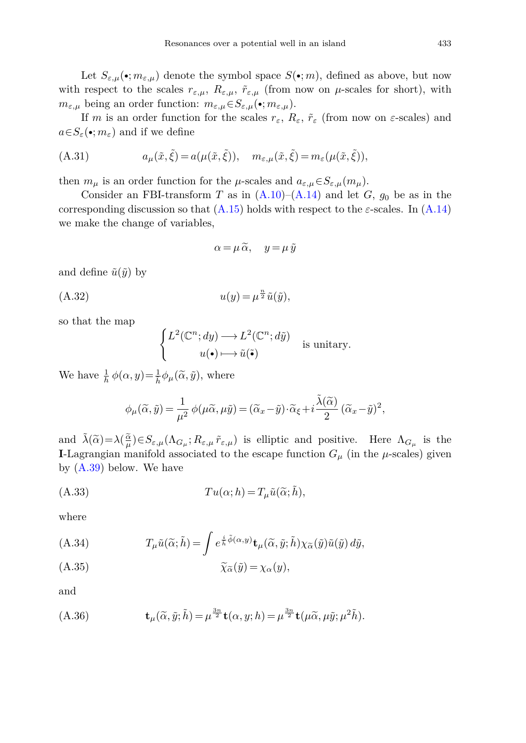Let  $S_{\varepsilon,\mu}(\bullet; m_{\varepsilon,\mu})$  denote the symbol space  $S(\bullet; m)$ , defined as above, but now with respect to the scales  $r_{\varepsilon,\mu}$ ,  $R_{\varepsilon,\mu}$ ,  $\tilde{r}_{\varepsilon,\mu}$  (from now on  $\mu$ -scales for short), with  $m_{\varepsilon,\mu}$  being an order function:  $m_{\varepsilon,\mu} \in S_{\varepsilon,\mu}(\bullet; m_{\varepsilon,\mu}).$ 

If *m* is an order function for the scales  $r_{\varepsilon}$ ,  $R_{\varepsilon}$ ,  $\tilde{r}_{\varepsilon}$  (from now on  $\varepsilon$ -scales) and  $a \in S_{\varepsilon}(\bullet; m_{\varepsilon})$  and if we define

(A.31) 
$$
a_{\mu}(\tilde{x}, \tilde{\xi}) = a(\mu(\tilde{x}, \tilde{\xi})), \quad m_{\varepsilon, \mu}(\tilde{x}, \tilde{\xi}) = m_{\varepsilon}(\mu(\tilde{x}, \tilde{\xi})),
$$

then  $m_{\mu}$  is an order function for the  $\mu$ -scales and  $a_{\varepsilon,\mu} \in S_{\varepsilon,\mu}(m_{\mu})$ .

Consider an FBI-transform *T* as in  $(A.10)$ – $(A.14)$  and let *G*,  $g_0$  be as in the corresponding discussion so that  $(A.15)$  holds with respect to the  $\varepsilon$ -scales. In  $(A.14)$ we make the change of variables,

<span id="page-48-2"></span>
$$
\alpha = \mu \, \widetilde{\alpha}, \quad y = \mu \, \widetilde{y}
$$

and define  $\tilde{u}(\tilde{y})$  by

$$
(A.32) \t u(y) = \mu^{\frac{n}{2}} \tilde{u}(\tilde{y}),
$$

so that the map

<span id="page-48-0"></span>
$$
\begin{cases} L^2(\mathbb{C}^n; dy) \longrightarrow L^2(\mathbb{C}^n; d\tilde{y}) \\ u(\bullet) \longmapsto \tilde{u}(\tilde{\bullet}) \end{cases}
$$
 is unitary.

We have  $\frac{1}{h} \phi(\alpha, y) = \frac{1}{h} \phi_{\mu}(\tilde{\alpha}, \tilde{y}),$  where

<span id="page-48-1"></span>
$$
\phi_\mu(\widetilde{\alpha},\widetilde{y})=\frac{1}{\mu^2}\,\phi(\mu\widetilde{\alpha},\mu\widetilde{y})=(\widetilde{\alpha}_x-\widetilde{y})\cdot\widetilde{\alpha}_\xi+i\frac{\widetilde{\lambda}(\widetilde{\alpha})}{2}\,(\widetilde{\alpha}_x-\widetilde{y})^2,
$$

and  $\tilde{\lambda}(\tilde{\alpha}) = \lambda(\frac{\tilde{\alpha}}{\mu})$ <br> **I** Lagrangian m  $\frac{\alpha}{\mu}$ ) $\in$ *S*<sub>*ε*,*μ*</sub>( $\Lambda$ *G<sub><i>μ*</sub>; *R*<sub>*ε*,*μ*</sub>) is elliptic and positive. Here  $\Lambda$ <sub>*G<sub>μ</sub>* is the</sub> **I**-Lagrangian manifold associated to the escape function  $G_\mu$  (in the  $\mu$ -scales) given by [\(A.39\)](#page-49-2) below. We have

(A.33) 
$$
Tu(\alpha; h) = T_{\mu}\tilde{u}(\tilde{\alpha}; \tilde{h}),
$$

where

(A.34)  
\n
$$
T_{\mu}\tilde{u}(\tilde{\alpha};\tilde{h}) = \int e^{\frac{i}{\hbar}\tilde{\phi}(\alpha,y)} \mathbf{t}_{\mu}(\tilde{\alpha},\tilde{y};\tilde{h}) \chi_{\tilde{\alpha}}(\tilde{y}) \tilde{u}(\tilde{y}) d\tilde{y},
$$
\n(A.35)  
\n
$$
\tilde{\chi}_{\tilde{\alpha}}(\tilde{y}) = \chi_{\alpha}(y),
$$

$$
\widetilde{\chi}_{\widetilde{\alpha}}(\widetilde{y}) = \chi_{\alpha}(y),
$$

and

$$
(A.36) \t\t t\mu(\widetilde{\alpha}, \widetilde{y}; \widetilde{h}) = \mu^{\frac{3n}{2}} \mathbf{t}(\alpha, y; h) = \mu^{\frac{3n}{2}} \mathbf{t}(\mu \widetilde{\alpha}, \mu \widetilde{y}; \mu^2 \widetilde{h}).
$$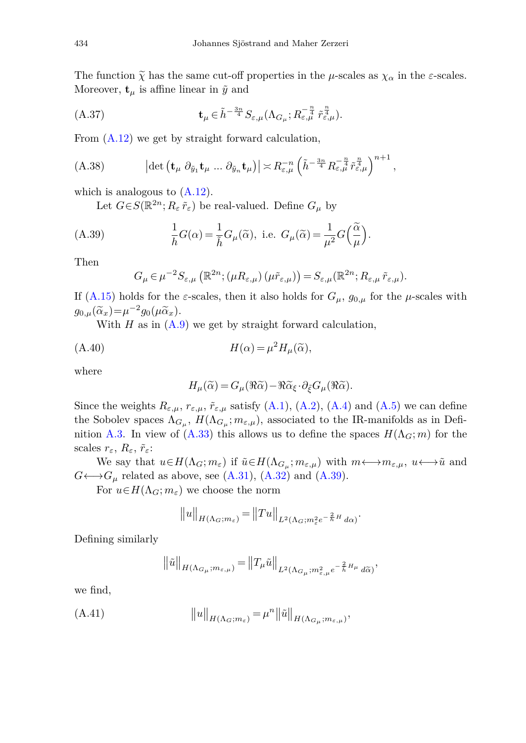The function  $\tilde{\chi}$  has the same cut-off properties in the *μ*-scales as  $\chi_{\alpha}$  in the *ε*-scales. Moreover,  $\mathbf{t}_{\mu}$  is affine linear in  $\tilde{y}$  and

$$
(A.37) \t t_{\mu} \in \tilde{h}^{-\frac{3n}{4}} S_{\varepsilon,\mu}(\Lambda_{G_{\mu}}; R_{\varepsilon,\mu}^{-\frac{n}{4}} \tilde{r}_{\varepsilon,\mu}^{\frac{n}{4}}).
$$

From [\(A.12\)](#page-43-3) we get by straight forward calculation,

$$
(A.38) \qquad \qquad \left| \det \left( \mathbf{t}_{\mu} \ \partial_{\tilde{y}_1} \mathbf{t}_{\mu} \ ... \ \partial_{\tilde{y}_n} \mathbf{t}_{\mu} \right) \right| \asymp R_{\varepsilon,\mu}^{-n} \left( \tilde{h}^{-\frac{3n}{4}} R_{\varepsilon,\mu}^{-\frac{n}{4}} \tilde{r}_{\varepsilon,\mu}^{\frac{n}{4}} \right)^{n+1},
$$

which is analogous to  $(A.12)$ .

Let  $G \in S(\mathbb{R}^{2n}; R_{\varepsilon} \tilde{r}_{\varepsilon})$  be real-valued. Define  $G_{\mu}$  by

(A.39) 
$$
\frac{1}{h}G(\alpha) = \frac{1}{\tilde{h}}G_{\mu}(\tilde{\alpha}), \text{ i.e. } G_{\mu}(\tilde{\alpha}) = \frac{1}{\mu^2}G\left(\frac{\tilde{\alpha}}{\mu}\right).
$$

Then

<span id="page-49-2"></span><span id="page-49-0"></span>
$$
G_{\mu} \in \mu^{-2} S_{\varepsilon,\mu} \left( \mathbb{R}^{2n}; (\mu R_{\varepsilon,\mu}) \left( \mu \tilde{r}_{\varepsilon,\mu} \right) \right) = S_{\varepsilon,\mu} \left( \mathbb{R}^{2n}; R_{\varepsilon,\mu} \tilde{r}_{\varepsilon,\mu} \right).
$$

If  $(A.15)$  holds for the *ε*-scales, then it also holds for  $G_\mu$ ,  $g_{0,\mu}$  for the *μ*-scales with  $g_{0,\mu}(\tilde{\alpha}_x) = \mu^{-2}g_0(\mu \tilde{\alpha}_x).$ 

With  $H$  as in  $(A.9)$  we get by straight forward calculation,

(A.40) 
$$
H(\alpha) = \mu^2 H_\mu(\widetilde{\alpha}),
$$

where

<span id="page-49-3"></span>
$$
H_{\mu}(\widetilde{\alpha}) = G_{\mu}(\Re \widetilde{\alpha}) - \Re \widetilde{\alpha}_{\xi} \cdot \partial_{\xi} G_{\mu}(\Re \widetilde{\alpha}).
$$

Since the weights  $R_{\varepsilon,\mu}$ ,  $r_{\varepsilon,\mu}$ ,  $\tilde{r}_{\varepsilon,\mu}$  satisfy [\(A.1\)](#page-41-1), [\(A.2\)](#page-41-2), [\(A.4\)](#page-41-4) and [\(A.5\)](#page-42-2) we can define the Sobolev spaces  $\Lambda_{G_\mu}$ ,  $H(\Lambda_{G_\mu}; m_{\varepsilon,\mu})$ , associated to the IR-manifolds as in Defi-nition [A.3.](#page-45-0) In view of [\(A.33\)](#page-48-1) this allows us to define the spaces  $H(\Lambda_G; m)$  for the scales  $r_{\varepsilon}$ ,  $R_{\varepsilon}$ ,  $\tilde{r}_{\varepsilon}$ :

We say that  $u \in H(\Lambda_G; m_\varepsilon)$  if  $\tilde{u} \in H(\Lambda_{G_\mu}; m_{\varepsilon,\mu})$  with  $m \longleftrightarrow m_{\varepsilon,\mu}, u \longleftrightarrow \tilde{u}$  and  $G \leftrightarrow G_\mu$  related as above, see [\(A.31\)](#page-48-2), [\(A.32\)](#page-48-0) and [\(A.39\)](#page-49-2).

For  $u \in H(\Lambda_G; m_\varepsilon)$  we choose the norm

$$
||u||_{H(\Lambda_G;m_\varepsilon)} = ||Tu||_{L^2(\Lambda_G;m_\varepsilon^2 e^{-\frac{2}{h}H} d\alpha)}.
$$

Defining similarly

$$
\big\|\tilde{u}\big\|_{H(\Lambda_{G_\mu};m_{\varepsilon,\mu})}=\big\|T_\mu\tilde{u}\big\|_{L^2(\Lambda_{G_\mu};m^2_{\varepsilon,\mu}e^{-\frac{2}{\tilde{h}}H_\mu}\,d\widetilde{\alpha})},
$$

<span id="page-49-1"></span>we find,

(A.41) 
$$
||u||_{H(\Lambda_G;m_\varepsilon)} = \mu^n ||\tilde{u}||_{H(\Lambda_{G_\mu};m_{\varepsilon,\mu})},
$$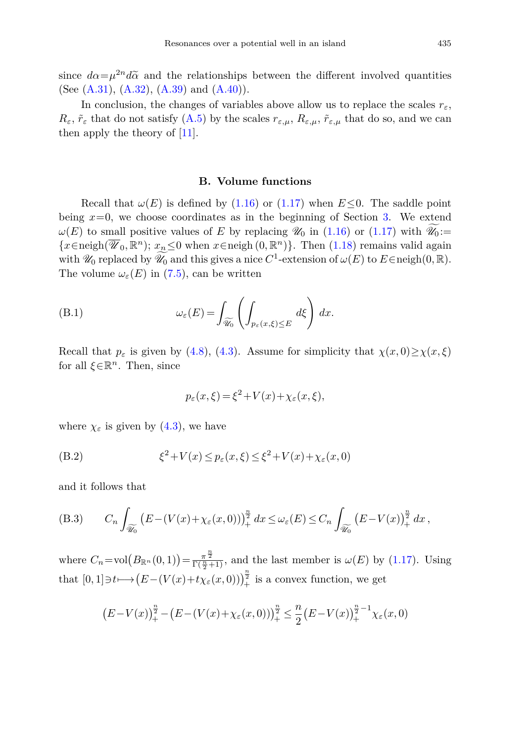since  $d\alpha = \mu^{2n} d\tilde{\alpha}$  and the relationships between the different involved quantities (See  $(A.31)$ ,  $(A.32)$ ,  $(A.39)$  and  $(A.40)$ ).

In conclusion, the changes of variables above allow us to replace the scales  $r_{\varepsilon}$ ,  $R_{\varepsilon}$ ,  $\tilde{r}_{\varepsilon}$  that do not satisfy [\(A.5\)](#page-42-2) by the scales  $r_{\varepsilon,\mu}$ ,  $R_{\varepsilon,\mu}$ ,  $\tilde{r}_{\varepsilon,\mu}$  that do so, and we can then apply the theory of [\[11](#page-51-0)].

#### **B. Volume functions**

<span id="page-50-0"></span>Recall that  $\omega(E)$  is defined by [\(1.16\)](#page-3-2) or [\(1.17\)](#page-3-6) when  $E\leq 0$ . The saddle point being  $x=0$ , we choose coordinates as in the beginning of Section [3.](#page-8-0) We extend  $\omega(E)$  to small positive values of *E* by replacing  $\mathscr{U}_0$  in [\(1.16\)](#page-3-2) or [\(1.17\)](#page-3-6) with  $\mathscr{U}_0 :=$ {*x*∈neigh( $\overline{\mathscr{U}}_0$ ,  $\mathbb{R}^n$ ); *x<sub>n</sub>*≤0 when *x*∈neigh(0,  $\mathbb{R}^n$ )}. Then [\(1.18\)](#page-3-7) remains valid again with  $\mathscr{U}_0$  replaced by  $\widetilde{\mathscr{U}_0}$  and this gives a nice  $C^1$ -extension of  $\omega(E)$  to  $E \in \text{neigh}(0, \mathbb{R})$ . The volume  $\omega_{\varepsilon}(E)$  in [\(7.5\)](#page-23-4), can be written

(B.1) 
$$
\omega_{\varepsilon}(E) = \int_{\widetilde{\mathscr{U}_0}} \left( \int_{p_{\varepsilon}(x,\xi) \le E} d\xi \right) dx.
$$

Recall that  $p_{\varepsilon}$  is given by [\(4.8\)](#page-11-8), [\(4.3\)](#page-11-6). Assume for simplicity that  $\chi(x,0) \geq \chi(x,\xi)$ for all  $\xi \in \mathbb{R}^n$ . Then, since

$$
p_{\varepsilon}(x,\xi) = \xi^2 + V(x) + \chi_{\varepsilon}(x,\xi),
$$

where  $\chi_{\varepsilon}$  is given by [\(4.3\)](#page-11-6), we have

(B.2) 
$$
\xi^2 + V(x) \le p_\varepsilon(x,\xi) \le \xi^2 + V(x) + \chi_\varepsilon(x,0)
$$

<span id="page-50-1"></span>and it follows that

(B.3) 
$$
C_n \int_{\widetilde{\mathscr{U}_0}} \left( E - (V(x) + \chi_{\varepsilon}(x,0)) \right)_+^{\frac{n}{2}} dx \leq \omega_{\varepsilon}(E) \leq C_n \int_{\widetilde{\mathscr{U}_0}} \left( E - V(x) \right)_+^{\frac{n}{2}} dx,
$$

where  $C_n = \text{vol}(B_{\mathbb{R}^n}(0,1)) = \frac{\pi^{\frac{n}{2}}}{\Gamma(\frac{n}{2}+1)}$ , and the last member is  $\omega(E)$  by [\(1.17\)](#page-3-6). Using that  $[0,1] \ni t \longmapsto (E - (V(x) + t \chi_{\varepsilon}(x,0)))_+^{\frac{n}{2}}$  is a convex function, we get

$$
(E - V(x))_{+}^{n} - (E - (V(x) + \chi_{\varepsilon}(x, 0)))_{+}^{n} \leq \frac{n}{2} (E - V(x))_{+}^{n} - 1 \chi_{\varepsilon}(x, 0)
$$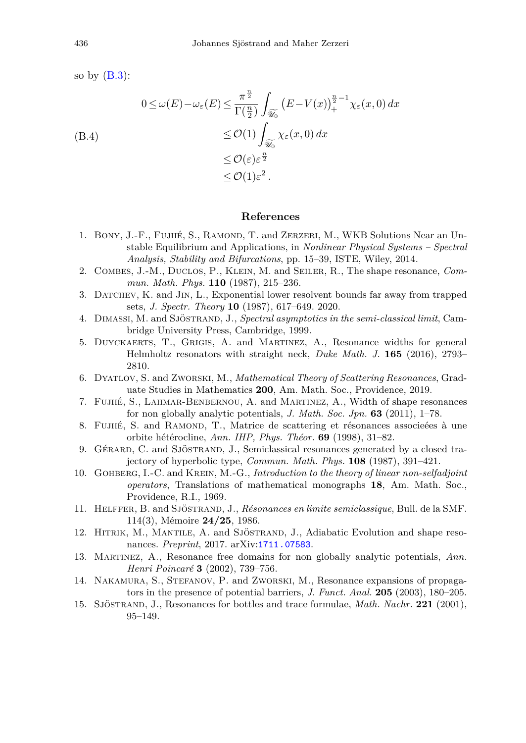so by  $(B.3)$ :

$$
\begin{aligned} 0 \le \omega(E) - \omega_{\varepsilon}(E) &\le \frac{\pi^{\frac{n}{2}}}{\Gamma(\frac{n}{2})} \int_{\widetilde{\mathscr{U}_0}} \left( E - V(x) \right)_+^{\frac{n}{2} - 1} \chi_{\varepsilon}(x, 0) \, dx \\ &\le \mathcal{O}(1) \int_{\widetilde{\mathscr{U}_0}} \chi_{\varepsilon}(x, 0) \, dx \\ &\le \mathcal{O}(\varepsilon) \varepsilon^{\frac{n}{2}} \\ &\le \mathcal{O}(1) \varepsilon^2 \,. \end{aligned}
$$

## **References**

- <span id="page-51-6"></span>1. BONY, J.-F., FUJIIÉ, S., RAMOND, T. and ZERZERI, M., WKB Solutions Near an Unstable Equilibrium and Applications, in *Nonlinear Physical Systems – Spectral Analysis, Stability and Bifurcations*, pp. 15–39, ISTE, Wiley, 2014.
- <span id="page-51-1"></span>2. Combes, J.-M., Duclos, P., Klein, M. and Seiler, R., The shape resonance, *Commun. Math. Phys.* **110** (1987), 215–236.
- <span id="page-51-10"></span>3. Datchev, K. and Jin, L., Exponential lower resolvent bounds far away from trapped sets, *J. Spectr. Theory* **10** (1987), 617–649. 2020.
- <span id="page-51-14"></span>4. Dimassi, M. and Sjöstrand, J., *Spectral asymptotics in the semi-classical limit*, Cambridge University Press, Cambridge, 1999.
- <span id="page-51-8"></span>5. Duyckaerts, T., Grigis, A. and Martinez, A., Resonance widths for general Helmholtz resonators with straight neck, *Duke Math. J.* **165** (2016), 2793– 2810.
- <span id="page-51-11"></span>6. Dyatlov, S. and Zworski, M., *Mathematical Theory of Scattering Resonances*, Graduate Studies in Mathematics **200**, Am. Math. Soc., Providence, 2019.
- <span id="page-51-2"></span>7. Fujiié, S., Lahmar-Benbernou, A. and Martinez, A., Width of shape resonances for non globally analytic potentials, *J. Math. Soc. Jpn.* **63** (2011), 1–78.
- <span id="page-51-7"></span>8. Fujilé, S. and RAMOND, T., Matrice de scattering et résonances associeées à une orbite hétérocline, *Ann. IHP, Phys. Théor.* **69** (1998), 31–82.
- <span id="page-51-12"></span>9. Gérard, C. and Sjöstrand, J., Semiclassical resonances generated by a closed trajectory of hyperbolic type, *Commun. Math. Phys.* **108** (1987), 391–421.
- <span id="page-51-13"></span>10. Gohberg, I.-C. and Krein, M.-G., *Introduction to the theory of linear non-selfadjoint operators*, Translations of mathematical monographs **18**, Am. Math. Soc., Providence, R.I., 1969.
- <span id="page-51-0"></span>11. Helffer, B. and Sjöstrand, J., *Résonances en limite semiclassique*, Bull. de la SMF. 114(3), Mémoire **24/25**, 1986.
- <span id="page-51-3"></span>12. HITRIK, M., MANTILE, A. and SJÖSTRAND, J., Adiabatic Evolution and shape resonances. *Preprint*, 2017. arXiv:[1711.07583](http://arxiv.org/abs/1711.07583).
- <span id="page-51-4"></span>13. Martinez, A., Resonance free domains for non globally analytic potentials, *Ann. Henri Poincaré* **3** (2002), 739–756.
- <span id="page-51-5"></span>14. Nakamura, S., Stefanov, P. and Zworski, M., Resonance expansions of propagators in the presence of potential barriers, *J. Funct. Anal.* **205** (2003), 180–205.
- <span id="page-51-9"></span>15. Sjöstrand, J., Resonances for bottles and trace formulae, *Math. Nachr.* **221** (2001), 95–149.